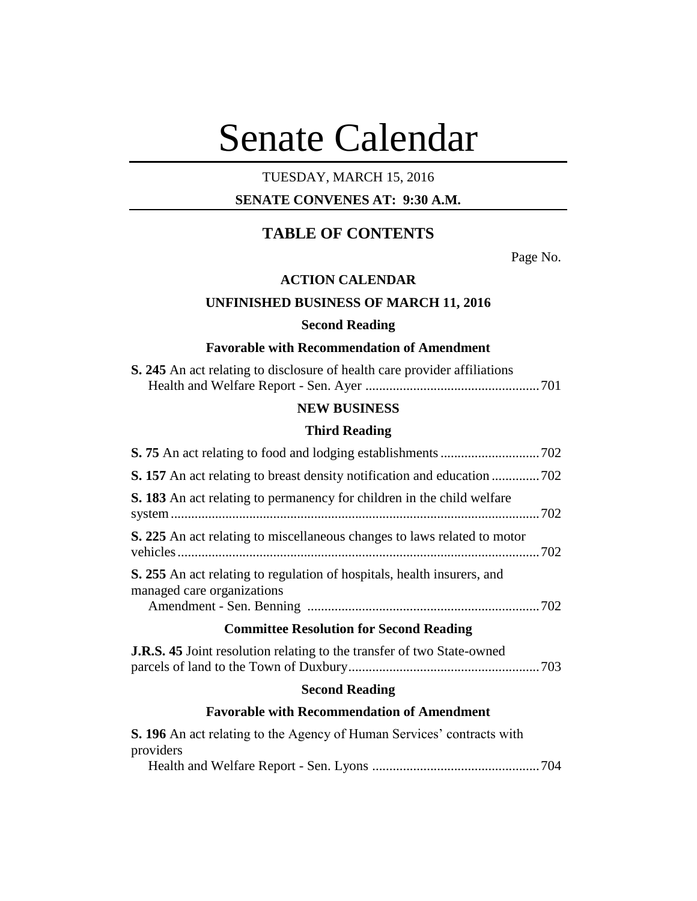# Senate Calendar

# TUESDAY, MARCH 15, 2016

# **SENATE CONVENES AT: 9:30 A.M.**

# **TABLE OF CONTENTS**

Page No.

# **ACTION CALENDAR**

# **UNFINISHED BUSINESS OF MARCH 11, 2016**

#### **Second Reading**

#### **Favorable with Recommendation of Amendment**

| S. 245 An act relating to disclosure of health care provider affiliations |  |
|---------------------------------------------------------------------------|--|
|                                                                           |  |

# **NEW BUSINESS**

#### **Third Reading**

| <b>Second Reading</b>                                                                                        |
|--------------------------------------------------------------------------------------------------------------|
| <b>J.R.S. 45</b> Joint resolution relating to the transfer of two State-owned                                |
| <b>Committee Resolution for Second Reading</b>                                                               |
| <b>S.</b> 255 An act relating to regulation of hospitals, health insurers, and<br>managed care organizations |
| <b>S. 225</b> An act relating to miscellaneous changes to laws related to motor                              |
| <b>S. 183</b> An act relating to permanency for children in the child welfare                                |
|                                                                                                              |
|                                                                                                              |

#### **Favorable with Recommendation of Amendment**

**S. 196** An act relating to the Agency of Human Services' contracts with providers Health and Welfare Report - Sen. Lyons .................................................704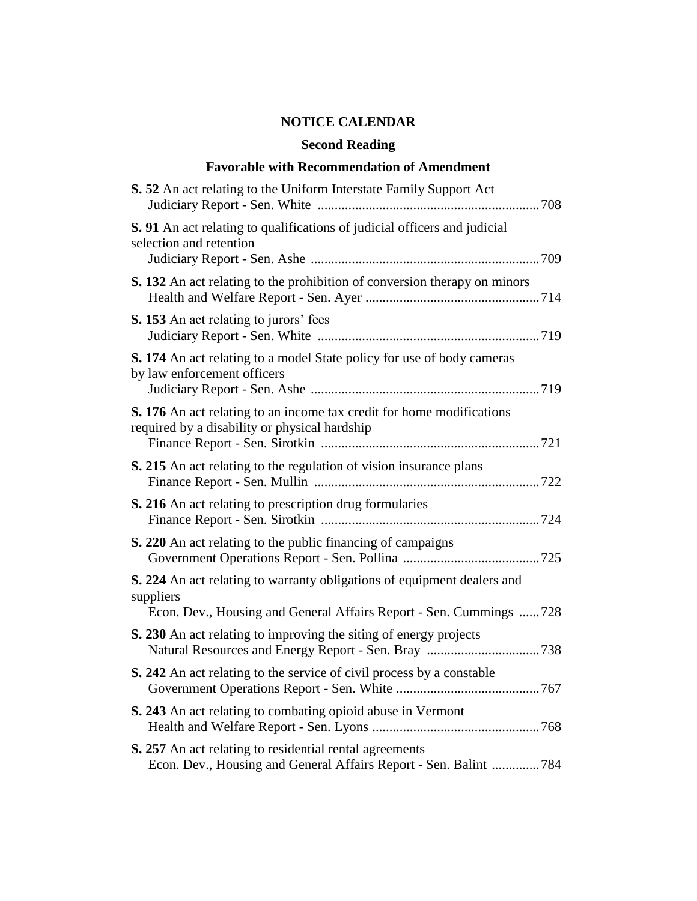# **NOTICE CALENDAR**

# **Second Reading**

# **Favorable with Recommendation of Amendment**

| S. 52 An act relating to the Uniform Interstate Family Support Act                                                           |
|------------------------------------------------------------------------------------------------------------------------------|
| S. 91 An act relating to qualifications of judicial officers and judicial<br>selection and retention                         |
| S. 132 An act relating to the prohibition of conversion therapy on minors                                                    |
| <b>S. 153</b> An act relating to jurors' fees                                                                                |
| S. 174 An act relating to a model State policy for use of body cameras<br>by law enforcement officers                        |
| S. 176 An act relating to an income tax credit for home modifications<br>required by a disability or physical hardship       |
| S. 215 An act relating to the regulation of vision insurance plans                                                           |
| S. 216 An act relating to prescription drug formularies                                                                      |
| S. 220 An act relating to the public financing of campaigns                                                                  |
| S. 224 An act relating to warranty obligations of equipment dealers and<br>suppliers                                         |
| Econ. Dev., Housing and General Affairs Report - Sen. Cummings  728                                                          |
| S. 230 An act relating to improving the siting of energy projects                                                            |
| S. 242 An act relating to the service of civil process by a constable                                                        |
| S. 243 An act relating to combating opioid abuse in Vermont                                                                  |
| S. 257 An act relating to residential rental agreements<br>Econ. Dev., Housing and General Affairs Report - Sen. Balint  784 |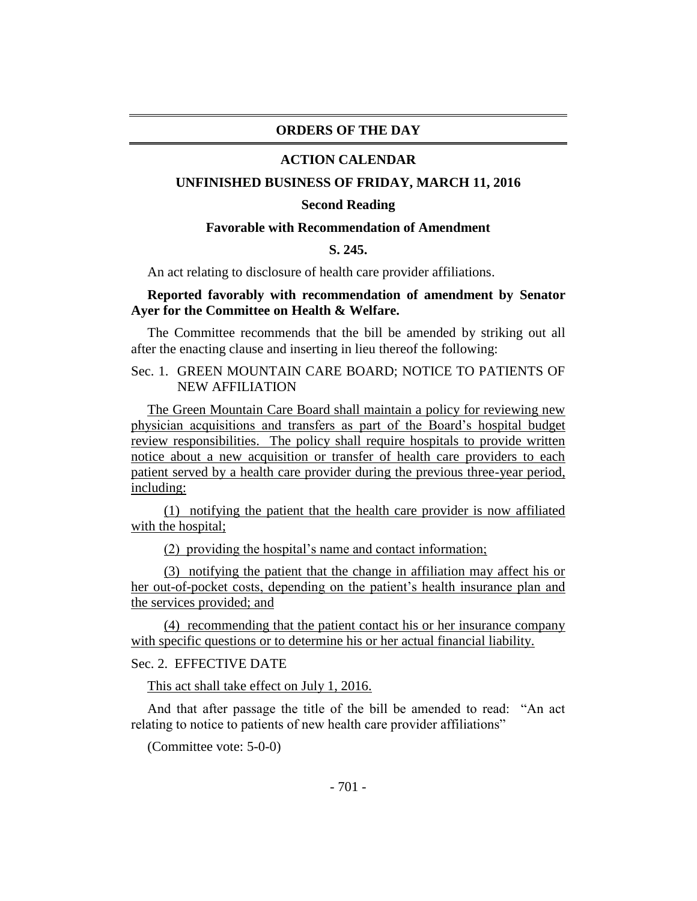#### **ORDERS OF THE DAY**

#### **ACTION CALENDAR**

#### **UNFINISHED BUSINESS OF FRIDAY, MARCH 11, 2016**

#### **Second Reading**

# **Favorable with Recommendation of Amendment**

#### **S. 245.**

An act relating to disclosure of health care provider affiliations.

# **Reported favorably with recommendation of amendment by Senator Ayer for the Committee on Health & Welfare.**

The Committee recommends that the bill be amended by striking out all after the enacting clause and inserting in lieu thereof the following:

# Sec. 1. GREEN MOUNTAIN CARE BOARD; NOTICE TO PATIENTS OF NEW AFFILIATION

The Green Mountain Care Board shall maintain a policy for reviewing new physician acquisitions and transfers as part of the Board's hospital budget review responsibilities. The policy shall require hospitals to provide written notice about a new acquisition or transfer of health care providers to each patient served by a health care provider during the previous three-year period, including:

(1) notifying the patient that the health care provider is now affiliated with the hospital;

(2) providing the hospital's name and contact information;

(3) notifying the patient that the change in affiliation may affect his or her out-of-pocket costs, depending on the patient's health insurance plan and the services provided; and

(4) recommending that the patient contact his or her insurance company with specific questions or to determine his or her actual financial liability.

#### Sec. 2. EFFECTIVE DATE

This act shall take effect on July 1, 2016.

And that after passage the title of the bill be amended to read: "An act relating to notice to patients of new health care provider affiliations"

(Committee vote: 5-0-0)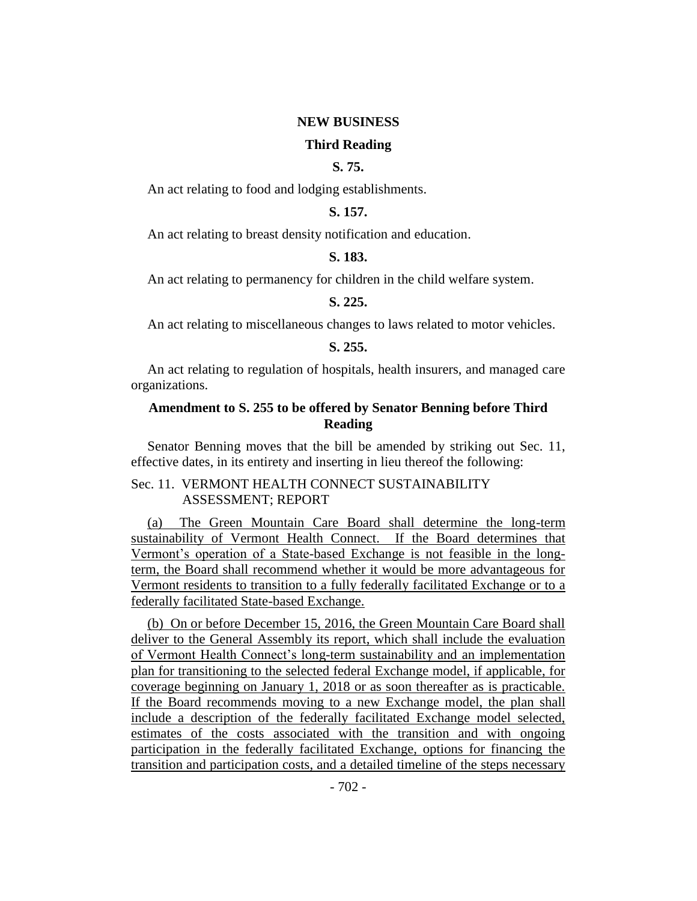#### **NEW BUSINESS**

#### **Third Reading**

# **S. 75.**

An act relating to food and lodging establishments.

#### **S. 157.**

An act relating to breast density notification and education.

#### **S. 183.**

An act relating to permanency for children in the child welfare system.

#### **S. 225.**

An act relating to miscellaneous changes to laws related to motor vehicles.

#### **S. 255.**

An act relating to regulation of hospitals, health insurers, and managed care organizations.

### **Amendment to S. 255 to be offered by Senator Benning before Third Reading**

Senator Benning moves that the bill be amended by striking out Sec. 11, effective dates, in its entirety and inserting in lieu thereof the following:

## Sec. 11. VERMONT HEALTH CONNECT SUSTAINABILITY ASSESSMENT; REPORT

(a) The Green Mountain Care Board shall determine the long-term sustainability of Vermont Health Connect. If the Board determines that Vermont's operation of a State-based Exchange is not feasible in the longterm, the Board shall recommend whether it would be more advantageous for Vermont residents to transition to a fully federally facilitated Exchange or to a federally facilitated State-based Exchange.

(b) On or before December 15, 2016, the Green Mountain Care Board shall deliver to the General Assembly its report, which shall include the evaluation of Vermont Health Connect's long-term sustainability and an implementation plan for transitioning to the selected federal Exchange model, if applicable, for coverage beginning on January 1, 2018 or as soon thereafter as is practicable. If the Board recommends moving to a new Exchange model, the plan shall include a description of the federally facilitated Exchange model selected, estimates of the costs associated with the transition and with ongoing participation in the federally facilitated Exchange, options for financing the transition and participation costs, and a detailed timeline of the steps necessary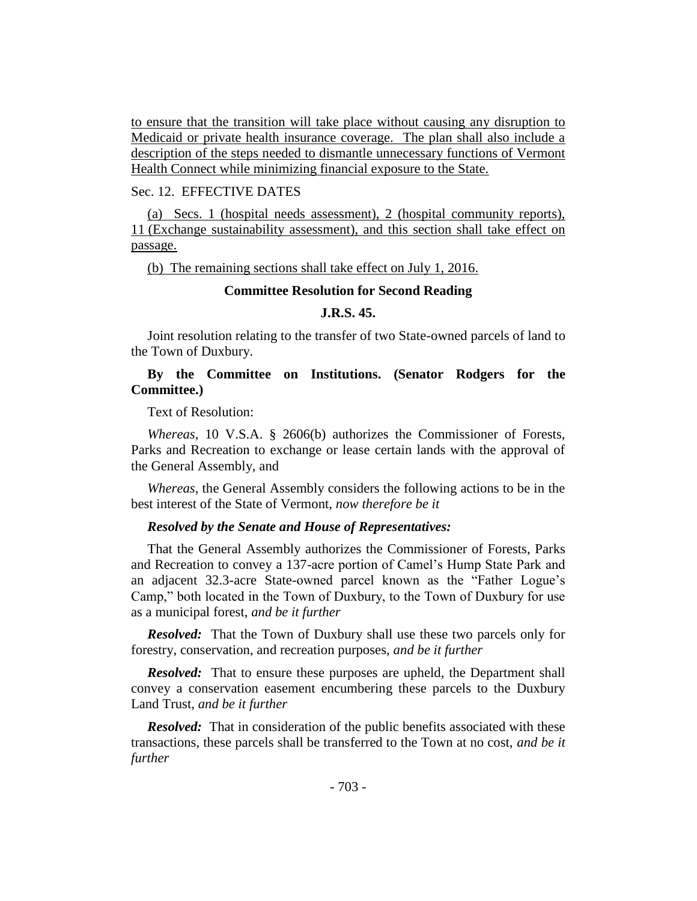to ensure that the transition will take place without causing any disruption to Medicaid or private health insurance coverage. The plan shall also include a description of the steps needed to dismantle unnecessary functions of Vermont Health Connect while minimizing financial exposure to the State.

# Sec. 12. EFFECTIVE DATES

(a) Secs. 1 (hospital needs assessment), 2 (hospital community reports), 11 (Exchange sustainability assessment), and this section shall take effect on passage.

(b) The remaining sections shall take effect on July 1, 2016.

#### **Committee Resolution for Second Reading**

#### **J.R.S. 45.**

Joint resolution relating to the transfer of two State-owned parcels of land to the Town of Duxbury.

# **By the Committee on Institutions. (Senator Rodgers for the Committee.)**

#### Text of Resolution:

*Whereas*, 10 V.S.A. § 2606(b) authorizes the Commissioner of Forests, Parks and Recreation to exchange or lease certain lands with the approval of the General Assembly, and

*Whereas*, the General Assembly considers the following actions to be in the best interest of the State of Vermont, *now therefore be it*

#### *Resolved by the Senate and House of Representatives:*

That the General Assembly authorizes the Commissioner of Forests, Parks and Recreation to convey a 137-acre portion of Camel's Hump State Park and an adjacent 32.3-acre State-owned parcel known as the "Father Logue's Camp," both located in the Town of Duxbury, to the Town of Duxbury for use as a municipal forest, *and be it further*

*Resolved:* That the Town of Duxbury shall use these two parcels only for forestry, conservation, and recreation purposes, *and be it further*

*Resolved:* That to ensure these purposes are upheld, the Department shall convey a conservation easement encumbering these parcels to the Duxbury Land Trust, *and be it further*

*Resolved:* That in consideration of the public benefits associated with these transactions, these parcels shall be transferred to the Town at no cost, *and be it further*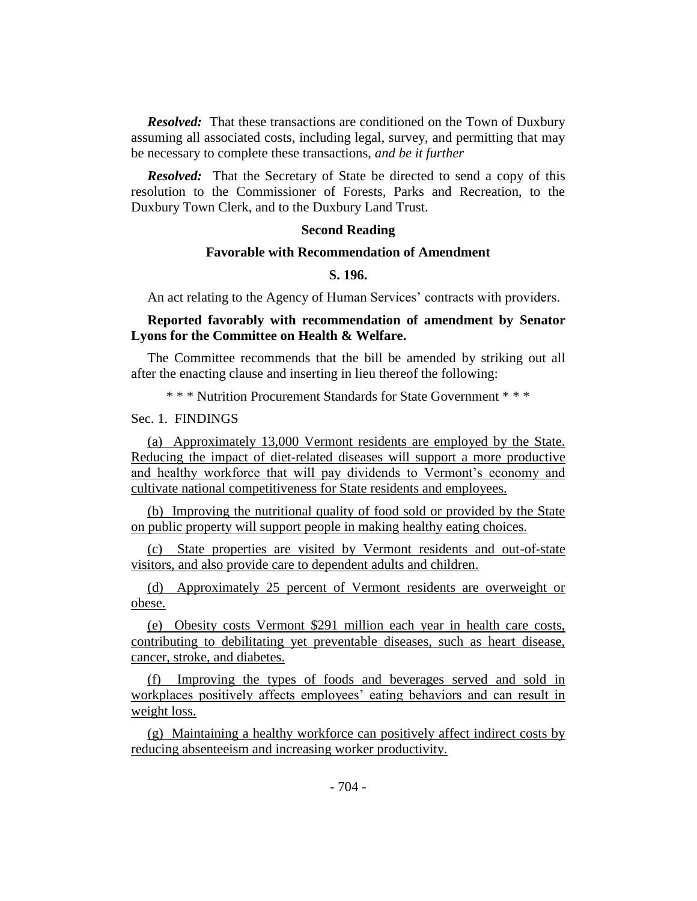*Resolved:* That these transactions are conditioned on the Town of Duxbury assuming all associated costs, including legal, survey, and permitting that may be necessary to complete these transactions, *and be it further*

*Resolved:* That the Secretary of State be directed to send a copy of this resolution to the Commissioner of Forests, Parks and Recreation, to the Duxbury Town Clerk, and to the Duxbury Land Trust.

# **Second Reading**

#### **Favorable with Recommendation of Amendment**

# **S. 196.**

An act relating to the Agency of Human Services' contracts with providers.

# **Reported favorably with recommendation of amendment by Senator Lyons for the Committee on Health & Welfare.**

The Committee recommends that the bill be amended by striking out all after the enacting clause and inserting in lieu thereof the following:

\* \* \* Nutrition Procurement Standards for State Government \* \* \*

#### Sec. 1. FINDINGS

(a) Approximately 13,000 Vermont residents are employed by the State. Reducing the impact of diet-related diseases will support a more productive and healthy workforce that will pay dividends to Vermont's economy and cultivate national competitiveness for State residents and employees.

(b) Improving the nutritional quality of food sold or provided by the State on public property will support people in making healthy eating choices.

(c) State properties are visited by Vermont residents and out-of-state visitors, and also provide care to dependent adults and children.

(d) Approximately 25 percent of Vermont residents are overweight or obese.

(e) Obesity costs Vermont \$291 million each year in health care costs, contributing to debilitating yet preventable diseases, such as heart disease, cancer, stroke, and diabetes.

(f) Improving the types of foods and beverages served and sold in workplaces positively affects employees' eating behaviors and can result in weight loss.

(g) Maintaining a healthy workforce can positively affect indirect costs by reducing absenteeism and increasing worker productivity.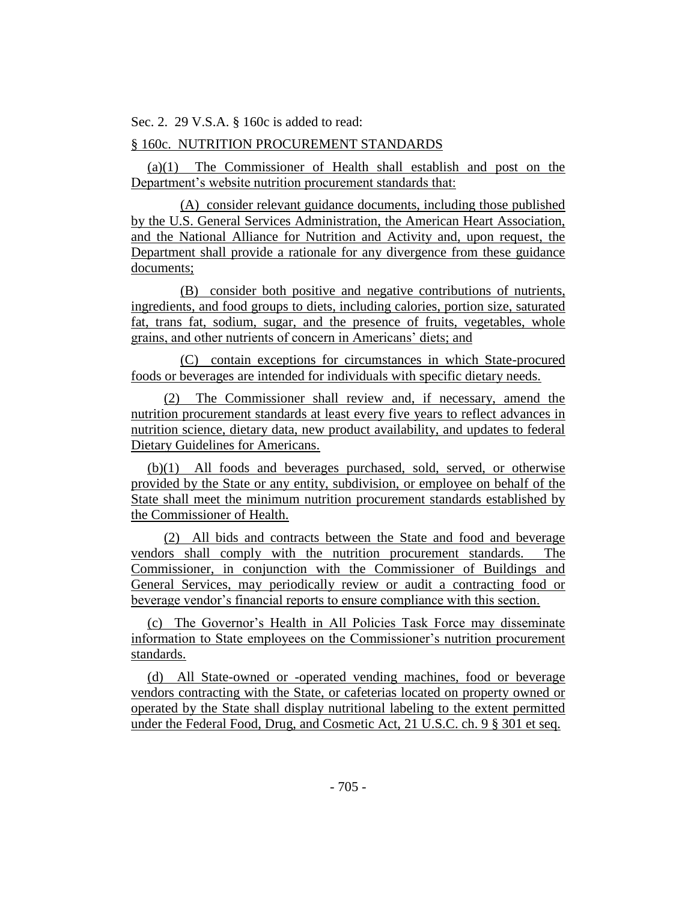Sec. 2. 29 V.S.A. § 160c is added to read:

# § 160c. NUTRITION PROCUREMENT STANDARDS

(a)(1) The Commissioner of Health shall establish and post on the Department's website nutrition procurement standards that:

(A) consider relevant guidance documents, including those published by the U.S. General Services Administration, the American Heart Association, and the National Alliance for Nutrition and Activity and, upon request, the Department shall provide a rationale for any divergence from these guidance documents;

(B) consider both positive and negative contributions of nutrients, ingredients, and food groups to diets, including calories, portion size, saturated fat, trans fat, sodium, sugar, and the presence of fruits, vegetables, whole grains, and other nutrients of concern in Americans' diets; and

(C) contain exceptions for circumstances in which State-procured foods or beverages are intended for individuals with specific dietary needs.

(2) The Commissioner shall review and, if necessary, amend the nutrition procurement standards at least every five years to reflect advances in nutrition science, dietary data, new product availability, and updates to federal Dietary Guidelines for Americans.

(b)(1) All foods and beverages purchased, sold, served, or otherwise provided by the State or any entity, subdivision, or employee on behalf of the State shall meet the minimum nutrition procurement standards established by the Commissioner of Health.

(2) All bids and contracts between the State and food and beverage vendors shall comply with the nutrition procurement standards. The Commissioner, in conjunction with the Commissioner of Buildings and General Services, may periodically review or audit a contracting food or beverage vendor's financial reports to ensure compliance with this section.

(c) The Governor's Health in All Policies Task Force may disseminate information to State employees on the Commissioner's nutrition procurement standards.

(d) All State-owned or -operated vending machines, food or beverage vendors contracting with the State, or cafeterias located on property owned or operated by the State shall display nutritional labeling to the extent permitted under the Federal Food, Drug, and Cosmetic Act, 21 U.S.C. ch. 9 § 301 et seq.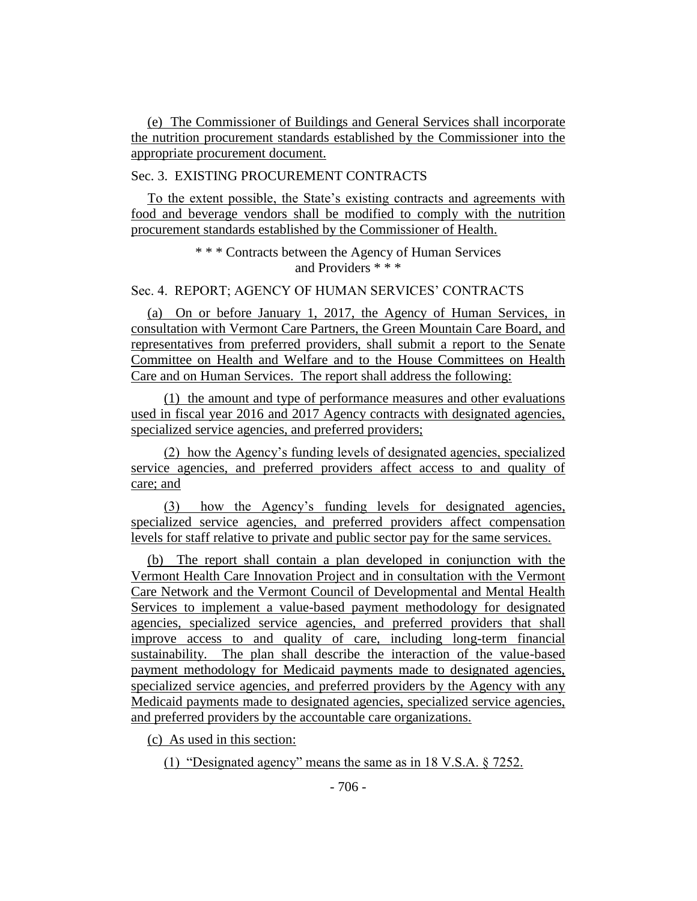(e) The Commissioner of Buildings and General Services shall incorporate the nutrition procurement standards established by the Commissioner into the appropriate procurement document.

# Sec. 3. EXISTING PROCUREMENT CONTRACTS

To the extent possible, the State's existing contracts and agreements with food and beverage vendors shall be modified to comply with the nutrition procurement standards established by the Commissioner of Health.

> \* \* \* Contracts between the Agency of Human Services and Providers \* \* \*

Sec. 4. REPORT; AGENCY OF HUMAN SERVICES' CONTRACTS

(a) On or before January 1, 2017, the Agency of Human Services, in consultation with Vermont Care Partners, the Green Mountain Care Board, and representatives from preferred providers, shall submit a report to the Senate Committee on Health and Welfare and to the House Committees on Health Care and on Human Services. The report shall address the following:

(1) the amount and type of performance measures and other evaluations used in fiscal year 2016 and 2017 Agency contracts with designated agencies, specialized service agencies, and preferred providers;

(2) how the Agency's funding levels of designated agencies, specialized service agencies, and preferred providers affect access to and quality of care; and

(3) how the Agency's funding levels for designated agencies, specialized service agencies, and preferred providers affect compensation levels for staff relative to private and public sector pay for the same services.

(b) The report shall contain a plan developed in conjunction with the Vermont Health Care Innovation Project and in consultation with the Vermont Care Network and the Vermont Council of Developmental and Mental Health Services to implement a value-based payment methodology for designated agencies, specialized service agencies, and preferred providers that shall improve access to and quality of care, including long-term financial sustainability. The plan shall describe the interaction of the value-based payment methodology for Medicaid payments made to designated agencies, specialized service agencies, and preferred providers by the Agency with any Medicaid payments made to designated agencies, specialized service agencies, and preferred providers by the accountable care organizations.

(c) As used in this section:

(1) "Designated agency" means the same as in 18 V.S.A. § 7252.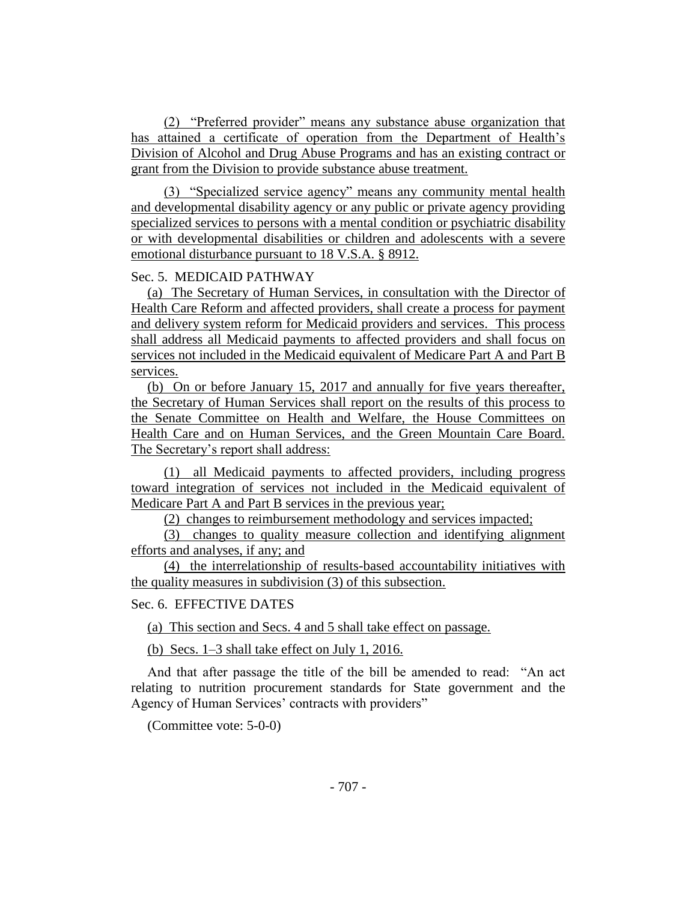(2) "Preferred provider" means any substance abuse organization that has attained a certificate of operation from the Department of Health's Division of Alcohol and Drug Abuse Programs and has an existing contract or grant from the Division to provide substance abuse treatment.

(3) "Specialized service agency" means any community mental health and developmental disability agency or any public or private agency providing specialized services to persons with a mental condition or psychiatric disability or with developmental disabilities or children and adolescents with a severe emotional disturbance pursuant to 18 V.S.A. § 8912.

# Sec. 5. MEDICAID PATHWAY

(a) The Secretary of Human Services, in consultation with the Director of Health Care Reform and affected providers, shall create a process for payment and delivery system reform for Medicaid providers and services. This process shall address all Medicaid payments to affected providers and shall focus on services not included in the Medicaid equivalent of Medicare Part A and Part B services.

(b) On or before January 15, 2017 and annually for five years thereafter, the Secretary of Human Services shall report on the results of this process to the Senate Committee on Health and Welfare, the House Committees on Health Care and on Human Services, and the Green Mountain Care Board. The Secretary's report shall address:

(1) all Medicaid payments to affected providers, including progress toward integration of services not included in the Medicaid equivalent of Medicare Part A and Part B services in the previous year;

(2) changes to reimbursement methodology and services impacted;

(3) changes to quality measure collection and identifying alignment efforts and analyses, if any; and

(4) the interrelationship of results-based accountability initiatives with the quality measures in subdivision (3) of this subsection.

# Sec. 6. EFFECTIVE DATES

(a) This section and Secs. 4 and 5 shall take effect on passage.

(b) Secs. 1–3 shall take effect on July 1, 2016.

And that after passage the title of the bill be amended to read: "An act relating to nutrition procurement standards for State government and the Agency of Human Services' contracts with providers"

(Committee vote: 5-0-0)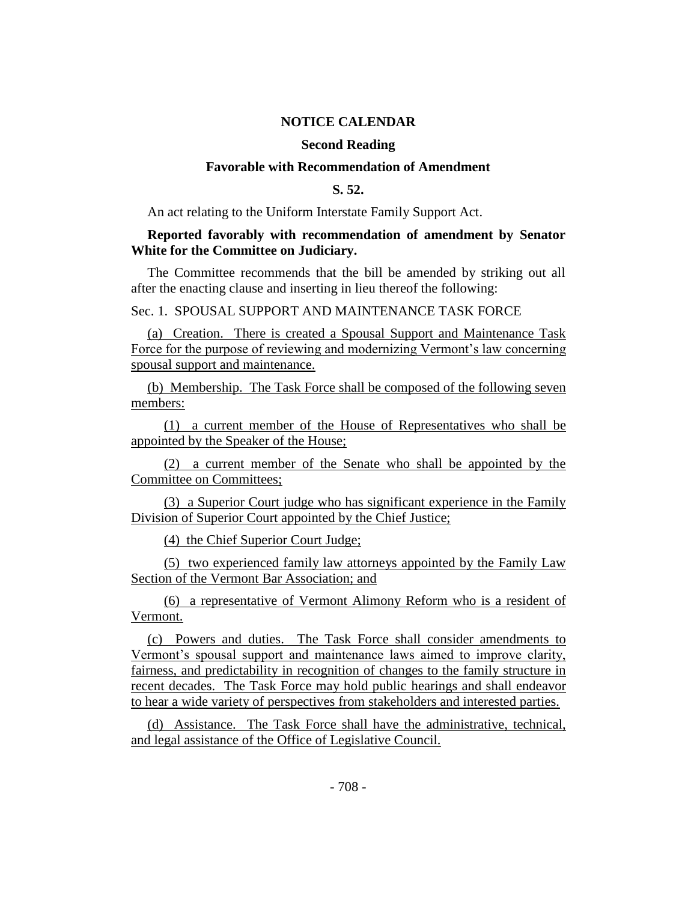#### **NOTICE CALENDAR**

#### **Second Reading**

#### **Favorable with Recommendation of Amendment**

# **S. 52.**

An act relating to the Uniform Interstate Family Support Act.

## **Reported favorably with recommendation of amendment by Senator White for the Committee on Judiciary.**

The Committee recommends that the bill be amended by striking out all after the enacting clause and inserting in lieu thereof the following:

Sec. 1. SPOUSAL SUPPORT AND MAINTENANCE TASK FORCE

(a) Creation. There is created a Spousal Support and Maintenance Task Force for the purpose of reviewing and modernizing Vermont's law concerning spousal support and maintenance.

(b) Membership. The Task Force shall be composed of the following seven members:

(1) a current member of the House of Representatives who shall be appointed by the Speaker of the House;

(2) a current member of the Senate who shall be appointed by the Committee on Committees;

(3) a Superior Court judge who has significant experience in the Family Division of Superior Court appointed by the Chief Justice;

(4) the Chief Superior Court Judge;

(5) two experienced family law attorneys appointed by the Family Law Section of the Vermont Bar Association; and

(6) a representative of Vermont Alimony Reform who is a resident of Vermont.

(c) Powers and duties. The Task Force shall consider amendments to Vermont's spousal support and maintenance laws aimed to improve clarity, fairness, and predictability in recognition of changes to the family structure in recent decades. The Task Force may hold public hearings and shall endeavor to hear a wide variety of perspectives from stakeholders and interested parties.

(d) Assistance. The Task Force shall have the administrative, technical, and legal assistance of the Office of Legislative Council.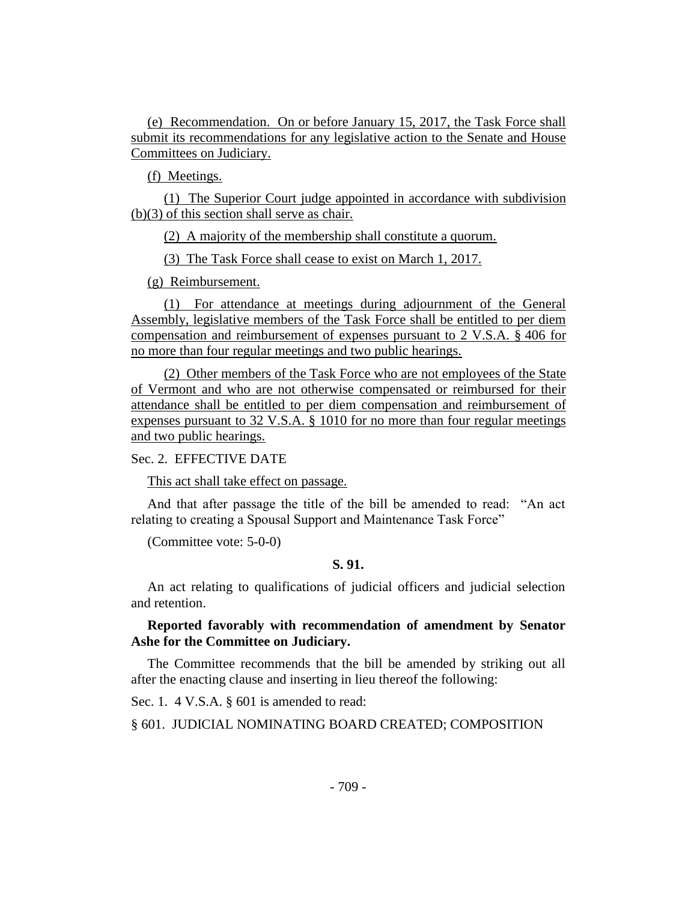(e) Recommendation. On or before January 15, 2017, the Task Force shall submit its recommendations for any legislative action to the Senate and House Committees on Judiciary.

(f) Meetings.

(1) The Superior Court judge appointed in accordance with subdivision (b)(3) of this section shall serve as chair.

(2) A majority of the membership shall constitute a quorum.

(3) The Task Force shall cease to exist on March 1, 2017.

(g) Reimbursement.

(1) For attendance at meetings during adjournment of the General Assembly, legislative members of the Task Force shall be entitled to per diem compensation and reimbursement of expenses pursuant to 2 V.S.A. § 406 for no more than four regular meetings and two public hearings.

(2) Other members of the Task Force who are not employees of the State of Vermont and who are not otherwise compensated or reimbursed for their attendance shall be entitled to per diem compensation and reimbursement of expenses pursuant to 32 V.S.A. § 1010 for no more than four regular meetings and two public hearings.

Sec. 2. EFFECTIVE DATE

This act shall take effect on passage.

And that after passage the title of the bill be amended to read: "An act relating to creating a Spousal Support and Maintenance Task Force"

(Committee vote: 5-0-0)

# **S. 91.**

An act relating to qualifications of judicial officers and judicial selection and retention.

**Reported favorably with recommendation of amendment by Senator Ashe for the Committee on Judiciary.**

The Committee recommends that the bill be amended by striking out all after the enacting clause and inserting in lieu thereof the following:

Sec. 1. 4 V.S.A. § 601 is amended to read:

§ 601. JUDICIAL NOMINATING BOARD CREATED; COMPOSITION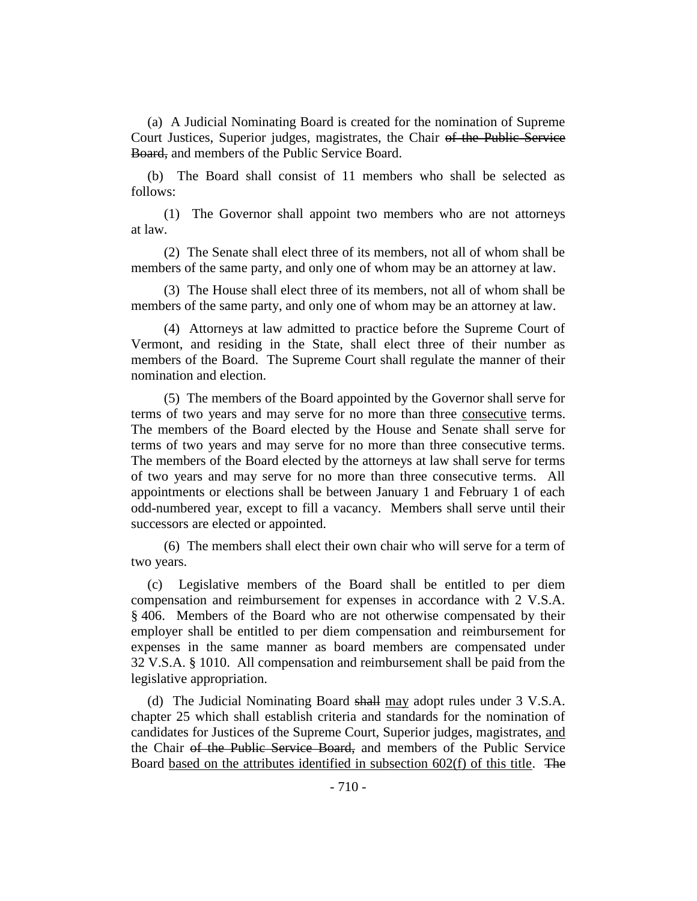(a) A Judicial Nominating Board is created for the nomination of Supreme Court Justices, Superior judges, magistrates, the Chair of the Public Service Board, and members of the Public Service Board.

(b) The Board shall consist of 11 members who shall be selected as follows:

(1) The Governor shall appoint two members who are not attorneys at law.

(2) The Senate shall elect three of its members, not all of whom shall be members of the same party, and only one of whom may be an attorney at law.

(3) The House shall elect three of its members, not all of whom shall be members of the same party, and only one of whom may be an attorney at law.

(4) Attorneys at law admitted to practice before the Supreme Court of Vermont, and residing in the State, shall elect three of their number as members of the Board. The Supreme Court shall regulate the manner of their nomination and election.

(5) The members of the Board appointed by the Governor shall serve for terms of two years and may serve for no more than three consecutive terms. The members of the Board elected by the House and Senate shall serve for terms of two years and may serve for no more than three consecutive terms. The members of the Board elected by the attorneys at law shall serve for terms of two years and may serve for no more than three consecutive terms. All appointments or elections shall be between January 1 and February 1 of each odd-numbered year, except to fill a vacancy. Members shall serve until their successors are elected or appointed.

(6) The members shall elect their own chair who will serve for a term of two years.

(c) Legislative members of the Board shall be entitled to per diem compensation and reimbursement for expenses in accordance with 2 V.S.A. § 406. Members of the Board who are not otherwise compensated by their employer shall be entitled to per diem compensation and reimbursement for expenses in the same manner as board members are compensated under 32 V.S.A. § 1010. All compensation and reimbursement shall be paid from the legislative appropriation.

(d) The Judicial Nominating Board shall may adopt rules under 3 V.S.A. chapter 25 which shall establish criteria and standards for the nomination of candidates for Justices of the Supreme Court, Superior judges, magistrates, and the Chair of the Public Service Board, and members of the Public Service Board based on the attributes identified in subsection 602(f) of this title. The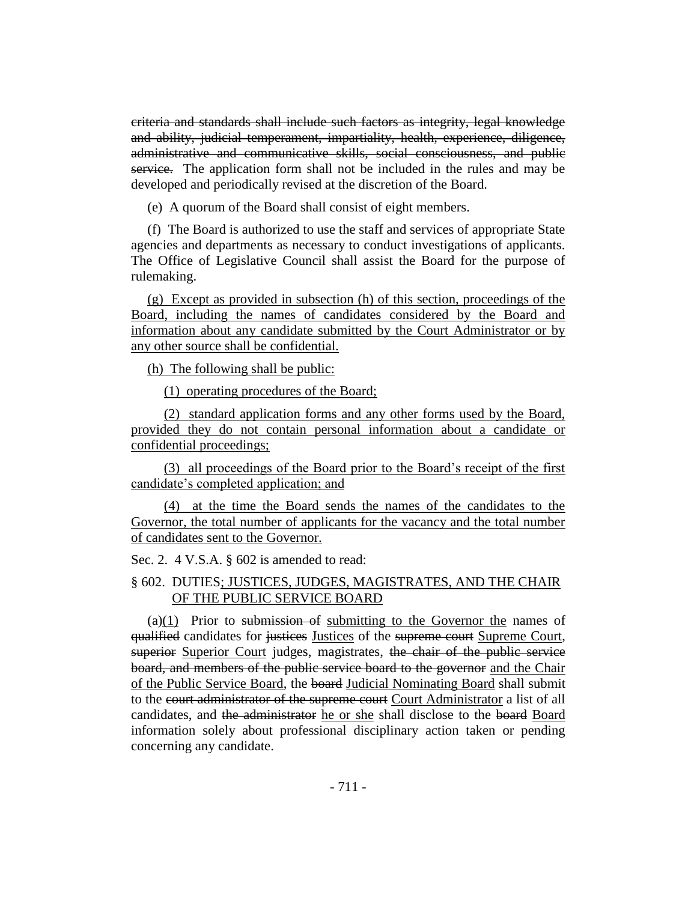criteria and standards shall include such factors as integrity, legal knowledge and ability, judicial temperament, impartiality, health, experience, diligence, administrative and communicative skills, social consciousness, and public service. The application form shall not be included in the rules and may be developed and periodically revised at the discretion of the Board.

(e) A quorum of the Board shall consist of eight members.

(f) The Board is authorized to use the staff and services of appropriate State agencies and departments as necessary to conduct investigations of applicants. The Office of Legislative Council shall assist the Board for the purpose of rulemaking.

(g) Except as provided in subsection (h) of this section, proceedings of the Board, including the names of candidates considered by the Board and information about any candidate submitted by the Court Administrator or by any other source shall be confidential.

(h) The following shall be public:

(1) operating procedures of the Board;

(2) standard application forms and any other forms used by the Board, provided they do not contain personal information about a candidate or confidential proceedings;

(3) all proceedings of the Board prior to the Board's receipt of the first candidate's completed application; and

(4) at the time the Board sends the names of the candidates to the Governor, the total number of applicants for the vacancy and the total number of candidates sent to the Governor.

Sec. 2. 4 V.S.A. § 602 is amended to read:

# § 602. DUTIES; JUSTICES, JUDGES, MAGISTRATES, AND THE CHAIR OF THE PUBLIC SERVICE BOARD

 $(a)(1)$  Prior to submission of submitting to the Governor the names of qualified candidates for justices Justices of the supreme court Supreme Court, superior Superior Court judges, magistrates, the chair of the public service board, and members of the public service board to the governor and the Chair of the Public Service Board, the board Judicial Nominating Board shall submit to the court administrator of the supreme court Court Administrator a list of all candidates, and the administrator he or she shall disclose to the board Board information solely about professional disciplinary action taken or pending concerning any candidate.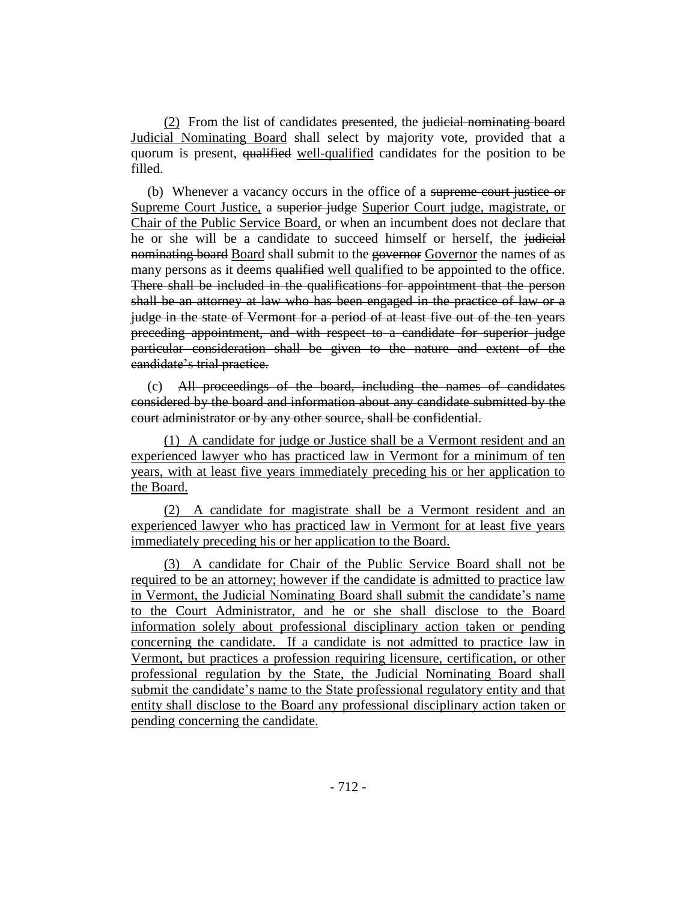(2) From the list of candidates presented, the judicial nominating board Judicial Nominating Board shall select by majority vote, provided that a quorum is present, qualified well-qualified candidates for the position to be filled.

(b) Whenever a vacancy occurs in the office of a supreme court justice or Supreme Court Justice, a superior judge Superior Court judge, magistrate, or Chair of the Public Service Board, or when an incumbent does not declare that he or she will be a candidate to succeed himself or herself, the judicial nominating board Board shall submit to the governor Governor the names of as many persons as it deems qualified well qualified to be appointed to the office. There shall be included in the qualifications for appointment that the person shall be an attorney at law who has been engaged in the practice of law or a judge in the state of Vermont for a period of at least five out of the ten years preceding appointment, and with respect to a candidate for superior judge particular consideration shall be given to the nature and extent of the candidate's trial practice.

(c) All proceedings of the board, including the names of candidates considered by the board and information about any candidate submitted by the court administrator or by any other source, shall be confidential.

(1) A candidate for judge or Justice shall be a Vermont resident and an experienced lawyer who has practiced law in Vermont for a minimum of ten years, with at least five years immediately preceding his or her application to the Board.

(2) A candidate for magistrate shall be a Vermont resident and an experienced lawyer who has practiced law in Vermont for at least five years immediately preceding his or her application to the Board.

(3) A candidate for Chair of the Public Service Board shall not be required to be an attorney; however if the candidate is admitted to practice law in Vermont, the Judicial Nominating Board shall submit the candidate's name to the Court Administrator, and he or she shall disclose to the Board information solely about professional disciplinary action taken or pending concerning the candidate. If a candidate is not admitted to practice law in Vermont, but practices a profession requiring licensure, certification, or other professional regulation by the State, the Judicial Nominating Board shall submit the candidate's name to the State professional regulatory entity and that entity shall disclose to the Board any professional disciplinary action taken or pending concerning the candidate.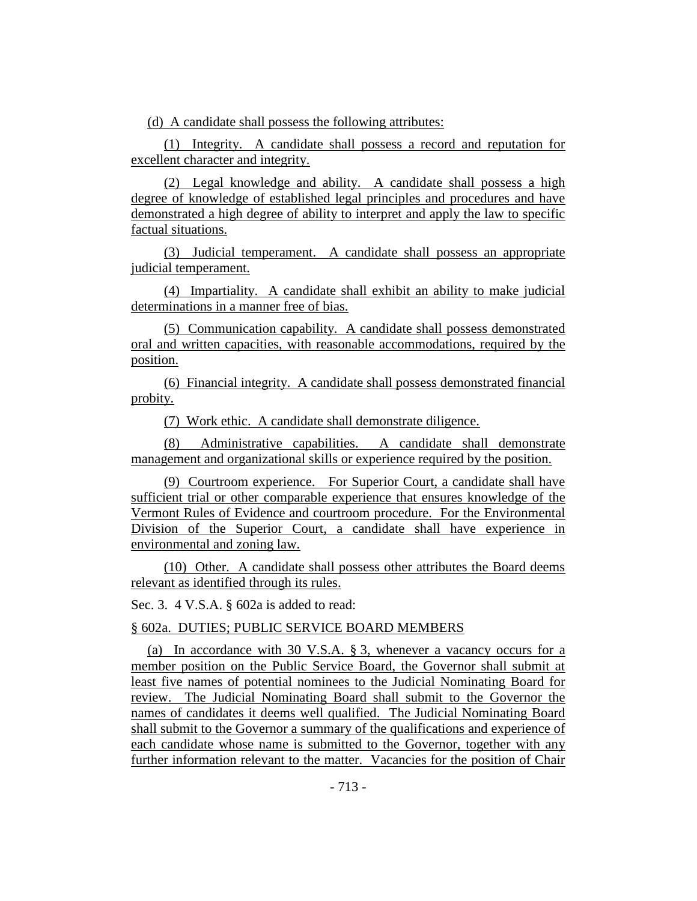(d) A candidate shall possess the following attributes:

(1) Integrity. A candidate shall possess a record and reputation for excellent character and integrity.

(2) Legal knowledge and ability. A candidate shall possess a high degree of knowledge of established legal principles and procedures and have demonstrated a high degree of ability to interpret and apply the law to specific factual situations.

(3) Judicial temperament. A candidate shall possess an appropriate judicial temperament.

(4) Impartiality. A candidate shall exhibit an ability to make judicial determinations in a manner free of bias.

(5) Communication capability. A candidate shall possess demonstrated oral and written capacities, with reasonable accommodations, required by the position.

(6) Financial integrity. A candidate shall possess demonstrated financial probity.

(7) Work ethic. A candidate shall demonstrate diligence.

(8) Administrative capabilities. A candidate shall demonstrate management and organizational skills or experience required by the position.

(9) Courtroom experience. For Superior Court, a candidate shall have sufficient trial or other comparable experience that ensures knowledge of the Vermont Rules of Evidence and courtroom procedure. For the Environmental Division of the Superior Court, a candidate shall have experience in environmental and zoning law.

(10) Other. A candidate shall possess other attributes the Board deems relevant as identified through its rules.

Sec. 3. 4 V.S.A. § 602a is added to read:

§ 602a. DUTIES; PUBLIC SERVICE BOARD MEMBERS

(a) In accordance with 30 V.S.A. § 3, whenever a vacancy occurs for a member position on the Public Service Board, the Governor shall submit at least five names of potential nominees to the Judicial Nominating Board for review. The Judicial Nominating Board shall submit to the Governor the names of candidates it deems well qualified. The Judicial Nominating Board shall submit to the Governor a summary of the qualifications and experience of each candidate whose name is submitted to the Governor, together with any further information relevant to the matter. Vacancies for the position of Chair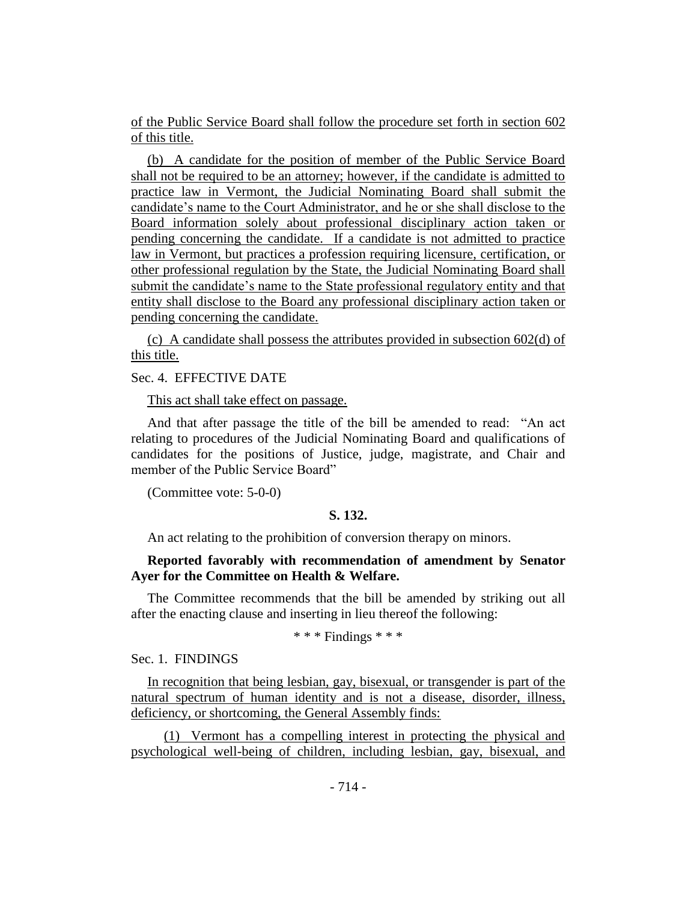of the Public Service Board shall follow the procedure set forth in section 602 of this title.

(b) A candidate for the position of member of the Public Service Board shall not be required to be an attorney; however, if the candidate is admitted to practice law in Vermont, the Judicial Nominating Board shall submit the candidate's name to the Court Administrator, and he or she shall disclose to the Board information solely about professional disciplinary action taken or pending concerning the candidate. If a candidate is not admitted to practice law in Vermont, but practices a profession requiring licensure, certification, or other professional regulation by the State, the Judicial Nominating Board shall submit the candidate's name to the State professional regulatory entity and that entity shall disclose to the Board any professional disciplinary action taken or pending concerning the candidate.

(c) A candidate shall possess the attributes provided in subsection 602(d) of this title.

# Sec. 4. EFFECTIVE DATE

This act shall take effect on passage.

And that after passage the title of the bill be amended to read: "An act relating to procedures of the Judicial Nominating Board and qualifications of candidates for the positions of Justice, judge, magistrate, and Chair and member of the Public Service Board"

(Committee vote: 5-0-0)

#### **S. 132.**

An act relating to the prohibition of conversion therapy on minors.

# **Reported favorably with recommendation of amendment by Senator Ayer for the Committee on Health & Welfare.**

The Committee recommends that the bill be amended by striking out all after the enacting clause and inserting in lieu thereof the following:

# \* \* \* Findings \* \* \*

Sec. 1. FINDINGS

In recognition that being lesbian, gay, bisexual, or transgender is part of the natural spectrum of human identity and is not a disease, disorder, illness, deficiency, or shortcoming, the General Assembly finds:

(1) Vermont has a compelling interest in protecting the physical and psychological well-being of children, including lesbian, gay, bisexual, and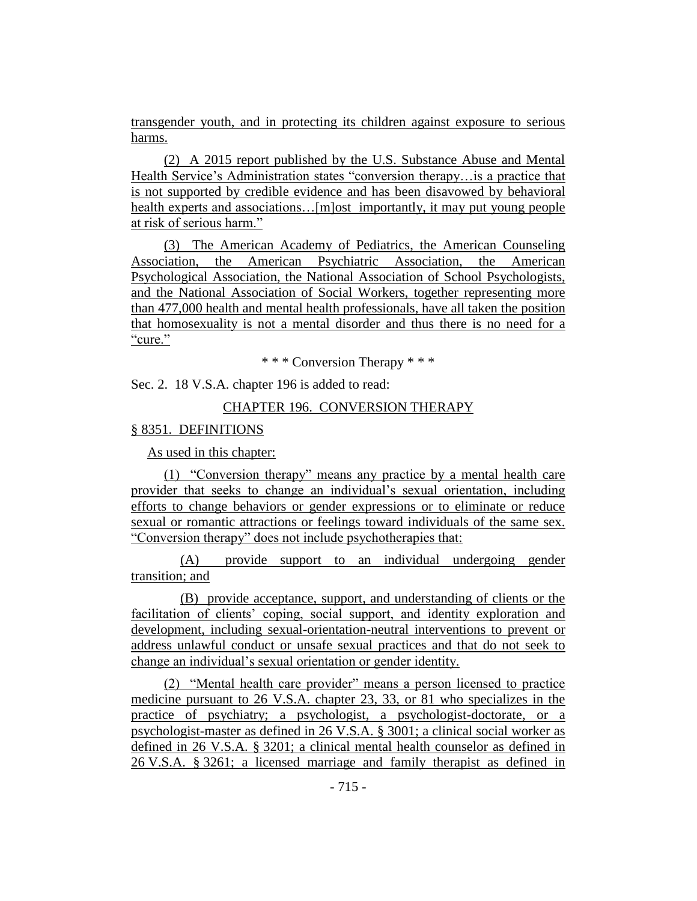transgender youth, and in protecting its children against exposure to serious harms.

(2) A 2015 report published by the U.S. Substance Abuse and Mental Health Service's Administration states "conversion therapy…is a practice that is not supported by credible evidence and has been disavowed by behavioral health experts and associations...[m]ost importantly, it may put young people at risk of serious harm."

(3) The American Academy of Pediatrics, the American Counseling Association, the American Psychiatric Association, the American Psychological Association, the National Association of School Psychologists, and the National Association of Social Workers, together representing more than 477,000 health and mental health professionals, have all taken the position that homosexuality is not a mental disorder and thus there is no need for a "cure."

\* \* \* Conversion Therapy \* \* \*

Sec. 2. 18 V.S.A. chapter 196 is added to read:

# CHAPTER 196. CONVERSION THERAPY

#### § 8351. DEFINITIONS

As used in this chapter:

(1) "Conversion therapy" means any practice by a mental health care provider that seeks to change an individual's sexual orientation, including efforts to change behaviors or gender expressions or to eliminate or reduce sexual or romantic attractions or feelings toward individuals of the same sex. "Conversion therapy" does not include psychotherapies that:

(A) provide support to an individual undergoing gender transition; and

(B) provide acceptance, support, and understanding of clients or the facilitation of clients' coping, social support, and identity exploration and development, including sexual-orientation-neutral interventions to prevent or address unlawful conduct or unsafe sexual practices and that do not seek to change an individual's sexual orientation or gender identity.

(2) "Mental health care provider" means a person licensed to practice medicine pursuant to 26 V.S.A. chapter 23, 33, or 81 who specializes in the practice of psychiatry; a psychologist, a psychologist-doctorate, or a psychologist-master as defined in 26 V.S.A. § 3001; a clinical social worker as defined in 26 V.S.A. § 3201; a clinical mental health counselor as defined in 26 V.S.A. § 3261; a licensed marriage and family therapist as defined in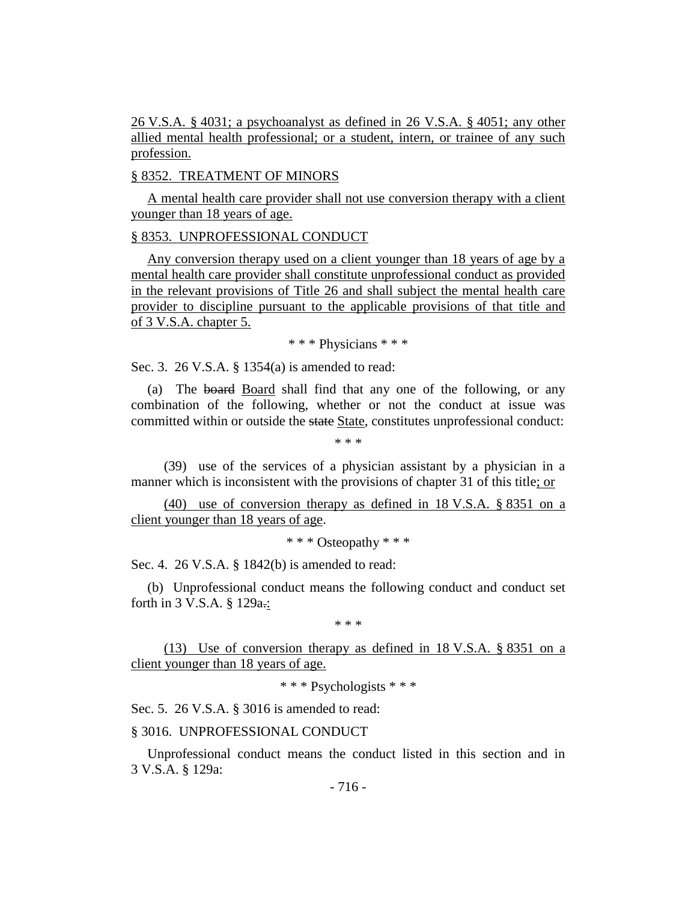26 V.S.A. § 4031; a psychoanalyst as defined in 26 V.S.A. § 4051; any other allied mental health professional; or a student, intern, or trainee of any such profession.

#### § 8352. TREATMENT OF MINORS

A mental health care provider shall not use conversion therapy with a client younger than 18 years of age.

# § 8353. UNPROFESSIONAL CONDUCT

Any conversion therapy used on a client younger than 18 years of age by a mental health care provider shall constitute unprofessional conduct as provided in the relevant provisions of Title 26 and shall subject the mental health care provider to discipline pursuant to the applicable provisions of that title and of 3 V.S.A. chapter 5.

\* \* \* Physicians \* \* \*

Sec. 3. 26 V.S.A. § 1354(a) is amended to read:

(a) The board Board shall find that any one of the following, or any combination of the following, whether or not the conduct at issue was committed within or outside the state State, constitutes unprofessional conduct:

\* \* \*

(39) use of the services of a physician assistant by a physician in a manner which is inconsistent with the provisions of chapter 31 of this title; or

(40) use of conversion therapy as defined in 18 V.S.A. § 8351 on a client younger than 18 years of age.

\* \* \* Osteopathy \* \* \*

Sec. 4. 26 V.S.A. § 1842(b) is amended to read:

(b) Unprofessional conduct means the following conduct and conduct set forth in 3 V.S.A. § 129a.:

\* \* \*

(13) Use of conversion therapy as defined in 18 V.S.A. § 8351 on a client younger than 18 years of age.

\* \* \* Psychologists \* \* \*

Sec. 5. 26 V.S.A. § 3016 is amended to read:

# § 3016. UNPROFESSIONAL CONDUCT

Unprofessional conduct means the conduct listed in this section and in 3 V.S.A. § 129a: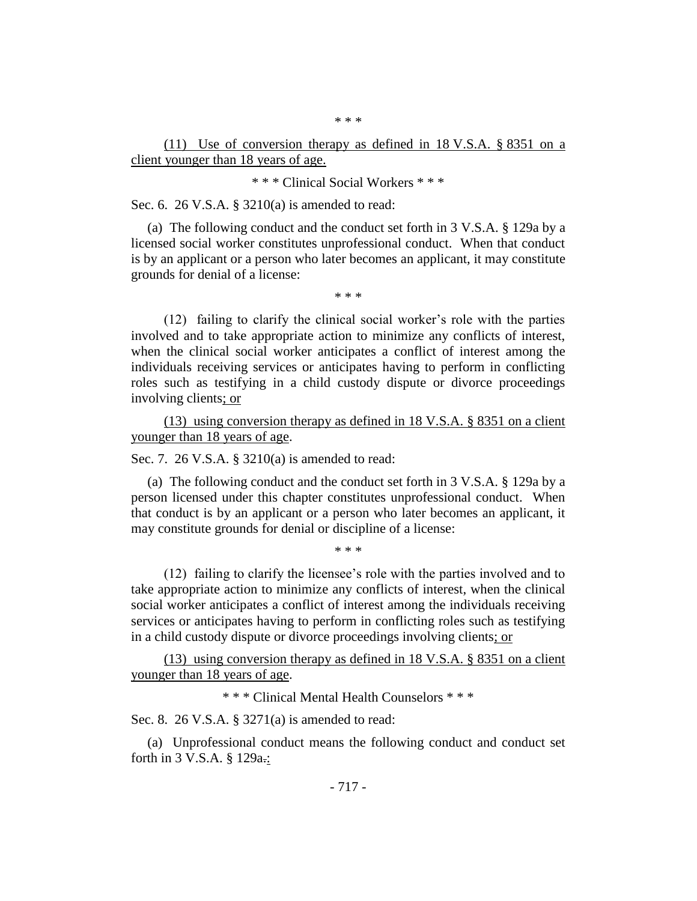\* \* \*

(11) Use of conversion therapy as defined in 18 V.S.A. § 8351 on a client younger than 18 years of age.

\* \* \* Clinical Social Workers \* \* \*

Sec. 6. 26 V.S.A. § 3210(a) is amended to read:

(a) The following conduct and the conduct set forth in 3 V.S.A. § 129a by a licensed social worker constitutes unprofessional conduct. When that conduct is by an applicant or a person who later becomes an applicant, it may constitute grounds for denial of a license:

\* \* \*

(12) failing to clarify the clinical social worker's role with the parties involved and to take appropriate action to minimize any conflicts of interest, when the clinical social worker anticipates a conflict of interest among the individuals receiving services or anticipates having to perform in conflicting roles such as testifying in a child custody dispute or divorce proceedings involving clients; or

(13) using conversion therapy as defined in 18 V.S.A. § 8351 on a client younger than 18 years of age.

Sec. 7. 26 V.S.A. § 3210(a) is amended to read:

(a) The following conduct and the conduct set forth in 3 V.S.A. § 129a by a person licensed under this chapter constitutes unprofessional conduct. When that conduct is by an applicant or a person who later becomes an applicant, it may constitute grounds for denial or discipline of a license:

\* \* \*

(12) failing to clarify the licensee's role with the parties involved and to take appropriate action to minimize any conflicts of interest, when the clinical social worker anticipates a conflict of interest among the individuals receiving services or anticipates having to perform in conflicting roles such as testifying in a child custody dispute or divorce proceedings involving clients; or

(13) using conversion therapy as defined in 18 V.S.A. § 8351 on a client younger than 18 years of age.

\* \* \* Clinical Mental Health Counselors \* \* \*

Sec. 8. 26 V.S.A. § 3271(a) is amended to read:

(a) Unprofessional conduct means the following conduct and conduct set forth in 3 V.S.A. § 129a.: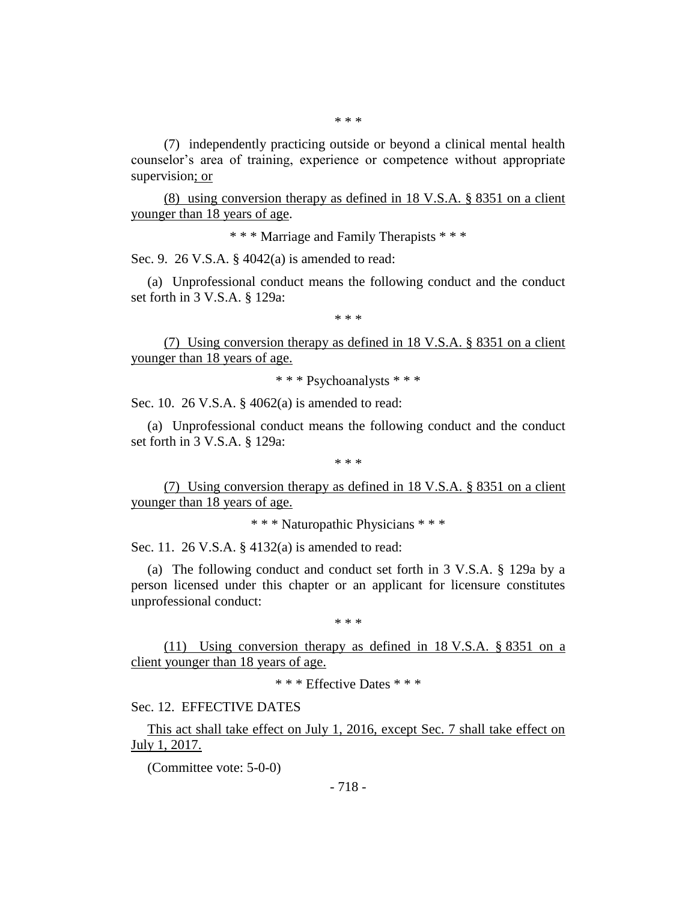(7) independently practicing outside or beyond a clinical mental health counselor's area of training, experience or competence without appropriate supervision; or

(8) using conversion therapy as defined in 18 V.S.A. § 8351 on a client younger than 18 years of age.

\* \* \* Marriage and Family Therapists \* \* \*

Sec. 9. 26 V.S.A. § 4042(a) is amended to read:

(a) Unprofessional conduct means the following conduct and the conduct set forth in 3 V.S.A. § 129a:

\* \* \*

(7) Using conversion therapy as defined in 18 V.S.A. § 8351 on a client younger than 18 years of age.

\* \* \* Psychoanalysts \* \* \*

Sec. 10. 26 V.S.A. § 4062(a) is amended to read:

(a) Unprofessional conduct means the following conduct and the conduct set forth in 3 V.S.A. § 129a:

\* \* \*

(7) Using conversion therapy as defined in 18 V.S.A. § 8351 on a client younger than 18 years of age.

\* \* \* Naturopathic Physicians \* \* \*

Sec. 11. 26 V.S.A. § 4132(a) is amended to read:

(a) The following conduct and conduct set forth in 3 V.S.A. § 129a by a person licensed under this chapter or an applicant for licensure constitutes unprofessional conduct:

\* \* \*

(11) Using conversion therapy as defined in 18 V.S.A. § 8351 on a client younger than 18 years of age.

\* \* \* Effective Dates \* \* \*

Sec. 12. EFFECTIVE DATES

This act shall take effect on July 1, 2016, except Sec. 7 shall take effect on July 1, 2017.

(Committee vote: 5-0-0)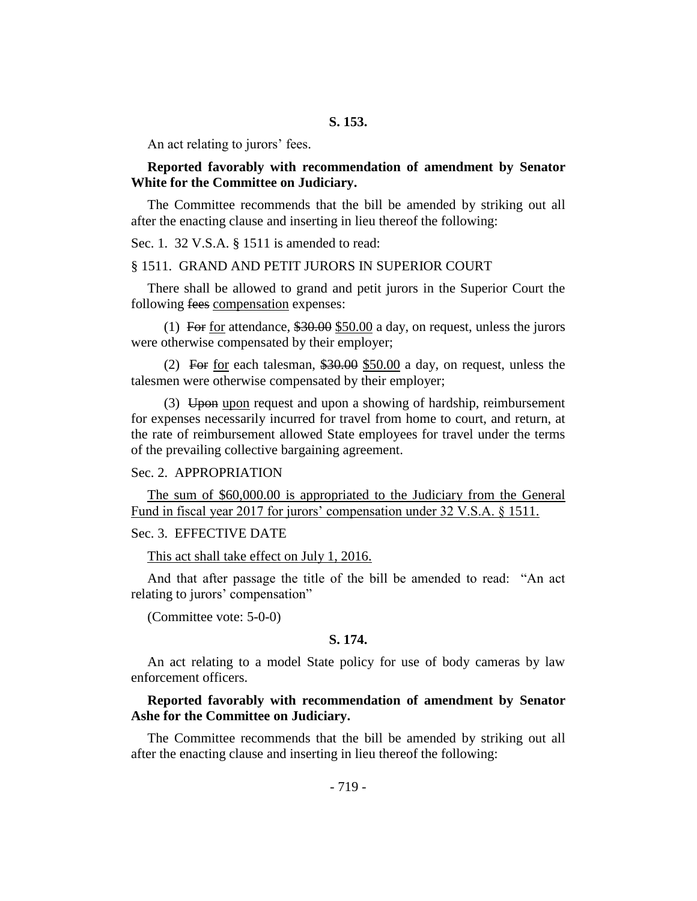An act relating to jurors' fees.

#### **Reported favorably with recommendation of amendment by Senator White for the Committee on Judiciary.**

The Committee recommends that the bill be amended by striking out all after the enacting clause and inserting in lieu thereof the following:

Sec. 1. 32 V.S.A. § 1511 is amended to read:

#### § 1511. GRAND AND PETIT JURORS IN SUPERIOR COURT

There shall be allowed to grand and petit jurors in the Superior Court the following fees compensation expenses:

(1) For for attendance, \$30.00 \$50.00 a day, on request, unless the jurors were otherwise compensated by their employer;

(2) For for each talesman,  $$30.00$  \$50.00 a day, on request, unless the talesmen were otherwise compensated by their employer;

(3) Upon upon request and upon a showing of hardship, reimbursement for expenses necessarily incurred for travel from home to court, and return, at the rate of reimbursement allowed State employees for travel under the terms of the prevailing collective bargaining agreement.

#### Sec. 2. APPROPRIATION

The sum of \$60,000.00 is appropriated to the Judiciary from the General Fund in fiscal year 2017 for jurors' compensation under 32 V.S.A. § 1511.

#### Sec. 3. EFFECTIVE DATE

This act shall take effect on July 1, 2016.

And that after passage the title of the bill be amended to read: "An act relating to jurors' compensation"

(Committee vote: 5-0-0)

#### **S. 174.**

An act relating to a model State policy for use of body cameras by law enforcement officers.

#### **Reported favorably with recommendation of amendment by Senator Ashe for the Committee on Judiciary.**

The Committee recommends that the bill be amended by striking out all after the enacting clause and inserting in lieu thereof the following: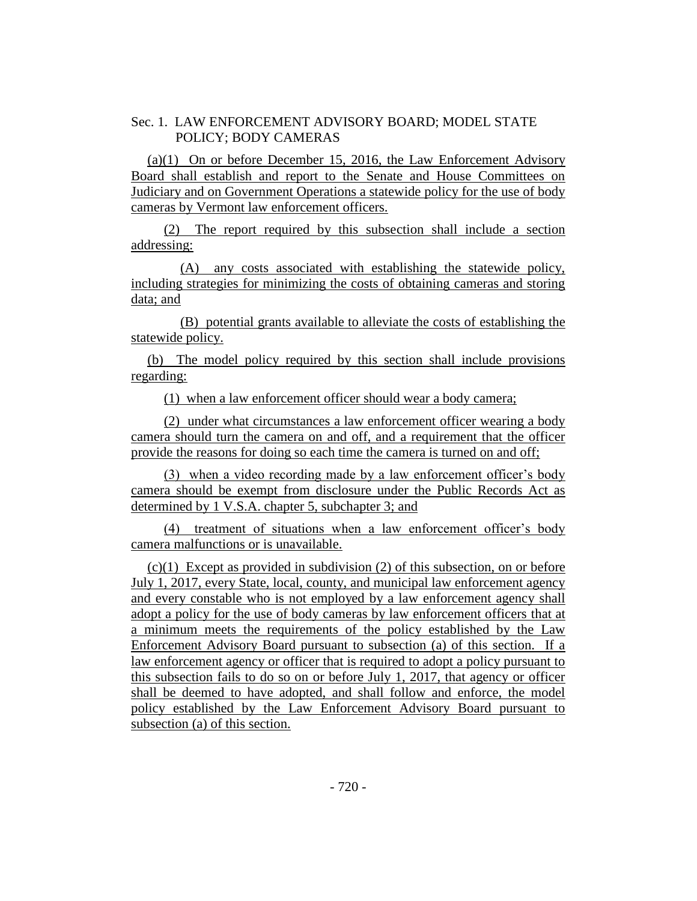# Sec. 1. LAW ENFORCEMENT ADVISORY BOARD; MODEL STATE POLICY; BODY CAMERAS

(a)(1) On or before December 15, 2016, the Law Enforcement Advisory Board shall establish and report to the Senate and House Committees on Judiciary and on Government Operations a statewide policy for the use of body cameras by Vermont law enforcement officers.

(2) The report required by this subsection shall include a section addressing:

(A) any costs associated with establishing the statewide policy, including strategies for minimizing the costs of obtaining cameras and storing data; and

(B) potential grants available to alleviate the costs of establishing the statewide policy.

(b) The model policy required by this section shall include provisions regarding:

(1) when a law enforcement officer should wear a body camera;

(2) under what circumstances a law enforcement officer wearing a body camera should turn the camera on and off, and a requirement that the officer provide the reasons for doing so each time the camera is turned on and off;

(3) when a video recording made by a law enforcement officer's body camera should be exempt from disclosure under the Public Records Act as determined by 1 V.S.A. chapter 5, subchapter 3; and

(4) treatment of situations when a law enforcement officer's body camera malfunctions or is unavailable.

(c)(1) Except as provided in subdivision (2) of this subsection, on or before July 1, 2017, every State, local, county, and municipal law enforcement agency and every constable who is not employed by a law enforcement agency shall adopt a policy for the use of body cameras by law enforcement officers that at a minimum meets the requirements of the policy established by the Law Enforcement Advisory Board pursuant to subsection (a) of this section. If a law enforcement agency or officer that is required to adopt a policy pursuant to this subsection fails to do so on or before July 1, 2017, that agency or officer shall be deemed to have adopted, and shall follow and enforce, the model policy established by the Law Enforcement Advisory Board pursuant to subsection (a) of this section.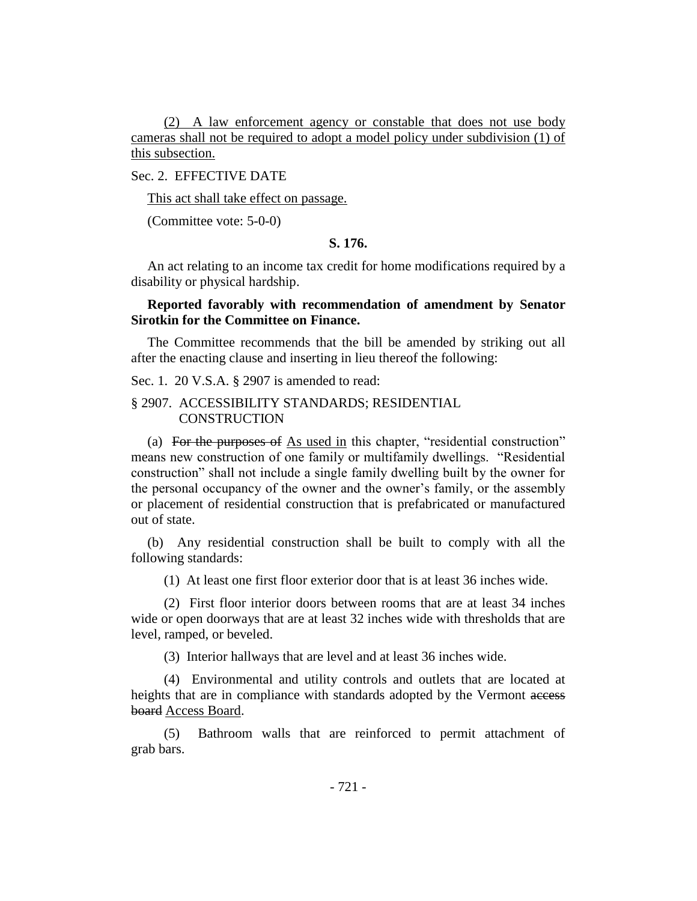(2) A law enforcement agency or constable that does not use body cameras shall not be required to adopt a model policy under subdivision (1) of this subsection.

# Sec. 2. EFFECTIVE DATE

This act shall take effect on passage.

(Committee vote: 5-0-0)

# **S. 176.**

An act relating to an income tax credit for home modifications required by a disability or physical hardship.

# **Reported favorably with recommendation of amendment by Senator Sirotkin for the Committee on Finance.**

The Committee recommends that the bill be amended by striking out all after the enacting clause and inserting in lieu thereof the following:

Sec. 1. 20 V.S.A. § 2907 is amended to read:

## § 2907. ACCESSIBILITY STANDARDS; RESIDENTIAL **CONSTRUCTION**

(a) For the purposes of As used in this chapter, "residential construction" means new construction of one family or multifamily dwellings. "Residential construction" shall not include a single family dwelling built by the owner for the personal occupancy of the owner and the owner's family, or the assembly or placement of residential construction that is prefabricated or manufactured out of state.

(b) Any residential construction shall be built to comply with all the following standards:

(1) At least one first floor exterior door that is at least 36 inches wide.

(2) First floor interior doors between rooms that are at least 34 inches wide or open doorways that are at least 32 inches wide with thresholds that are level, ramped, or beveled.

(3) Interior hallways that are level and at least 36 inches wide.

(4) Environmental and utility controls and outlets that are located at heights that are in compliance with standards adopted by the Vermont access board Access Board.

(5) Bathroom walls that are reinforced to permit attachment of grab bars.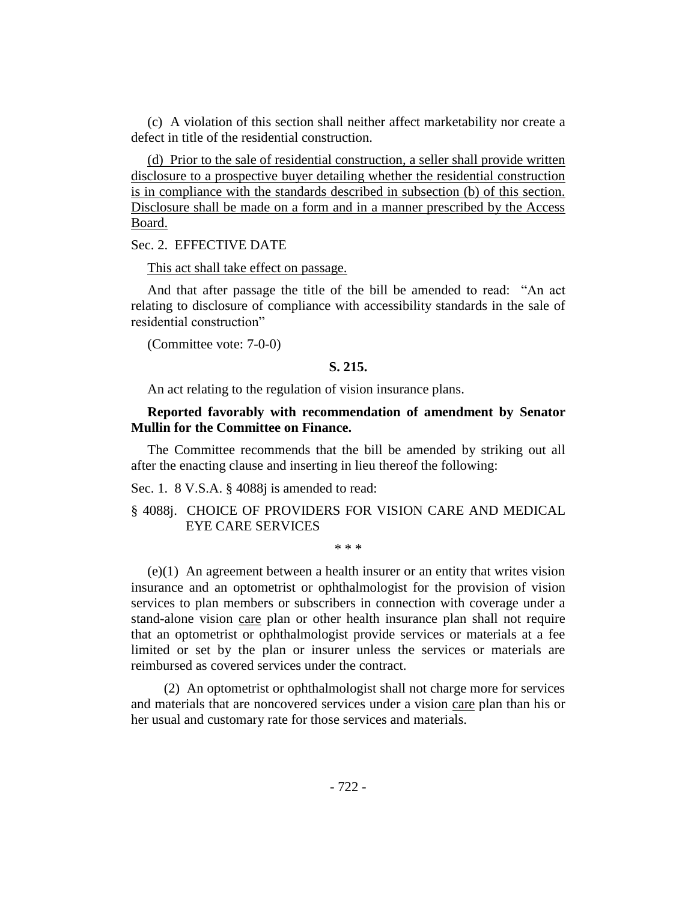(c) A violation of this section shall neither affect marketability nor create a defect in title of the residential construction.

(d) Prior to the sale of residential construction, a seller shall provide written disclosure to a prospective buyer detailing whether the residential construction is in compliance with the standards described in subsection (b) of this section. Disclosure shall be made on a form and in a manner prescribed by the Access Board.

Sec. 2. EFFECTIVE DATE

This act shall take effect on passage.

And that after passage the title of the bill be amended to read: "An act relating to disclosure of compliance with accessibility standards in the sale of residential construction"

(Committee vote: 7-0-0)

#### **S. 215.**

An act relating to the regulation of vision insurance plans.

# **Reported favorably with recommendation of amendment by Senator Mullin for the Committee on Finance.**

The Committee recommends that the bill be amended by striking out all after the enacting clause and inserting in lieu thereof the following:

Sec. 1. 8 V.S.A. § 4088*j* is amended to read:

# § 4088j. CHOICE OF PROVIDERS FOR VISION CARE AND MEDICAL EYE CARE SERVICES

\* \* \*

(e)(1) An agreement between a health insurer or an entity that writes vision insurance and an optometrist or ophthalmologist for the provision of vision services to plan members or subscribers in connection with coverage under a stand-alone vision care plan or other health insurance plan shall not require that an optometrist or ophthalmologist provide services or materials at a fee limited or set by the plan or insurer unless the services or materials are reimbursed as covered services under the contract.

(2) An optometrist or ophthalmologist shall not charge more for services and materials that are noncovered services under a vision care plan than his or her usual and customary rate for those services and materials.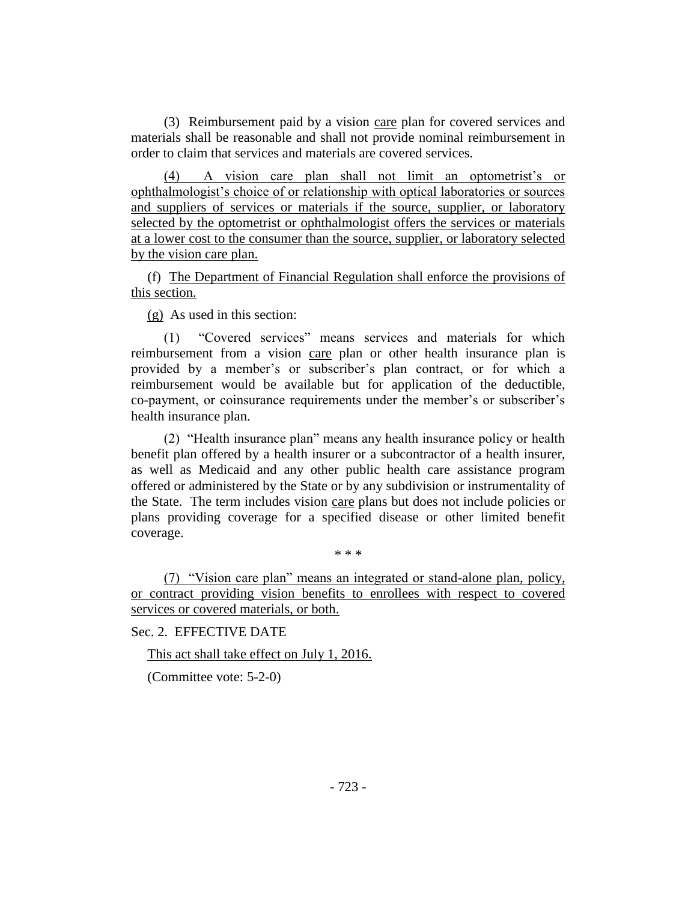(3) Reimbursement paid by a vision care plan for covered services and materials shall be reasonable and shall not provide nominal reimbursement in order to claim that services and materials are covered services.

(4) A vision care plan shall not limit an optometrist's or ophthalmologist's choice of or relationship with optical laboratories or sources and suppliers of services or materials if the source, supplier, or laboratory selected by the optometrist or ophthalmologist offers the services or materials at a lower cost to the consumer than the source, supplier, or laboratory selected by the vision care plan.

(f) The Department of Financial Regulation shall enforce the provisions of this section.

(g) As used in this section:

(1) "Covered services" means services and materials for which reimbursement from a vision care plan or other health insurance plan is provided by a member's or subscriber's plan contract, or for which a reimbursement would be available but for application of the deductible, co-payment, or coinsurance requirements under the member's or subscriber's health insurance plan.

(2) "Health insurance plan" means any health insurance policy or health benefit plan offered by a health insurer or a subcontractor of a health insurer, as well as Medicaid and any other public health care assistance program offered or administered by the State or by any subdivision or instrumentality of the State. The term includes vision care plans but does not include policies or plans providing coverage for a specified disease or other limited benefit coverage.

\* \* \*

(7) "Vision care plan" means an integrated or stand-alone plan, policy, or contract providing vision benefits to enrollees with respect to covered services or covered materials, or both.

Sec. 2. EFFECTIVE DATE

This act shall take effect on July 1, 2016.

(Committee vote: 5-2-0)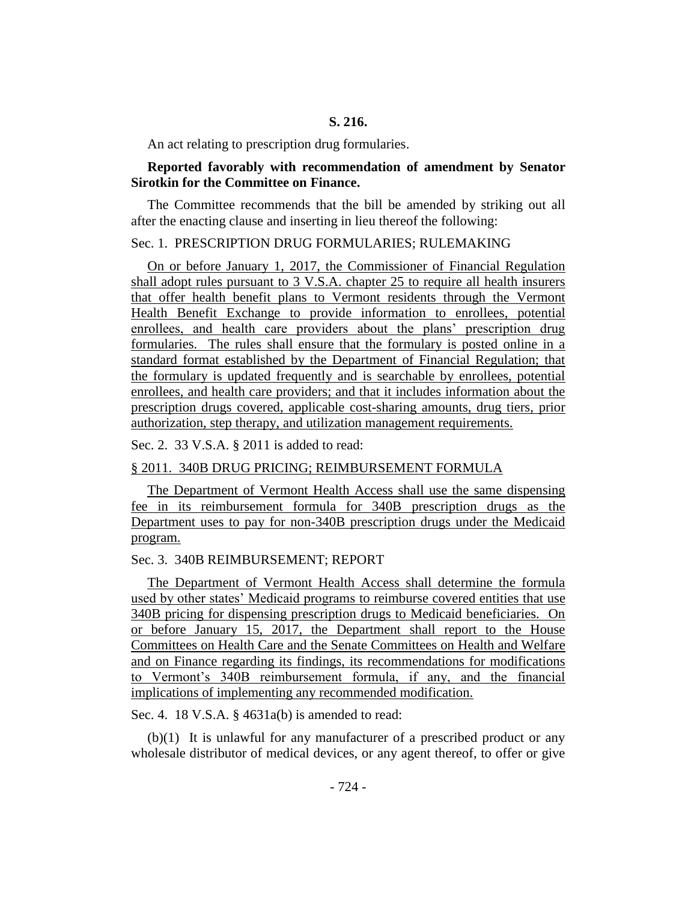An act relating to prescription drug formularies.

#### **Reported favorably with recommendation of amendment by Senator Sirotkin for the Committee on Finance.**

The Committee recommends that the bill be amended by striking out all after the enacting clause and inserting in lieu thereof the following:

#### Sec. 1. PRESCRIPTION DRUG FORMULARIES; RULEMAKING

On or before January 1, 2017, the Commissioner of Financial Regulation shall adopt rules pursuant to 3 V.S.A. chapter 25 to require all health insurers that offer health benefit plans to Vermont residents through the Vermont Health Benefit Exchange to provide information to enrollees, potential enrollees, and health care providers about the plans' prescription drug formularies. The rules shall ensure that the formulary is posted online in a standard format established by the Department of Financial Regulation; that the formulary is updated frequently and is searchable by enrollees, potential enrollees, and health care providers; and that it includes information about the prescription drugs covered, applicable cost-sharing amounts, drug tiers, prior authorization, step therapy, and utilization management requirements.

Sec. 2. 33 V.S.A. § 2011 is added to read:

#### § 2011. 340B DRUG PRICING; REIMBURSEMENT FORMULA

The Department of Vermont Health Access shall use the same dispensing fee in its reimbursement formula for 340B prescription drugs as the Department uses to pay for non-340B prescription drugs under the Medicaid program.

#### Sec. 3. 340B REIMBURSEMENT; REPORT

The Department of Vermont Health Access shall determine the formula used by other states' Medicaid programs to reimburse covered entities that use 340B pricing for dispensing prescription drugs to Medicaid beneficiaries. On or before January 15, 2017, the Department shall report to the House Committees on Health Care and the Senate Committees on Health and Welfare and on Finance regarding its findings, its recommendations for modifications to Vermont's 340B reimbursement formula, if any, and the financial implications of implementing any recommended modification.

Sec. 4. 18 V.S.A. § 4631a(b) is amended to read:

(b)(1) It is unlawful for any manufacturer of a prescribed product or any wholesale distributor of medical devices, or any agent thereof, to offer or give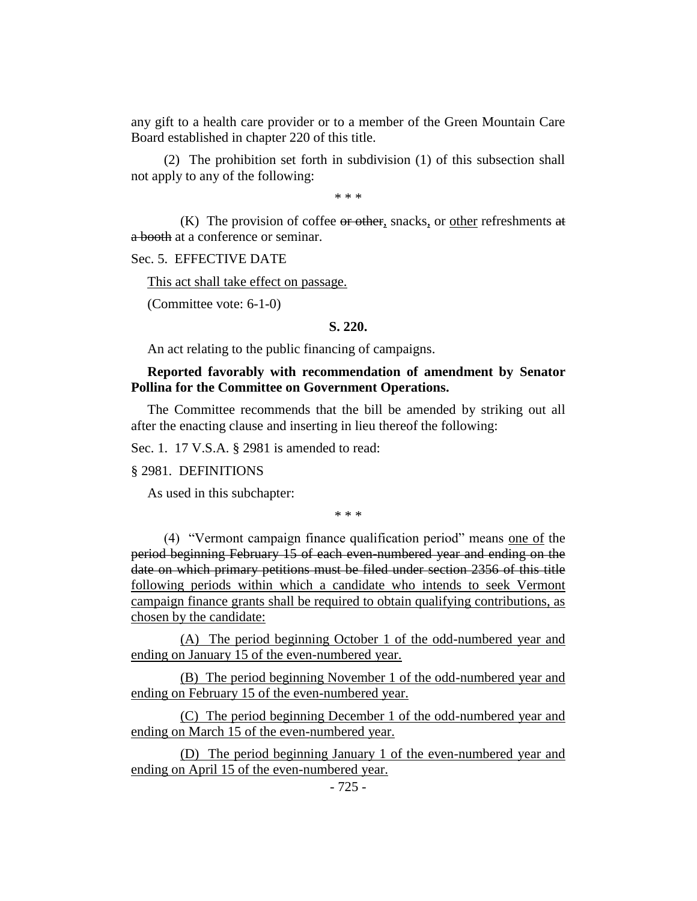any gift to a health care provider or to a member of the Green Mountain Care Board established in chapter 220 of this title.

(2) The prohibition set forth in subdivision (1) of this subsection shall not apply to any of the following:

\* \* \*

 $(K)$  The provision of coffee or other, snacks, or other refreshments at a booth at a conference or seminar.

Sec. 5. EFFECTIVE DATE

This act shall take effect on passage.

(Committee vote: 6-1-0)

#### **S. 220.**

An act relating to the public financing of campaigns.

# **Reported favorably with recommendation of amendment by Senator Pollina for the Committee on Government Operations.**

The Committee recommends that the bill be amended by striking out all after the enacting clause and inserting in lieu thereof the following:

Sec. 1. 17 V.S.A. § 2981 is amended to read:

#### § 2981. DEFINITIONS

As used in this subchapter:

\* \* \*

(4) "Vermont campaign finance qualification period" means one of the period beginning February 15 of each even-numbered year and ending on the date on which primary petitions must be filed under section 2356 of this title following periods within which a candidate who intends to seek Vermont campaign finance grants shall be required to obtain qualifying contributions, as chosen by the candidate:

(A) The period beginning October 1 of the odd-numbered year and ending on January 15 of the even-numbered year.

(B) The period beginning November 1 of the odd-numbered year and ending on February 15 of the even-numbered year.

(C) The period beginning December 1 of the odd-numbered year and ending on March 15 of the even-numbered year.

(D) The period beginning January 1 of the even-numbered year and ending on April 15 of the even-numbered year.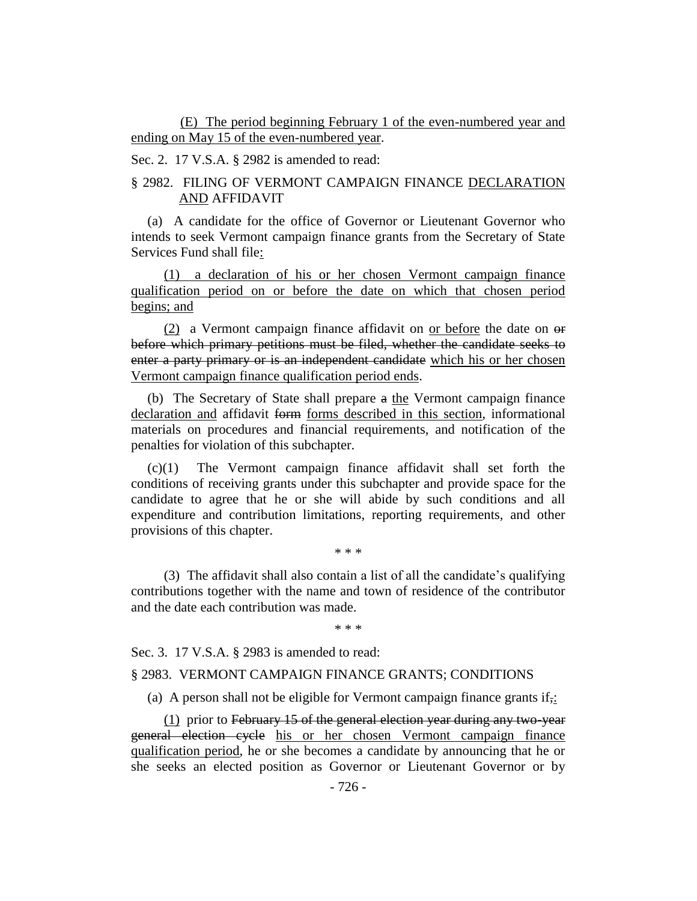(E) The period beginning February 1 of the even-numbered year and ending on May 15 of the even-numbered year.

Sec. 2. 17 V.S.A. § 2982 is amended to read:

# § 2982. FILING OF VERMONT CAMPAIGN FINANCE DECLARATION AND AFFIDAVIT

(a) A candidate for the office of Governor or Lieutenant Governor who intends to seek Vermont campaign finance grants from the Secretary of State Services Fund shall file:

(1) a declaration of his or her chosen Vermont campaign finance qualification period on or before the date on which that chosen period begins; and

(2) a Vermont campaign finance affidavit on or before the date on  $\Theta$ before which primary petitions must be filed, whether the candidate seeks to enter a party primary or is an independent candidate which his or her chosen Vermont campaign finance qualification period ends.

(b) The Secretary of State shall prepare a the Vermont campaign finance declaration and affidavit form forms described in this section, informational materials on procedures and financial requirements, and notification of the penalties for violation of this subchapter.

(c)(1) The Vermont campaign finance affidavit shall set forth the conditions of receiving grants under this subchapter and provide space for the candidate to agree that he or she will abide by such conditions and all expenditure and contribution limitations, reporting requirements, and other provisions of this chapter.

(3) The affidavit shall also contain a list of all the candidate's qualifying contributions together with the name and town of residence of the contributor and the date each contribution was made.

\* \* \*

\* \* \*

Sec. 3. 17 V.S.A. § 2983 is amended to read:

#### § 2983. VERMONT CAMPAIGN FINANCE GRANTS; CONDITIONS

(a) A person shall not be eligible for Vermont campaign finance grants if.

(1) prior to February 15 of the general election year during any two-year general election cycle his or her chosen Vermont campaign finance qualification period, he or she becomes a candidate by announcing that he or she seeks an elected position as Governor or Lieutenant Governor or by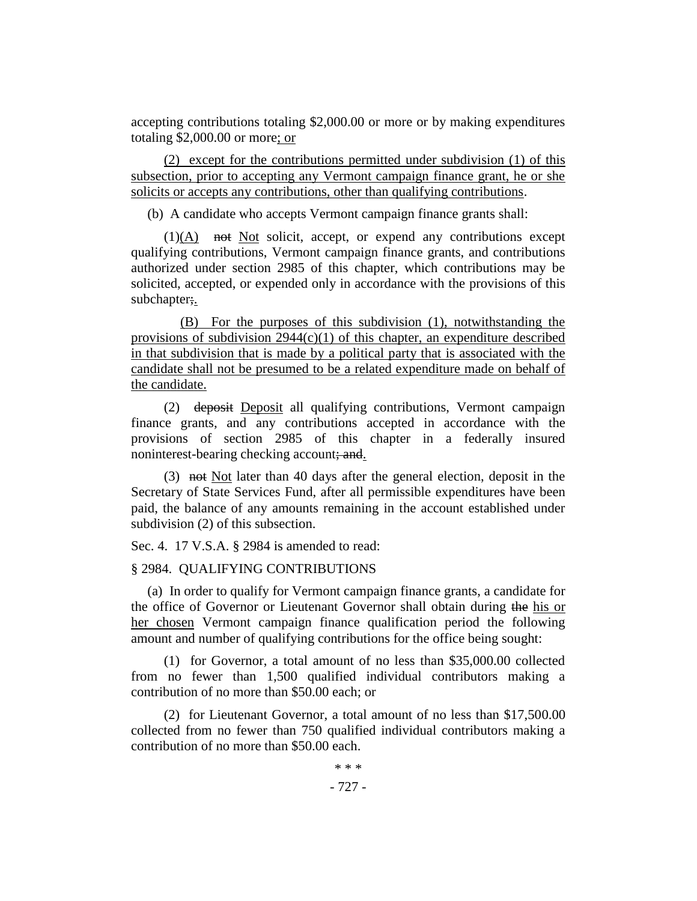accepting contributions totaling \$2,000.00 or more or by making expenditures totaling \$2,000.00 or more; or

(2) except for the contributions permitted under subdivision (1) of this subsection, prior to accepting any Vermont campaign finance grant, he or she solicits or accepts any contributions, other than qualifying contributions.

(b) A candidate who accepts Vermont campaign finance grants shall:

 $(1)(A)$  not Not solicit, accept, or expend any contributions except qualifying contributions, Vermont campaign finance grants, and contributions authorized under section 2985 of this chapter, which contributions may be solicited, accepted, or expended only in accordance with the provisions of this subchapter;

(B) For the purposes of this subdivision (1), notwithstanding the provisions of subdivision  $2944(c)(1)$  of this chapter, an expenditure described in that subdivision that is made by a political party that is associated with the candidate shall not be presumed to be a related expenditure made on behalf of the candidate.

(2) deposit Deposit all qualifying contributions, Vermont campaign finance grants, and any contributions accepted in accordance with the provisions of section 2985 of this chapter in a federally insured noninterest-bearing checking account; and.

(3) not Not later than 40 days after the general election, deposit in the Secretary of State Services Fund, after all permissible expenditures have been paid, the balance of any amounts remaining in the account established under subdivision (2) of this subsection.

Sec. 4. 17 V.S.A. § 2984 is amended to read:

# § 2984. QUALIFYING CONTRIBUTIONS

(a) In order to qualify for Vermont campaign finance grants, a candidate for the office of Governor or Lieutenant Governor shall obtain during the his or her chosen Vermont campaign finance qualification period the following amount and number of qualifying contributions for the office being sought:

(1) for Governor, a total amount of no less than \$35,000.00 collected from no fewer than 1,500 qualified individual contributors making a contribution of no more than \$50.00 each; or

(2) for Lieutenant Governor, a total amount of no less than \$17,500.00 collected from no fewer than 750 qualified individual contributors making a contribution of no more than \$50.00 each.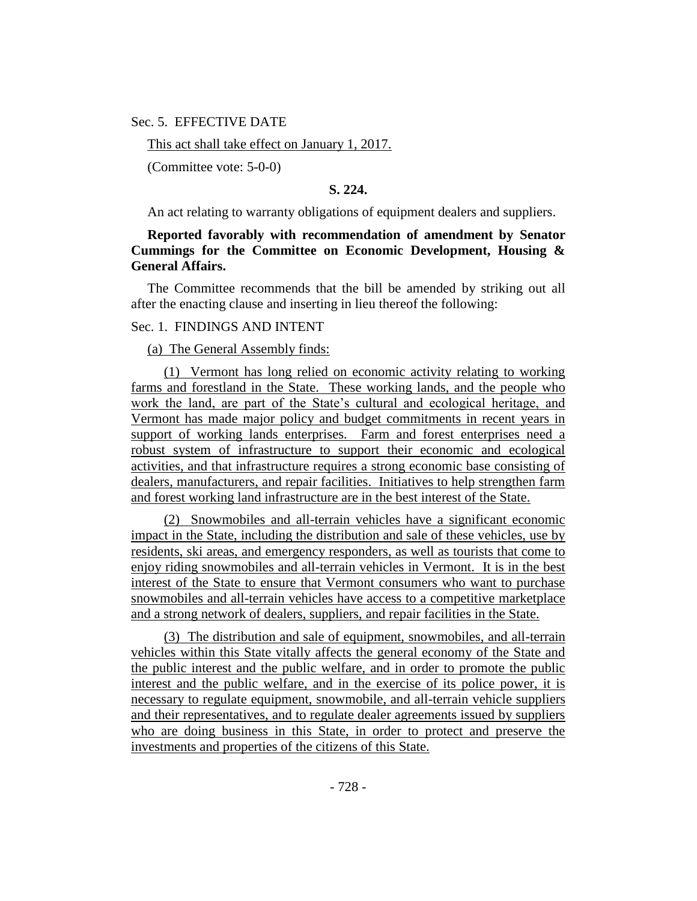#### Sec. 5. EFFECTIVE DATE

This act shall take effect on January 1, 2017.

(Committee vote: 5-0-0)

**S. 224.**

An act relating to warranty obligations of equipment dealers and suppliers.

# **Reported favorably with recommendation of amendment by Senator Cummings for the Committee on Economic Development, Housing & General Affairs.**

The Committee recommends that the bill be amended by striking out all after the enacting clause and inserting in lieu thereof the following:

# Sec. 1. FINDINGS AND INTENT

(a) The General Assembly finds:

(1) Vermont has long relied on economic activity relating to working farms and forestland in the State. These working lands, and the people who work the land, are part of the State's cultural and ecological heritage, and Vermont has made major policy and budget commitments in recent years in support of working lands enterprises. Farm and forest enterprises need a robust system of infrastructure to support their economic and ecological activities, and that infrastructure requires a strong economic base consisting of dealers, manufacturers, and repair facilities. Initiatives to help strengthen farm and forest working land infrastructure are in the best interest of the State.

(2) Snowmobiles and all-terrain vehicles have a significant economic impact in the State, including the distribution and sale of these vehicles, use by residents, ski areas, and emergency responders, as well as tourists that come to enjoy riding snowmobiles and all-terrain vehicles in Vermont. It is in the best interest of the State to ensure that Vermont consumers who want to purchase snowmobiles and all-terrain vehicles have access to a competitive marketplace and a strong network of dealers, suppliers, and repair facilities in the State.

(3) The distribution and sale of equipment, snowmobiles, and all-terrain vehicles within this State vitally affects the general economy of the State and the public interest and the public welfare, and in order to promote the public interest and the public welfare, and in the exercise of its police power, it is necessary to regulate equipment, snowmobile, and all-terrain vehicle suppliers and their representatives, and to regulate dealer agreements issued by suppliers who are doing business in this State, in order to protect and preserve the investments and properties of the citizens of this State.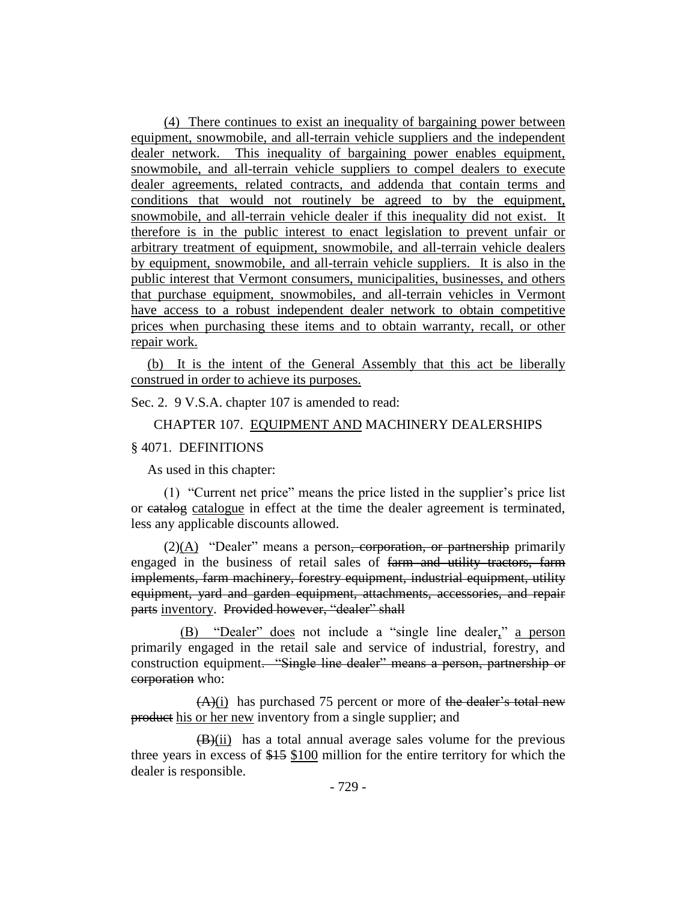(4) There continues to exist an inequality of bargaining power between equipment, snowmobile, and all-terrain vehicle suppliers and the independent dealer network. This inequality of bargaining power enables equipment, snowmobile, and all-terrain vehicle suppliers to compel dealers to execute dealer agreements, related contracts, and addenda that contain terms and conditions that would not routinely be agreed to by the equipment, snowmobile, and all-terrain vehicle dealer if this inequality did not exist. It therefore is in the public interest to enact legislation to prevent unfair or arbitrary treatment of equipment, snowmobile, and all-terrain vehicle dealers by equipment, snowmobile, and all-terrain vehicle suppliers. It is also in the public interest that Vermont consumers, municipalities, businesses, and others that purchase equipment, snowmobiles, and all-terrain vehicles in Vermont have access to a robust independent dealer network to obtain competitive prices when purchasing these items and to obtain warranty, recall, or other repair work.

(b) It is the intent of the General Assembly that this act be liberally construed in order to achieve its purposes.

Sec. 2. 9 V.S.A. chapter 107 is amended to read:

# CHAPTER 107. EQUIPMENT AND MACHINERY DEALERSHIPS § 4071. DEFINITIONS

As used in this chapter:

(1) "Current net price" means the price listed in the supplier's price list or catalogue in effect at the time the dealer agreement is terminated, less any applicable discounts allowed.

 $(2)$ (A) "Dealer" means a person<del>, corporation, or partnership</del> primarily engaged in the business of retail sales of farm and utility tractors, farm implements, farm machinery, forestry equipment, industrial equipment, utility equipment, yard and garden equipment, attachments, accessories, and repair parts inventory. Provided however, "dealer" shall

(B) "Dealer" does not include a "single line dealer," a person primarily engaged in the retail sale and service of industrial, forestry, and construction equipment. "Single line dealer" means a person, partnership or corporation who:

 $(A)(i)$  has purchased 75 percent or more of the dealer's total new product his or her new inventory from a single supplier; and

 $(B)(ii)$  has a total annual average sales volume for the previous three years in excess of \$15 \$100 million for the entire territory for which the dealer is responsible.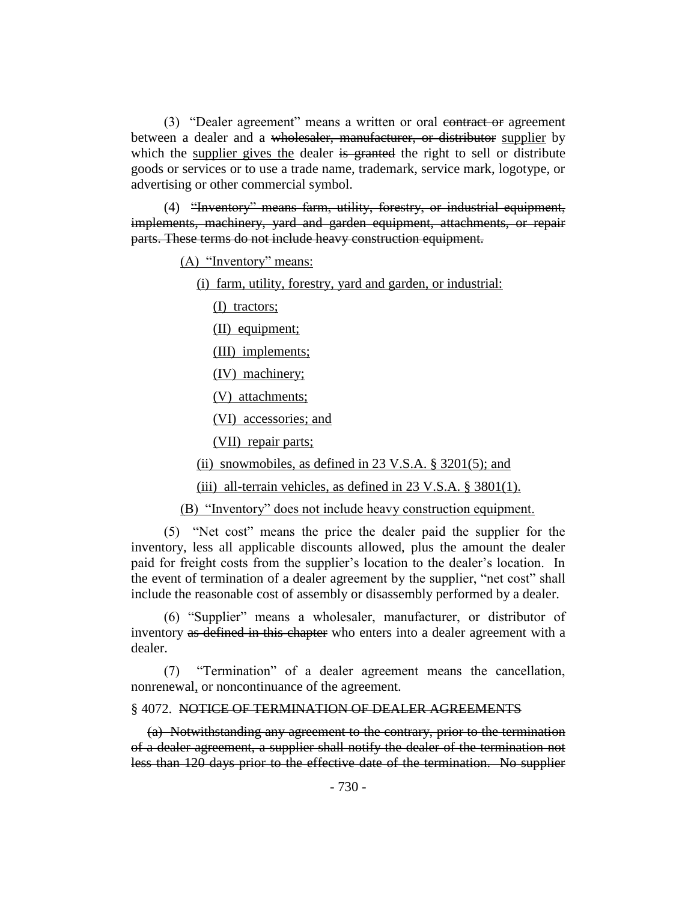(3) "Dealer agreement" means a written or oral contract or agreement between a dealer and a wholesaler, manufacturer, or distributor supplier by which the supplier gives the dealer is granted the right to sell or distribute goods or services or to use a trade name, trademark, service mark, logotype, or advertising or other commercial symbol.

(4) "Inventory" means farm, utility, forestry, or industrial equipment, implements, machinery, yard and garden equipment, attachments, or repair parts. These terms do not include heavy construction equipment.

(A) "Inventory" means:

(i) farm, utility, forestry, yard and garden, or industrial:

(I) tractors;

(II) equipment;

(III) implements;

(IV) machinery;

(V) attachments;

(VI) accessories; and

(VII) repair parts;

(ii) snowmobiles, as defined in  $23 \text{ V.S.A. }$  §  $3201(5)$ ; and

(iii) all-terrain vehicles, as defined in  $23 \text{ V.S.A.}$   $\S 3801(1)$ .

(B) "Inventory" does not include heavy construction equipment.

(5) "Net cost" means the price the dealer paid the supplier for the inventory, less all applicable discounts allowed, plus the amount the dealer paid for freight costs from the supplier's location to the dealer's location. In the event of termination of a dealer agreement by the supplier, "net cost" shall include the reasonable cost of assembly or disassembly performed by a dealer.

(6) "Supplier" means a wholesaler, manufacturer, or distributor of inventory as defined in this chapter who enters into a dealer agreement with a dealer.

(7) "Termination" of a dealer agreement means the cancellation, nonrenewal, or noncontinuance of the agreement.

#### § 4072. NOTICE OF TERMINATION OF DEALER AGREEMENTS

(a) Notwithstanding any agreement to the contrary, prior to the termination of a dealer agreement, a supplier shall notify the dealer of the termination not less than 120 days prior to the effective date of the termination. No supplier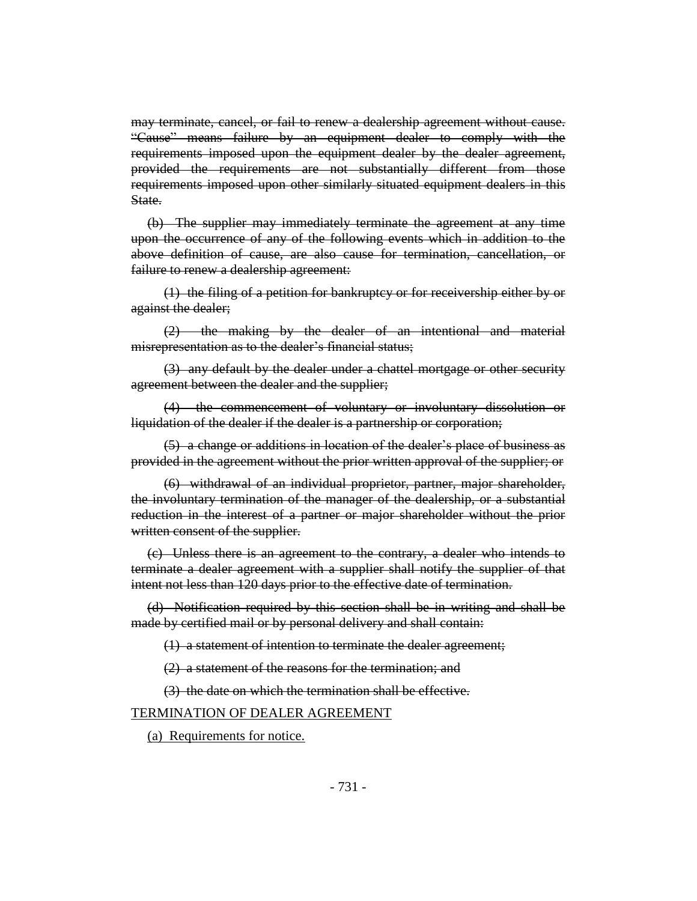may terminate, cancel, or fail to renew a dealership agreement without cause. "Cause" means failure by an equipment dealer to comply with the requirements imposed upon the equipment dealer by the dealer agreement, provided the requirements are not substantially different from those requirements imposed upon other similarly situated equipment dealers in this State.

(b) The supplier may immediately terminate the agreement at any time upon the occurrence of any of the following events which in addition to the above definition of cause, are also cause for termination, cancellation, or failure to renew a dealership agreement:

(1) the filing of a petition for bankruptcy or for receivership either by or against the dealer;

(2) the making by the dealer of an intentional and material misrepresentation as to the dealer's financial status;

(3) any default by the dealer under a chattel mortgage or other security agreement between the dealer and the supplier;

(4) the commencement of voluntary or involuntary dissolution or liquidation of the dealer if the dealer is a partnership or corporation;

(5) a change or additions in location of the dealer's place of business as provided in the agreement without the prior written approval of the supplier; or

(6) withdrawal of an individual proprietor, partner, major shareholder, the involuntary termination of the manager of the dealership, or a substantial reduction in the interest of a partner or major shareholder without the prior written consent of the supplier.

(c) Unless there is an agreement to the contrary, a dealer who intends to terminate a dealer agreement with a supplier shall notify the supplier of that intent not less than 120 days prior to the effective date of termination.

(d) Notification required by this section shall be in writing and shall be made by certified mail or by personal delivery and shall contain:

(1) a statement of intention to terminate the dealer agreement;

(2) a statement of the reasons for the termination; and

(3) the date on which the termination shall be effective.

# TERMINATION OF DEALER AGREEMENT

(a) Requirements for notice.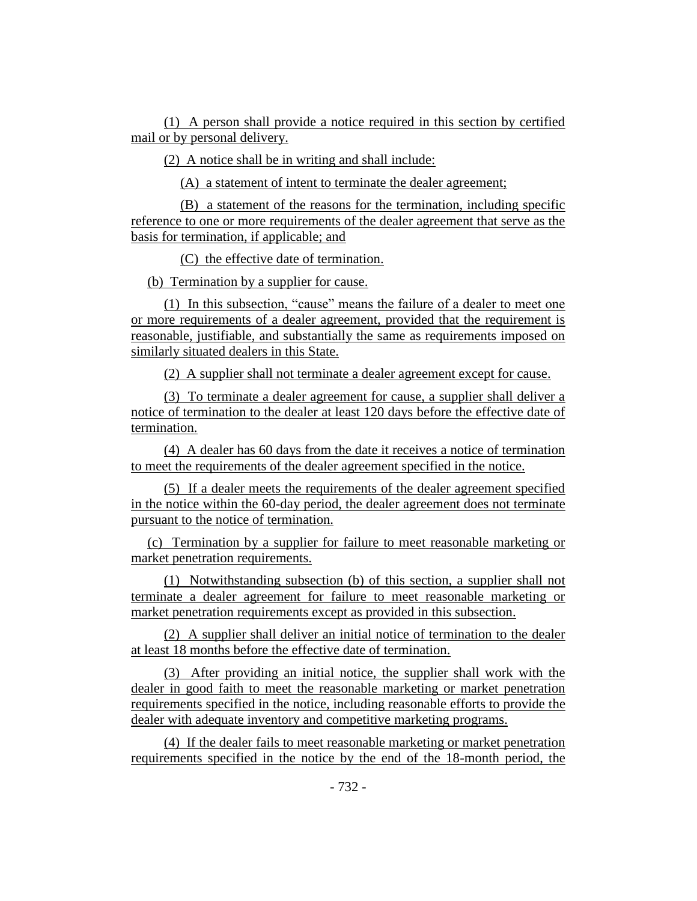(1) A person shall provide a notice required in this section by certified mail or by personal delivery.

(2) A notice shall be in writing and shall include:

(A) a statement of intent to terminate the dealer agreement;

(B) a statement of the reasons for the termination, including specific reference to one or more requirements of the dealer agreement that serve as the basis for termination, if applicable; and

(C) the effective date of termination.

(b) Termination by a supplier for cause.

(1) In this subsection, "cause" means the failure of a dealer to meet one or more requirements of a dealer agreement, provided that the requirement is reasonable, justifiable, and substantially the same as requirements imposed on similarly situated dealers in this State.

(2) A supplier shall not terminate a dealer agreement except for cause.

(3) To terminate a dealer agreement for cause, a supplier shall deliver a notice of termination to the dealer at least 120 days before the effective date of termination.

(4) A dealer has 60 days from the date it receives a notice of termination to meet the requirements of the dealer agreement specified in the notice.

(5) If a dealer meets the requirements of the dealer agreement specified in the notice within the 60-day period, the dealer agreement does not terminate pursuant to the notice of termination.

(c) Termination by a supplier for failure to meet reasonable marketing or market penetration requirements.

(1) Notwithstanding subsection (b) of this section, a supplier shall not terminate a dealer agreement for failure to meet reasonable marketing or market penetration requirements except as provided in this subsection.

(2) A supplier shall deliver an initial notice of termination to the dealer at least 18 months before the effective date of termination.

(3) After providing an initial notice, the supplier shall work with the dealer in good faith to meet the reasonable marketing or market penetration requirements specified in the notice, including reasonable efforts to provide the dealer with adequate inventory and competitive marketing programs.

(4) If the dealer fails to meet reasonable marketing or market penetration requirements specified in the notice by the end of the 18-month period, the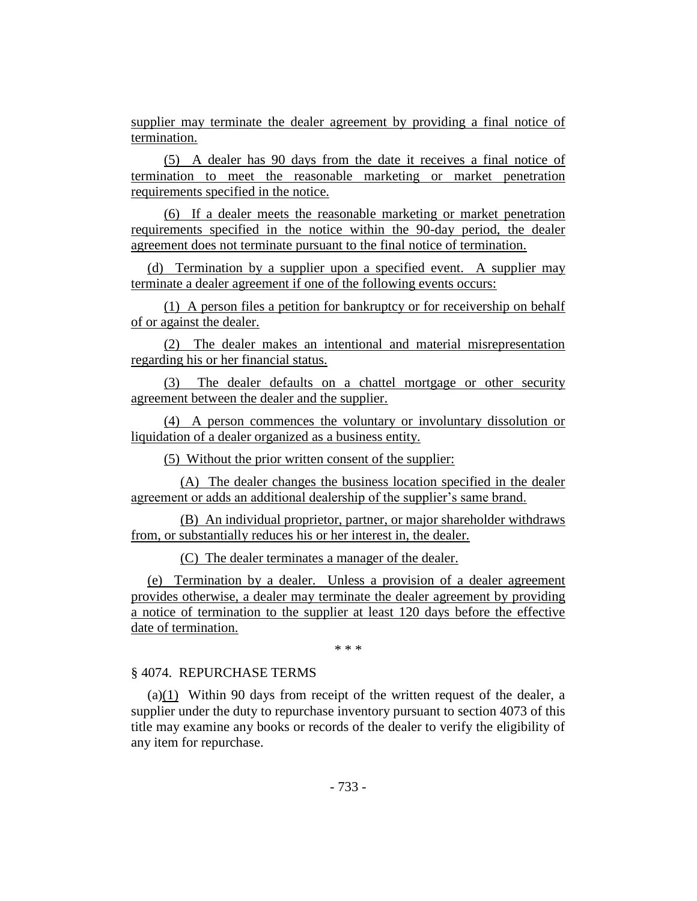supplier may terminate the dealer agreement by providing a final notice of termination.

(5) A dealer has 90 days from the date it receives a final notice of termination to meet the reasonable marketing or market penetration requirements specified in the notice.

(6) If a dealer meets the reasonable marketing or market penetration requirements specified in the notice within the 90-day period, the dealer agreement does not terminate pursuant to the final notice of termination.

(d) Termination by a supplier upon a specified event. A supplier may terminate a dealer agreement if one of the following events occurs:

(1) A person files a petition for bankruptcy or for receivership on behalf of or against the dealer.

(2) The dealer makes an intentional and material misrepresentation regarding his or her financial status.

(3) The dealer defaults on a chattel mortgage or other security agreement between the dealer and the supplier.

(4) A person commences the voluntary or involuntary dissolution or liquidation of a dealer organized as a business entity.

(5) Without the prior written consent of the supplier:

(A) The dealer changes the business location specified in the dealer agreement or adds an additional dealership of the supplier's same brand.

(B) An individual proprietor, partner, or major shareholder withdraws from, or substantially reduces his or her interest in, the dealer.

(C) The dealer terminates a manager of the dealer.

(e) Termination by a dealer. Unless a provision of a dealer agreement provides otherwise, a dealer may terminate the dealer agreement by providing a notice of termination to the supplier at least 120 days before the effective date of termination.

\* \* \*

# § 4074. REPURCHASE TERMS

(a)(1) Within 90 days from receipt of the written request of the dealer, a supplier under the duty to repurchase inventory pursuant to section 4073 of this title may examine any books or records of the dealer to verify the eligibility of any item for repurchase.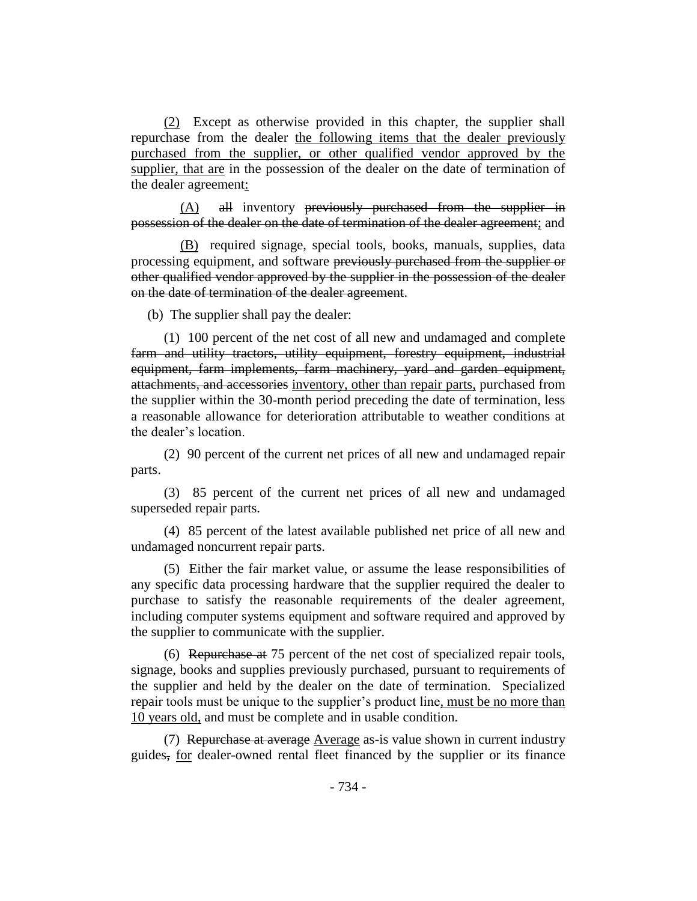(2) Except as otherwise provided in this chapter, the supplier shall repurchase from the dealer the following items that the dealer previously purchased from the supplier, or other qualified vendor approved by the supplier, that are in the possession of the dealer on the date of termination of the dealer agreement:

 $(A)$  all inventory previously purchased from the supplier in possession of the dealer on the date of termination of the dealer agreement; and

(B) required signage, special tools, books, manuals, supplies, data processing equipment, and software previously purchased from the supplier or other qualified vendor approved by the supplier in the possession of the dealer on the date of termination of the dealer agreement.

(b) The supplier shall pay the dealer:

(1) 100 percent of the net cost of all new and undamaged and complete farm and utility tractors, utility equipment, forestry equipment, industrial equipment, farm implements, farm machinery, yard and garden equipment, attachments, and accessories inventory, other than repair parts, purchased from the supplier within the 30-month period preceding the date of termination, less a reasonable allowance for deterioration attributable to weather conditions at the dealer's location.

(2) 90 percent of the current net prices of all new and undamaged repair parts.

(3) 85 percent of the current net prices of all new and undamaged superseded repair parts.

(4) 85 percent of the latest available published net price of all new and undamaged noncurrent repair parts.

(5) Either the fair market value, or assume the lease responsibilities of any specific data processing hardware that the supplier required the dealer to purchase to satisfy the reasonable requirements of the dealer agreement, including computer systems equipment and software required and approved by the supplier to communicate with the supplier.

(6) Repurchase at 75 percent of the net cost of specialized repair tools, signage, books and supplies previously purchased, pursuant to requirements of the supplier and held by the dealer on the date of termination. Specialized repair tools must be unique to the supplier's product line, must be no more than 10 years old, and must be complete and in usable condition.

(7) Repurchase at average Average as-is value shown in current industry guides, for dealer-owned rental fleet financed by the supplier or its finance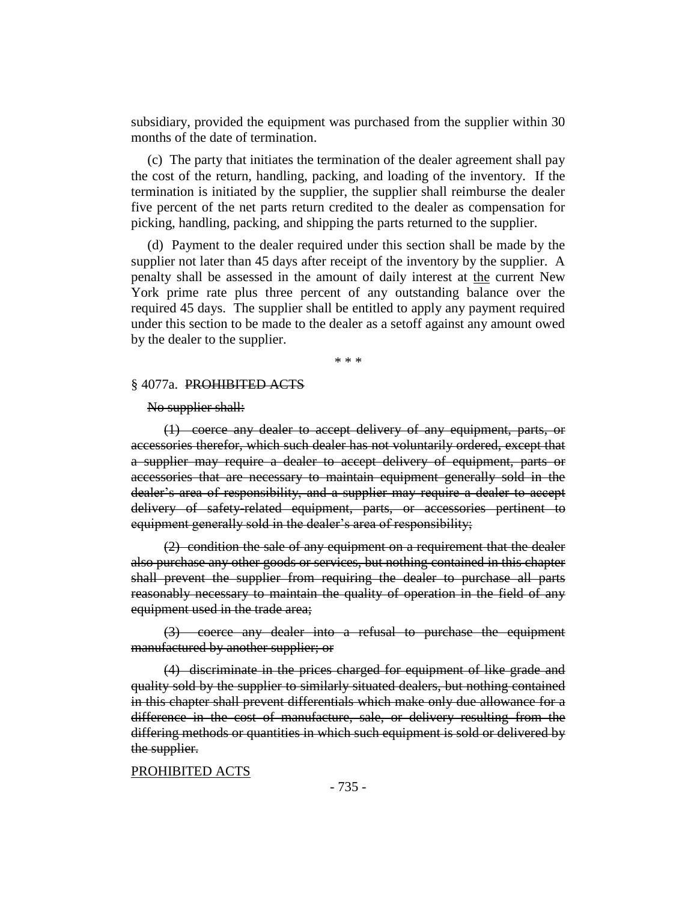subsidiary, provided the equipment was purchased from the supplier within 30 months of the date of termination.

(c) The party that initiates the termination of the dealer agreement shall pay the cost of the return, handling, packing, and loading of the inventory. If the termination is initiated by the supplier, the supplier shall reimburse the dealer five percent of the net parts return credited to the dealer as compensation for picking, handling, packing, and shipping the parts returned to the supplier.

(d) Payment to the dealer required under this section shall be made by the supplier not later than 45 days after receipt of the inventory by the supplier. A penalty shall be assessed in the amount of daily interest at the current New York prime rate plus three percent of any outstanding balance over the required 45 days. The supplier shall be entitled to apply any payment required under this section to be made to the dealer as a setoff against any amount owed by the dealer to the supplier.

\* \* \*

#### § 4077a. PROHIBITED ACTS

#### No supplier shall:

(1) coerce any dealer to accept delivery of any equipment, parts, or accessories therefor, which such dealer has not voluntarily ordered, except that a supplier may require a dealer to accept delivery of equipment, parts or accessories that are necessary to maintain equipment generally sold in the dealer's area of responsibility, and a supplier may require a dealer to accept delivery of safety-related equipment, parts, or accessories pertinent to equipment generally sold in the dealer's area of responsibility;

(2) condition the sale of any equipment on a requirement that the dealer also purchase any other goods or services, but nothing contained in this chapter shall prevent the supplier from requiring the dealer to purchase all parts reasonably necessary to maintain the quality of operation in the field of any equipment used in the trade area;

(3) coerce any dealer into a refusal to purchase the equipment manufactured by another supplier; or

(4) discriminate in the prices charged for equipment of like grade and quality sold by the supplier to similarly situated dealers, but nothing contained in this chapter shall prevent differentials which make only due allowance for a difference in the cost of manufacture, sale, or delivery resulting from the differing methods or quantities in which such equipment is sold or delivered by the supplier.

## PROHIBITED ACTS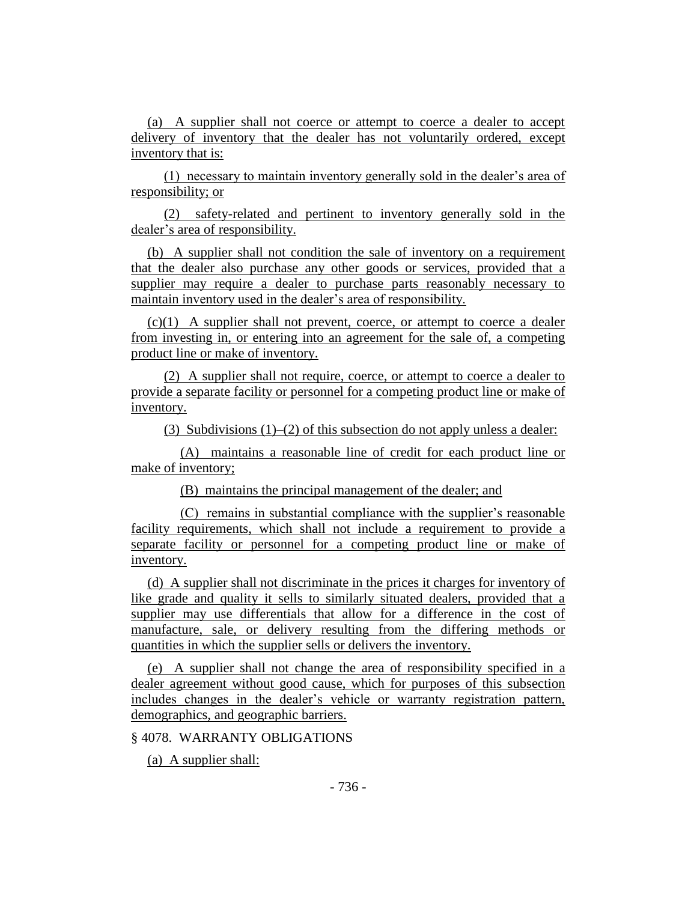(a) A supplier shall not coerce or attempt to coerce a dealer to accept delivery of inventory that the dealer has not voluntarily ordered, except inventory that is:

(1) necessary to maintain inventory generally sold in the dealer's area of responsibility; or

(2) safety-related and pertinent to inventory generally sold in the dealer's area of responsibility.

(b) A supplier shall not condition the sale of inventory on a requirement that the dealer also purchase any other goods or services, provided that a supplier may require a dealer to purchase parts reasonably necessary to maintain inventory used in the dealer's area of responsibility.

(c)(1) A supplier shall not prevent, coerce, or attempt to coerce a dealer from investing in, or entering into an agreement for the sale of, a competing product line or make of inventory.

(2) A supplier shall not require, coerce, or attempt to coerce a dealer to provide a separate facility or personnel for a competing product line or make of inventory.

(3) Subdivisions  $(1)$ –(2) of this subsection do not apply unless a dealer:

(A) maintains a reasonable line of credit for each product line or make of inventory;

(B) maintains the principal management of the dealer; and

(C) remains in substantial compliance with the supplier's reasonable facility requirements, which shall not include a requirement to provide a separate facility or personnel for a competing product line or make of inventory.

(d) A supplier shall not discriminate in the prices it charges for inventory of like grade and quality it sells to similarly situated dealers, provided that a supplier may use differentials that allow for a difference in the cost of manufacture, sale, or delivery resulting from the differing methods or quantities in which the supplier sells or delivers the inventory.

(e) A supplier shall not change the area of responsibility specified in a dealer agreement without good cause, which for purposes of this subsection includes changes in the dealer's vehicle or warranty registration pattern, demographics, and geographic barriers.

§ 4078. WARRANTY OBLIGATIONS

(a) A supplier shall: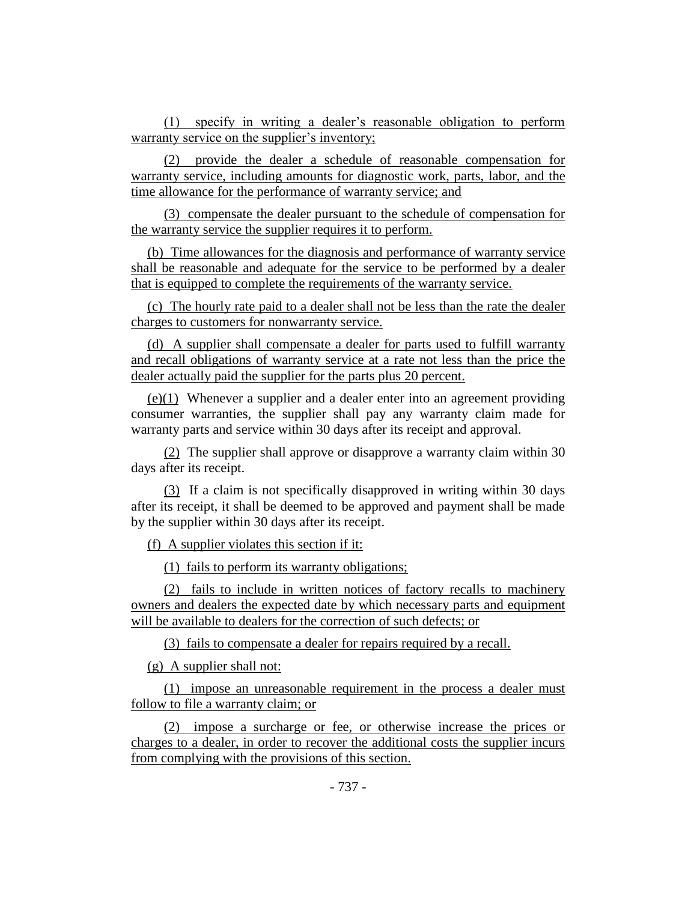(1) specify in writing a dealer's reasonable obligation to perform warranty service on the supplier's inventory;

(2) provide the dealer a schedule of reasonable compensation for warranty service, including amounts for diagnostic work, parts, labor, and the time allowance for the performance of warranty service; and

(3) compensate the dealer pursuant to the schedule of compensation for the warranty service the supplier requires it to perform.

(b) Time allowances for the diagnosis and performance of warranty service shall be reasonable and adequate for the service to be performed by a dealer that is equipped to complete the requirements of the warranty service.

(c) The hourly rate paid to a dealer shall not be less than the rate the dealer charges to customers for nonwarranty service.

(d) A supplier shall compensate a dealer for parts used to fulfill warranty and recall obligations of warranty service at a rate not less than the price the dealer actually paid the supplier for the parts plus 20 percent.

(e)(1) Whenever a supplier and a dealer enter into an agreement providing consumer warranties, the supplier shall pay any warranty claim made for warranty parts and service within 30 days after its receipt and approval.

(2) The supplier shall approve or disapprove a warranty claim within 30 days after its receipt.

(3) If a claim is not specifically disapproved in writing within 30 days after its receipt, it shall be deemed to be approved and payment shall be made by the supplier within 30 days after its receipt.

(f) A supplier violates this section if it:

(1) fails to perform its warranty obligations;

(2) fails to include in written notices of factory recalls to machinery owners and dealers the expected date by which necessary parts and equipment will be available to dealers for the correction of such defects; or

(3) fails to compensate a dealer for repairs required by a recall.

(g) A supplier shall not:

(1) impose an unreasonable requirement in the process a dealer must follow to file a warranty claim; or

(2) impose a surcharge or fee, or otherwise increase the prices or charges to a dealer, in order to recover the additional costs the supplier incurs from complying with the provisions of this section.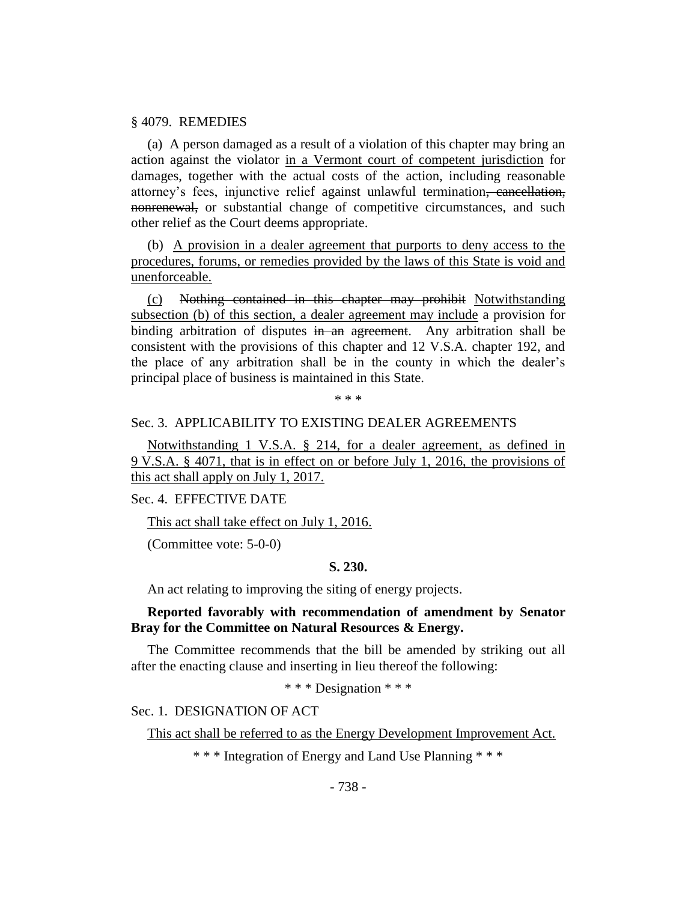## § 4079. REMEDIES

(a) A person damaged as a result of a violation of this chapter may bring an action against the violator in a Vermont court of competent jurisdiction for damages, together with the actual costs of the action, including reasonable attorney's fees, injunctive relief against unlawful termination, cancellation, nonrenewal, or substantial change of competitive circumstances, and such other relief as the Court deems appropriate.

(b) A provision in a dealer agreement that purports to deny access to the procedures, forums, or remedies provided by the laws of this State is void and unenforceable.

(c) Nothing contained in this chapter may prohibit Notwithstanding subsection (b) of this section, a dealer agreement may include a provision for binding arbitration of disputes in an agreement. Any arbitration shall be consistent with the provisions of this chapter and 12 V.S.A. chapter 192, and the place of any arbitration shall be in the county in which the dealer's principal place of business is maintained in this State.

\* \* \*

### Sec. 3. APPLICABILITY TO EXISTING DEALER AGREEMENTS

Notwithstanding 1 V.S.A. § 214, for a dealer agreement, as defined in 9 V.S.A. § 4071, that is in effect on or before July 1, 2016, the provisions of this act shall apply on July 1, 2017.

## Sec. 4. EFFECTIVE DATE

This act shall take effect on July 1, 2016.

(Committee vote: 5-0-0)

### **S. 230.**

An act relating to improving the siting of energy projects.

# **Reported favorably with recommendation of amendment by Senator Bray for the Committee on Natural Resources & Energy.**

The Committee recommends that the bill be amended by striking out all after the enacting clause and inserting in lieu thereof the following:

\* \* \* Designation \* \* \*

Sec. 1. DESIGNATION OF ACT

This act shall be referred to as the Energy Development Improvement Act.

\* \* \* Integration of Energy and Land Use Planning \* \* \*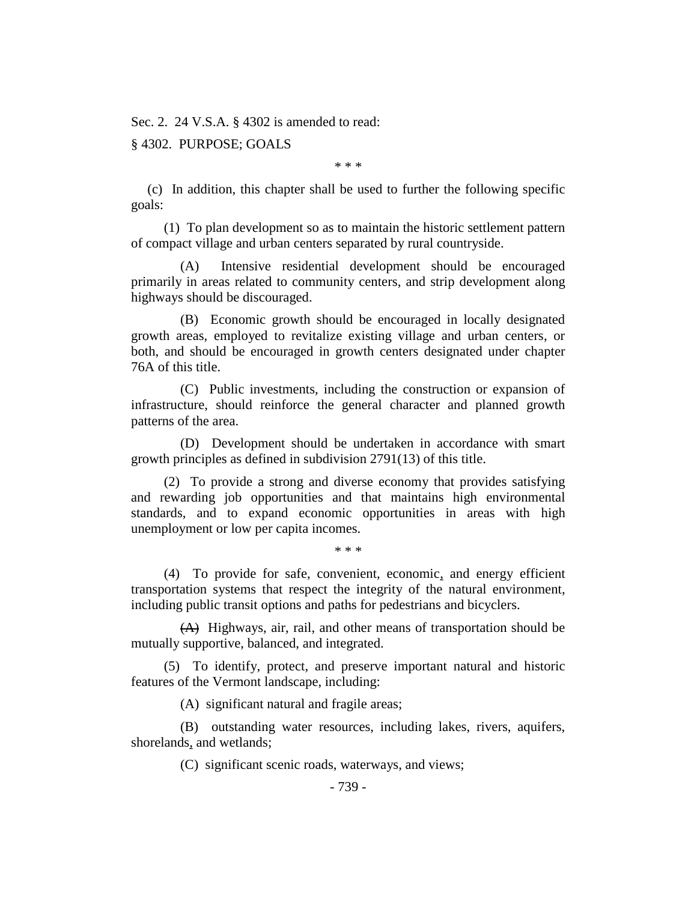Sec. 2. 24 V.S.A. § 4302 is amended to read:

## § 4302. PURPOSE; GOALS

\* \* \*

(c) In addition, this chapter shall be used to further the following specific goals:

(1) To plan development so as to maintain the historic settlement pattern of compact village and urban centers separated by rural countryside.

(A) Intensive residential development should be encouraged primarily in areas related to community centers, and strip development along highways should be discouraged.

(B) Economic growth should be encouraged in locally designated growth areas, employed to revitalize existing village and urban centers, or both, and should be encouraged in growth centers designated under chapter 76A of this title.

(C) Public investments, including the construction or expansion of infrastructure, should reinforce the general character and planned growth patterns of the area.

(D) Development should be undertaken in accordance with smart growth principles as defined in subdivision 2791(13) of this title.

(2) To provide a strong and diverse economy that provides satisfying and rewarding job opportunities and that maintains high environmental standards, and to expand economic opportunities in areas with high unemployment or low per capita incomes.

\* \* \*

(4) To provide for safe, convenient, economic, and energy efficient transportation systems that respect the integrity of the natural environment, including public transit options and paths for pedestrians and bicyclers.

(A) Highways, air, rail, and other means of transportation should be mutually supportive, balanced, and integrated.

(5) To identify, protect, and preserve important natural and historic features of the Vermont landscape, including:

(A) significant natural and fragile areas;

(B) outstanding water resources, including lakes, rivers, aquifers, shorelands, and wetlands;

(C) significant scenic roads, waterways, and views;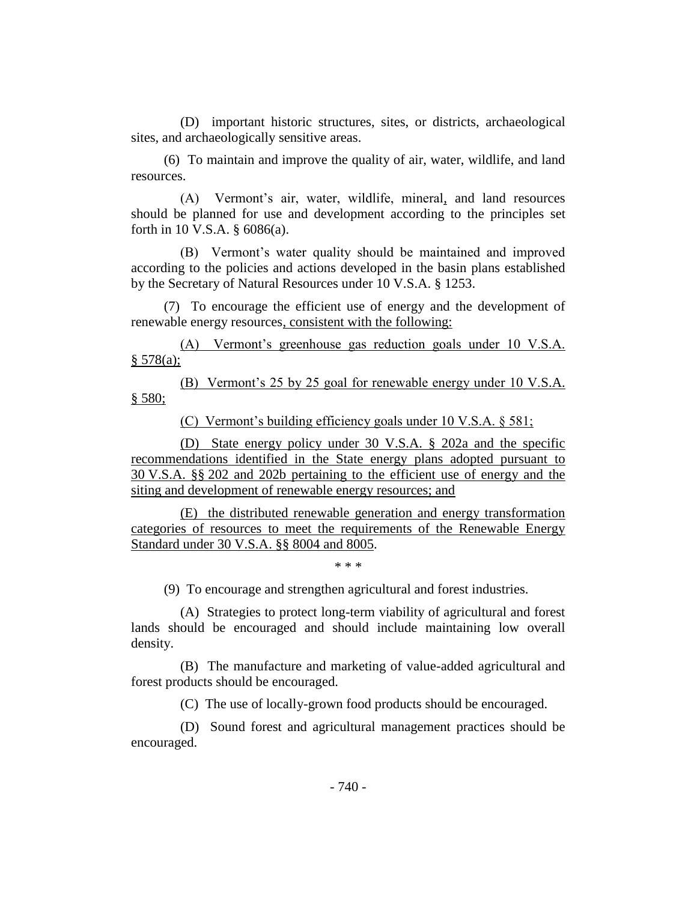(D) important historic structures, sites, or districts, archaeological sites, and archaeologically sensitive areas.

(6) To maintain and improve the quality of air, water, wildlife, and land resources.

(A) Vermont's air, water, wildlife, mineral, and land resources should be planned for use and development according to the principles set forth in 10 V.S.A. § 6086(a).

(B) Vermont's water quality should be maintained and improved according to the policies and actions developed in the basin plans established by the Secretary of Natural Resources under 10 V.S.A. § 1253.

(7) To encourage the efficient use of energy and the development of renewable energy resources, consistent with the following:

(A) Vermont's greenhouse gas reduction goals under 10 V.S.A. § 578(a);

(B) Vermont's 25 by 25 goal for renewable energy under 10 V.S.A. § 580;

(C) Vermont's building efficiency goals under 10 V.S.A. § 581;

(D) State energy policy under 30 V.S.A. § 202a and the specific recommendations identified in the State energy plans adopted pursuant to 30 V.S.A. §§ 202 and 202b pertaining to the efficient use of energy and the siting and development of renewable energy resources; and

(E) the distributed renewable generation and energy transformation categories of resources to meet the requirements of the Renewable Energy Standard under 30 V.S.A. §§ 8004 and 8005.

\* \* \*

(9) To encourage and strengthen agricultural and forest industries.

(A) Strategies to protect long-term viability of agricultural and forest lands should be encouraged and should include maintaining low overall density.

(B) The manufacture and marketing of value-added agricultural and forest products should be encouraged.

(C) The use of locally-grown food products should be encouraged.

(D) Sound forest and agricultural management practices should be encouraged.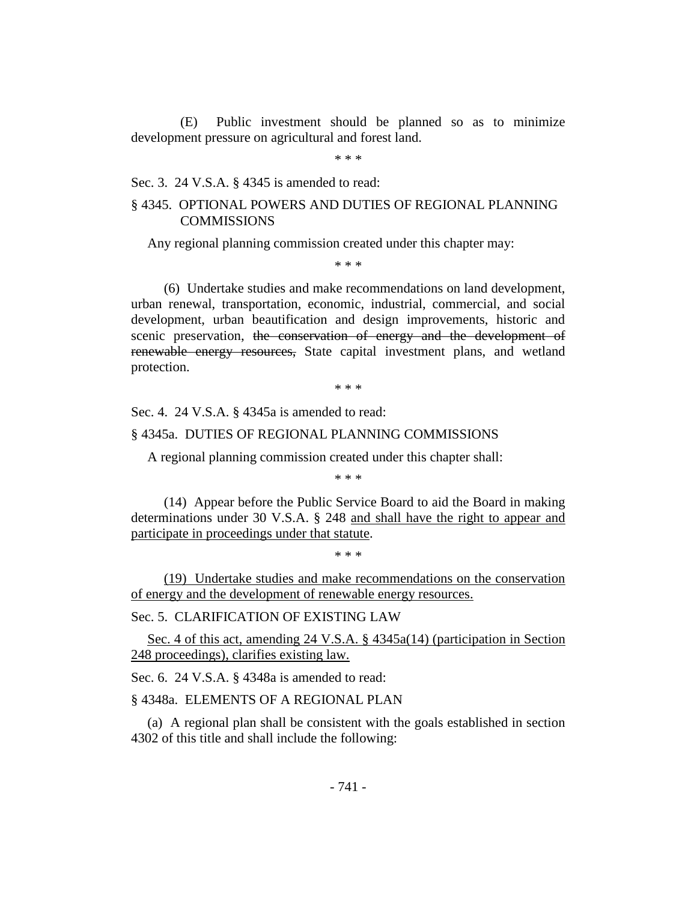(E) Public investment should be planned so as to minimize development pressure on agricultural and forest land.

\* \* \*

Sec. 3. 24 V.S.A. § 4345 is amended to read:

# § 4345. OPTIONAL POWERS AND DUTIES OF REGIONAL PLANNING **COMMISSIONS**

Any regional planning commission created under this chapter may:

\* \* \*

(6) Undertake studies and make recommendations on land development, urban renewal, transportation, economic, industrial, commercial, and social development, urban beautification and design improvements, historic and scenic preservation, the conservation of energy and the development of renewable energy resources, State capital investment plans, and wetland protection.

\* \* \*

Sec. 4. 24 V.S.A. § 4345a is amended to read:

§ 4345a. DUTIES OF REGIONAL PLANNING COMMISSIONS

A regional planning commission created under this chapter shall:

\* \* \*

(14) Appear before the Public Service Board to aid the Board in making determinations under 30 V.S.A. § 248 and shall have the right to appear and participate in proceedings under that statute.

\* \* \*

(19) Undertake studies and make recommendations on the conservation of energy and the development of renewable energy resources.

Sec. 5. CLARIFICATION OF EXISTING LAW

Sec. 4 of this act, amending 24 V.S.A. § 4345a(14) (participation in Section 248 proceedings), clarifies existing law.

Sec. 6. 24 V.S.A. § 4348a is amended to read:

§ 4348a. ELEMENTS OF A REGIONAL PLAN

(a) A regional plan shall be consistent with the goals established in section 4302 of this title and shall include the following: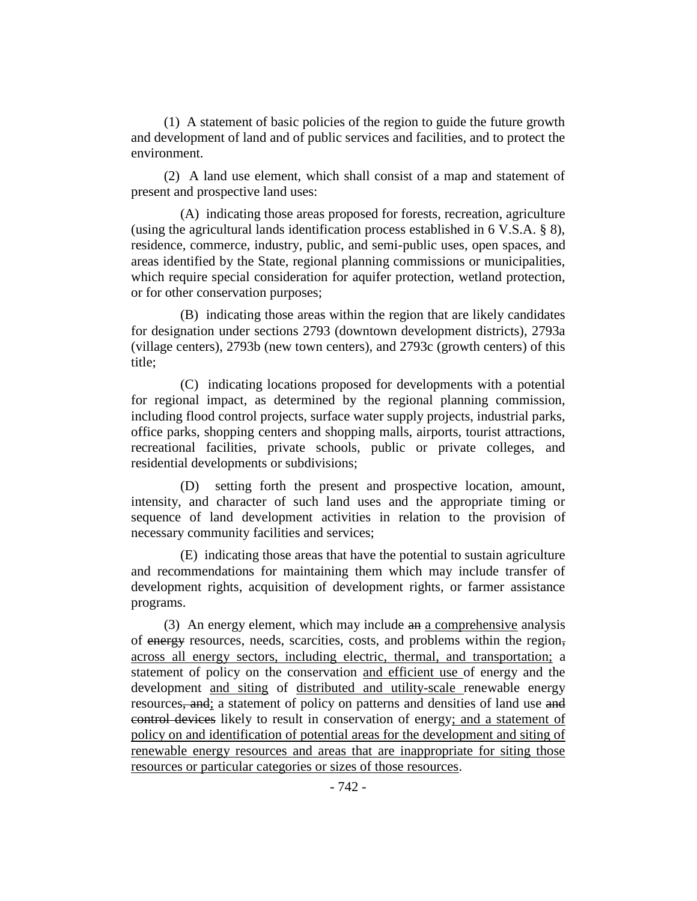(1) A statement of basic policies of the region to guide the future growth and development of land and of public services and facilities, and to protect the environment.

(2) A land use element, which shall consist of a map and statement of present and prospective land uses:

(A) indicating those areas proposed for forests, recreation, agriculture (using the agricultural lands identification process established in 6 V.S.A. § 8), residence, commerce, industry, public, and semi-public uses, open spaces, and areas identified by the State, regional planning commissions or municipalities, which require special consideration for aquifer protection, wetland protection, or for other conservation purposes;

(B) indicating those areas within the region that are likely candidates for designation under sections 2793 (downtown development districts), 2793a (village centers), 2793b (new town centers), and 2793c (growth centers) of this title;

(C) indicating locations proposed for developments with a potential for regional impact, as determined by the regional planning commission, including flood control projects, surface water supply projects, industrial parks, office parks, shopping centers and shopping malls, airports, tourist attractions, recreational facilities, private schools, public or private colleges, and residential developments or subdivisions;

(D) setting forth the present and prospective location, amount, intensity, and character of such land uses and the appropriate timing or sequence of land development activities in relation to the provision of necessary community facilities and services;

(E) indicating those areas that have the potential to sustain agriculture and recommendations for maintaining them which may include transfer of development rights, acquisition of development rights, or farmer assistance programs.

(3) An energy element, which may include an a comprehensive analysis of energy resources, needs, scarcities, costs, and problems within the region, across all energy sectors, including electric, thermal, and transportation; a statement of policy on the conservation and efficient use of energy and the development and siting of distributed and utility-scale renewable energy resources, and; a statement of policy on patterns and densities of land use and control devices likely to result in conservation of energy; and a statement of policy on and identification of potential areas for the development and siting of renewable energy resources and areas that are inappropriate for siting those resources or particular categories or sizes of those resources.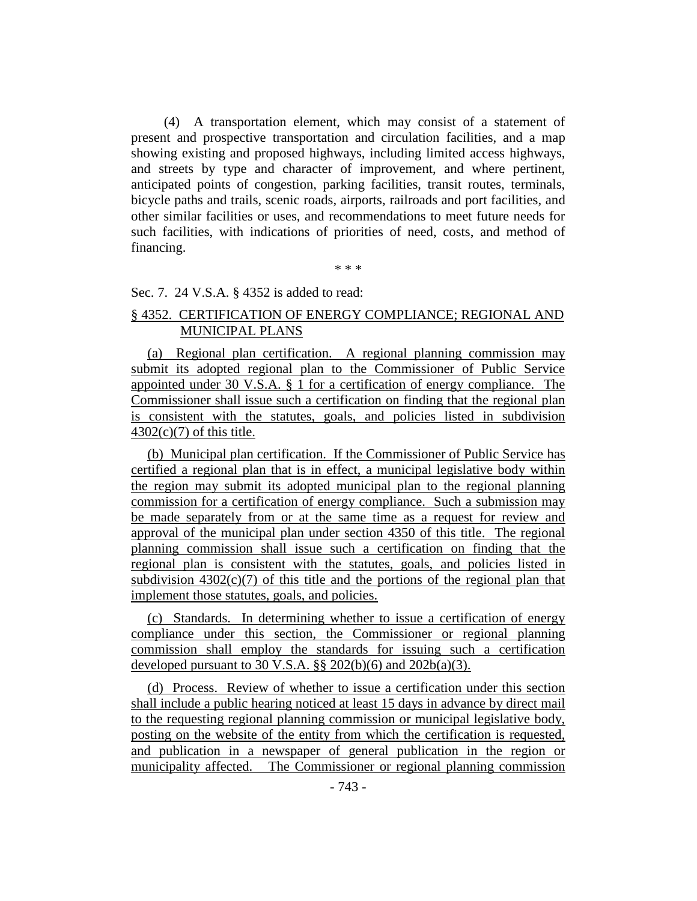(4) A transportation element, which may consist of a statement of present and prospective transportation and circulation facilities, and a map showing existing and proposed highways, including limited access highways, and streets by type and character of improvement, and where pertinent, anticipated points of congestion, parking facilities, transit routes, terminals, bicycle paths and trails, scenic roads, airports, railroads and port facilities, and other similar facilities or uses, and recommendations to meet future needs for such facilities, with indications of priorities of need, costs, and method of financing.

\* \* \*

## Sec. 7. 24 V.S.A. § 4352 is added to read:

# § 4352. CERTIFICATION OF ENERGY COMPLIANCE; REGIONAL AND MUNICIPAL PLANS

(a) Regional plan certification. A regional planning commission may submit its adopted regional plan to the Commissioner of Public Service appointed under 30 V.S.A. § 1 for a certification of energy compliance. The Commissioner shall issue such a certification on finding that the regional plan is consistent with the statutes, goals, and policies listed in subdivision  $4302(c)(7)$  of this title.

(b) Municipal plan certification. If the Commissioner of Public Service has certified a regional plan that is in effect, a municipal legislative body within the region may submit its adopted municipal plan to the regional planning commission for a certification of energy compliance. Such a submission may be made separately from or at the same time as a request for review and approval of the municipal plan under section 4350 of this title. The regional planning commission shall issue such a certification on finding that the regional plan is consistent with the statutes, goals, and policies listed in subdivision  $4302(c)(7)$  of this title and the portions of the regional plan that implement those statutes, goals, and policies.

(c) Standards. In determining whether to issue a certification of energy compliance under this section, the Commissioner or regional planning commission shall employ the standards for issuing such a certification developed pursuant to 30 V.S.A.  $\S$ § 202(b)(6) and 202b(a)(3).

(d) Process. Review of whether to issue a certification under this section shall include a public hearing noticed at least 15 days in advance by direct mail to the requesting regional planning commission or municipal legislative body, posting on the website of the entity from which the certification is requested, and publication in a newspaper of general publication in the region or municipality affected. The Commissioner or regional planning commission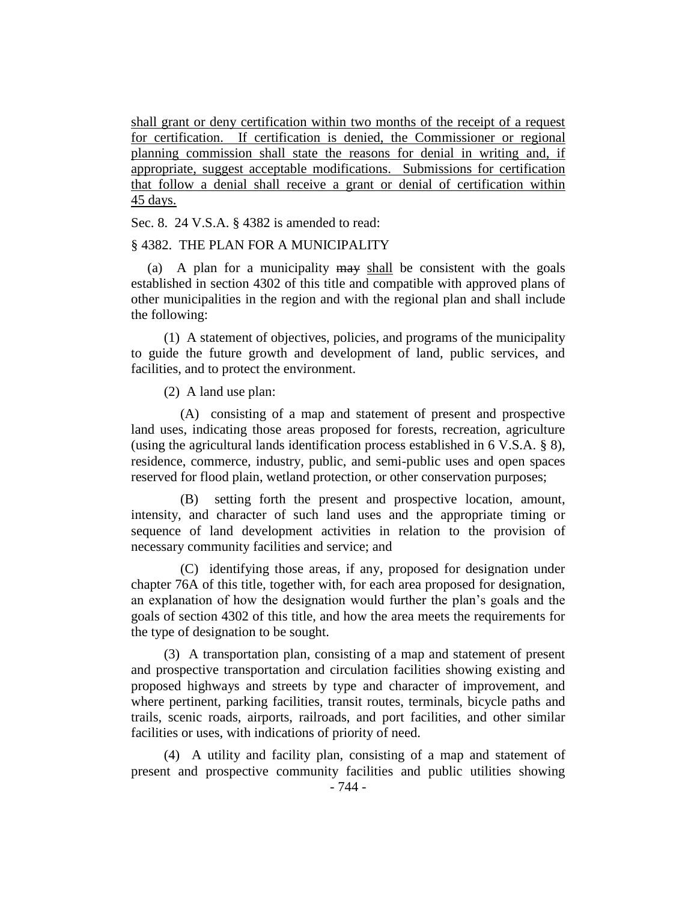shall grant or deny certification within two months of the receipt of a request for certification. If certification is denied, the Commissioner or regional planning commission shall state the reasons for denial in writing and, if appropriate, suggest acceptable modifications. Submissions for certification that follow a denial shall receive a grant or denial of certification within 45 days.

Sec. 8. 24 V.S.A. § 4382 is amended to read:

### § 4382. THE PLAN FOR A MUNICIPALITY

(a) A plan for a municipality may shall be consistent with the goals established in section 4302 of this title and compatible with approved plans of other municipalities in the region and with the regional plan and shall include the following:

(1) A statement of objectives, policies, and programs of the municipality to guide the future growth and development of land, public services, and facilities, and to protect the environment.

(2) A land use plan:

(A) consisting of a map and statement of present and prospective land uses, indicating those areas proposed for forests, recreation, agriculture (using the agricultural lands identification process established in 6 V.S.A. § 8), residence, commerce, industry, public, and semi-public uses and open spaces reserved for flood plain, wetland protection, or other conservation purposes;

(B) setting forth the present and prospective location, amount, intensity, and character of such land uses and the appropriate timing or sequence of land development activities in relation to the provision of necessary community facilities and service; and

(C) identifying those areas, if any, proposed for designation under chapter 76A of this title, together with, for each area proposed for designation, an explanation of how the designation would further the plan's goals and the goals of section 4302 of this title, and how the area meets the requirements for the type of designation to be sought.

(3) A transportation plan, consisting of a map and statement of present and prospective transportation and circulation facilities showing existing and proposed highways and streets by type and character of improvement, and where pertinent, parking facilities, transit routes, terminals, bicycle paths and trails, scenic roads, airports, railroads, and port facilities, and other similar facilities or uses, with indications of priority of need.

(4) A utility and facility plan, consisting of a map and statement of present and prospective community facilities and public utilities showing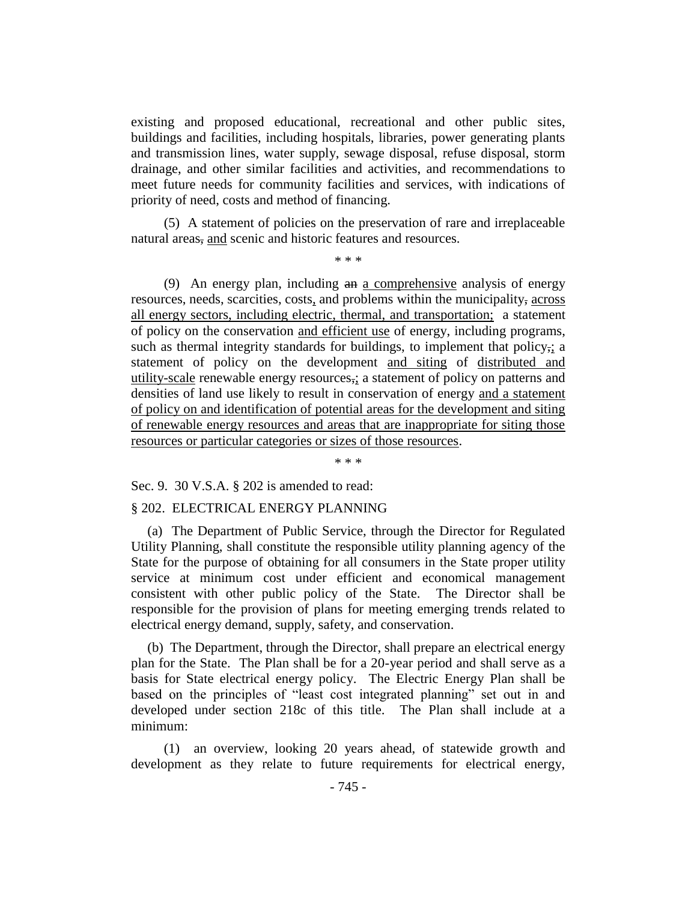existing and proposed educational, recreational and other public sites, buildings and facilities, including hospitals, libraries, power generating plants and transmission lines, water supply, sewage disposal, refuse disposal, storm drainage, and other similar facilities and activities, and recommendations to meet future needs for community facilities and services, with indications of priority of need, costs and method of financing.

(5) A statement of policies on the preservation of rare and irreplaceable natural areas, and scenic and historic features and resources.

\* \* \*

(9) An energy plan, including an a comprehensive analysis of energy resources, needs, scarcities, costs, and problems within the municipality, across all energy sectors, including electric, thermal, and transportation; a statement of policy on the conservation and efficient use of energy, including programs, such as thermal integrity standards for buildings, to implement that policy,; a statement of policy on the development and siting of distributed and utility-scale renewable energy resources, a statement of policy on patterns and densities of land use likely to result in conservation of energy and a statement of policy on and identification of potential areas for the development and siting of renewable energy resources and areas that are inappropriate for siting those resources or particular categories or sizes of those resources.

\* \* \*

Sec. 9. 30 V.S.A. § 202 is amended to read:

## § 202. ELECTRICAL ENERGY PLANNING

(a) The Department of Public Service, through the Director for Regulated Utility Planning, shall constitute the responsible utility planning agency of the State for the purpose of obtaining for all consumers in the State proper utility service at minimum cost under efficient and economical management consistent with other public policy of the State. The Director shall be responsible for the provision of plans for meeting emerging trends related to electrical energy demand, supply, safety, and conservation.

(b) The Department, through the Director, shall prepare an electrical energy plan for the State. The Plan shall be for a 20-year period and shall serve as a basis for State electrical energy policy. The Electric Energy Plan shall be based on the principles of "least cost integrated planning" set out in and developed under section 218c of this title. The Plan shall include at a minimum:

(1) an overview, looking 20 years ahead, of statewide growth and development as they relate to future requirements for electrical energy,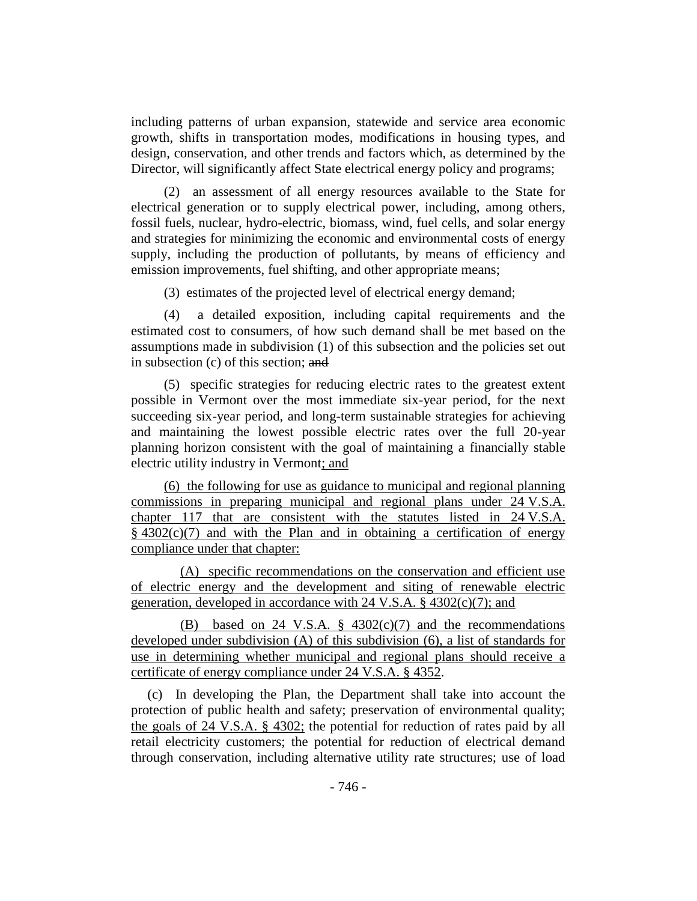including patterns of urban expansion, statewide and service area economic growth, shifts in transportation modes, modifications in housing types, and design, conservation, and other trends and factors which, as determined by the Director, will significantly affect State electrical energy policy and programs;

(2) an assessment of all energy resources available to the State for electrical generation or to supply electrical power, including, among others, fossil fuels, nuclear, hydro-electric, biomass, wind, fuel cells, and solar energy and strategies for minimizing the economic and environmental costs of energy supply, including the production of pollutants, by means of efficiency and emission improvements, fuel shifting, and other appropriate means;

(3) estimates of the projected level of electrical energy demand;

(4) a detailed exposition, including capital requirements and the estimated cost to consumers, of how such demand shall be met based on the assumptions made in subdivision (1) of this subsection and the policies set out in subsection (c) of this section; and

(5) specific strategies for reducing electric rates to the greatest extent possible in Vermont over the most immediate six-year period, for the next succeeding six-year period, and long-term sustainable strategies for achieving and maintaining the lowest possible electric rates over the full 20-year planning horizon consistent with the goal of maintaining a financially stable electric utility industry in Vermont; and

(6) the following for use as guidance to municipal and regional planning commissions in preparing municipal and regional plans under 24 V.S.A. chapter 117 that are consistent with the statutes listed in 24 V.S.A.  $§$  4302(c)(7) and with the Plan and in obtaining a certification of energy compliance under that chapter:

(A) specific recommendations on the conservation and efficient use of electric energy and the development and siting of renewable electric generation, developed in accordance with 24 V.S.A. § 4302(c)(7); and

(B) based on 24 V.S.A. § 4302(c)(7) and the recommendations developed under subdivision (A) of this subdivision (6), a list of standards for use in determining whether municipal and regional plans should receive a certificate of energy compliance under 24 V.S.A. § 4352.

(c) In developing the Plan, the Department shall take into account the protection of public health and safety; preservation of environmental quality; the goals of 24 V.S.A. § 4302; the potential for reduction of rates paid by all retail electricity customers; the potential for reduction of electrical demand through conservation, including alternative utility rate structures; use of load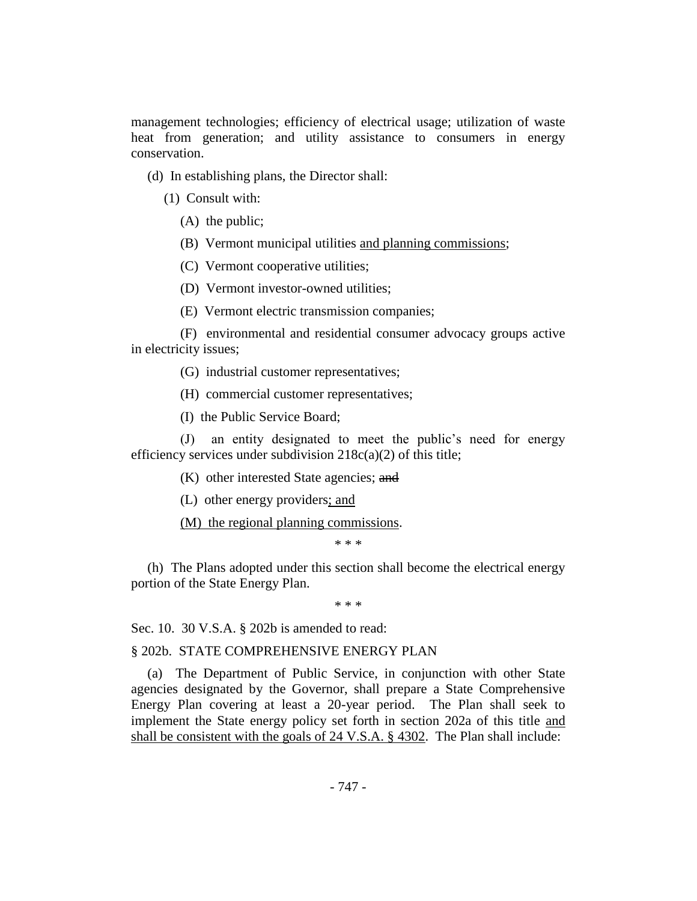management technologies; efficiency of electrical usage; utilization of waste heat from generation; and utility assistance to consumers in energy conservation.

- (d) In establishing plans, the Director shall:
	- (1) Consult with:
		- (A) the public;
		- (B) Vermont municipal utilities and planning commissions;
		- (C) Vermont cooperative utilities;
		- (D) Vermont investor-owned utilities;
		- (E) Vermont electric transmission companies;

(F) environmental and residential consumer advocacy groups active in electricity issues;

- (G) industrial customer representatives;
- (H) commercial customer representatives;
- (I) the Public Service Board;

(J) an entity designated to meet the public's need for energy efficiency services under subdivision  $218c(a)(2)$  of this title;

(K) other interested State agencies; and

(L) other energy providers; and

(M) the regional planning commissions.

\* \* \*

(h) The Plans adopted under this section shall become the electrical energy portion of the State Energy Plan.

\* \* \*

Sec. 10. 30 V.S.A. § 202b is amended to read:

## § 202b. STATE COMPREHENSIVE ENERGY PLAN

(a) The Department of Public Service, in conjunction with other State agencies designated by the Governor, shall prepare a State Comprehensive Energy Plan covering at least a 20-year period. The Plan shall seek to implement the State energy policy set forth in section 202a of this title and shall be consistent with the goals of 24 V.S.A. § 4302. The Plan shall include: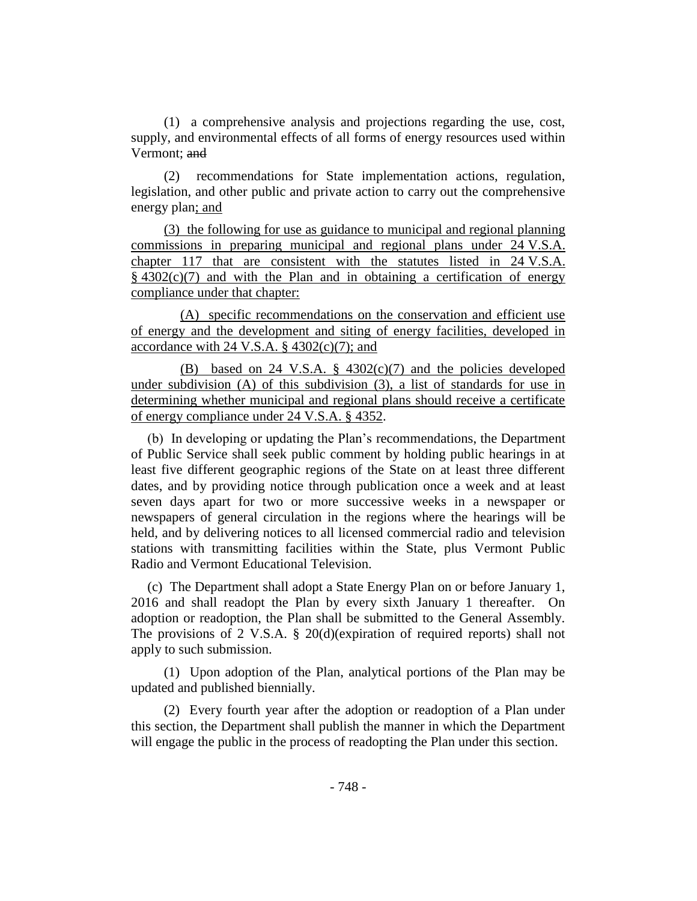(1) a comprehensive analysis and projections regarding the use, cost, supply, and environmental effects of all forms of energy resources used within Vermont; and

(2) recommendations for State implementation actions, regulation, legislation, and other public and private action to carry out the comprehensive energy plan; and

(3) the following for use as guidance to municipal and regional planning commissions in preparing municipal and regional plans under 24 V.S.A. chapter 117 that are consistent with the statutes listed in 24 V.S.A.  $§$  4302(c)(7) and with the Plan and in obtaining a certification of energy compliance under that chapter:

(A) specific recommendations on the conservation and efficient use of energy and the development and siting of energy facilities, developed in accordance with 24 V.S.A.  $\S$  4302(c)(7); and

(B) based on 24 V.S.A. § 4302(c)(7) and the policies developed under subdivision (A) of this subdivision (3), a list of standards for use in determining whether municipal and regional plans should receive a certificate of energy compliance under 24 V.S.A. § 4352.

(b) In developing or updating the Plan's recommendations, the Department of Public Service shall seek public comment by holding public hearings in at least five different geographic regions of the State on at least three different dates, and by providing notice through publication once a week and at least seven days apart for two or more successive weeks in a newspaper or newspapers of general circulation in the regions where the hearings will be held, and by delivering notices to all licensed commercial radio and television stations with transmitting facilities within the State, plus Vermont Public Radio and Vermont Educational Television.

(c) The Department shall adopt a State Energy Plan on or before January 1, 2016 and shall readopt the Plan by every sixth January 1 thereafter. On adoption or readoption, the Plan shall be submitted to the General Assembly. The provisions of 2 V.S.A. § 20(d)(expiration of required reports) shall not apply to such submission.

(1) Upon adoption of the Plan, analytical portions of the Plan may be updated and published biennially.

(2) Every fourth year after the adoption or readoption of a Plan under this section, the Department shall publish the manner in which the Department will engage the public in the process of readopting the Plan under this section.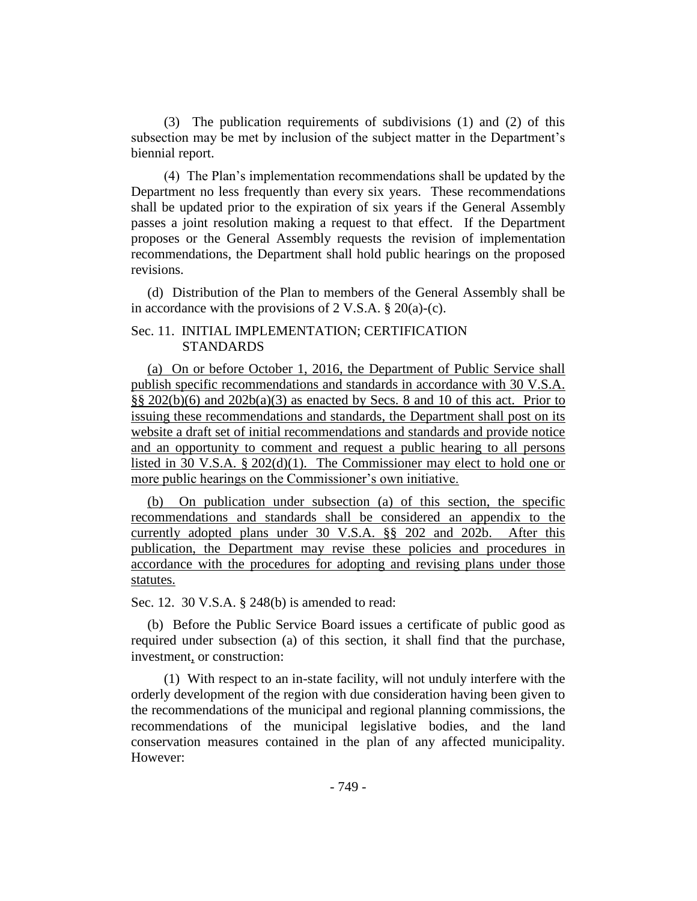(3) The publication requirements of subdivisions (1) and (2) of this subsection may be met by inclusion of the subject matter in the Department's biennial report.

(4) The Plan's implementation recommendations shall be updated by the Department no less frequently than every six years. These recommendations shall be updated prior to the expiration of six years if the General Assembly passes a joint resolution making a request to that effect. If the Department proposes or the General Assembly requests the revision of implementation recommendations, the Department shall hold public hearings on the proposed revisions.

(d) Distribution of the Plan to members of the General Assembly shall be in accordance with the provisions of 2 V.S.A. § 20(a)-(c).

# Sec. 11. INITIAL IMPLEMENTATION; CERTIFICATION STANDARDS

(a) On or before October 1, 2016, the Department of Public Service shall publish specific recommendations and standards in accordance with 30 V.S.A.  $\S$ § 202(b)(6) and 202b(a)(3) as enacted by Secs. 8 and 10 of this act. Prior to issuing these recommendations and standards, the Department shall post on its website a draft set of initial recommendations and standards and provide notice and an opportunity to comment and request a public hearing to all persons listed in 30 V.S.A. § 202(d)(1). The Commissioner may elect to hold one or more public hearings on the Commissioner's own initiative.

(b) On publication under subsection (a) of this section, the specific recommendations and standards shall be considered an appendix to the currently adopted plans under 30 V.S.A. §§ 202 and 202b. After this publication, the Department may revise these policies and procedures in accordance with the procedures for adopting and revising plans under those statutes.

Sec. 12. 30 V.S.A. § 248(b) is amended to read:

(b) Before the Public Service Board issues a certificate of public good as required under subsection (a) of this section, it shall find that the purchase, investment, or construction:

(1) With respect to an in-state facility, will not unduly interfere with the orderly development of the region with due consideration having been given to the recommendations of the municipal and regional planning commissions, the recommendations of the municipal legislative bodies, and the land conservation measures contained in the plan of any affected municipality. However: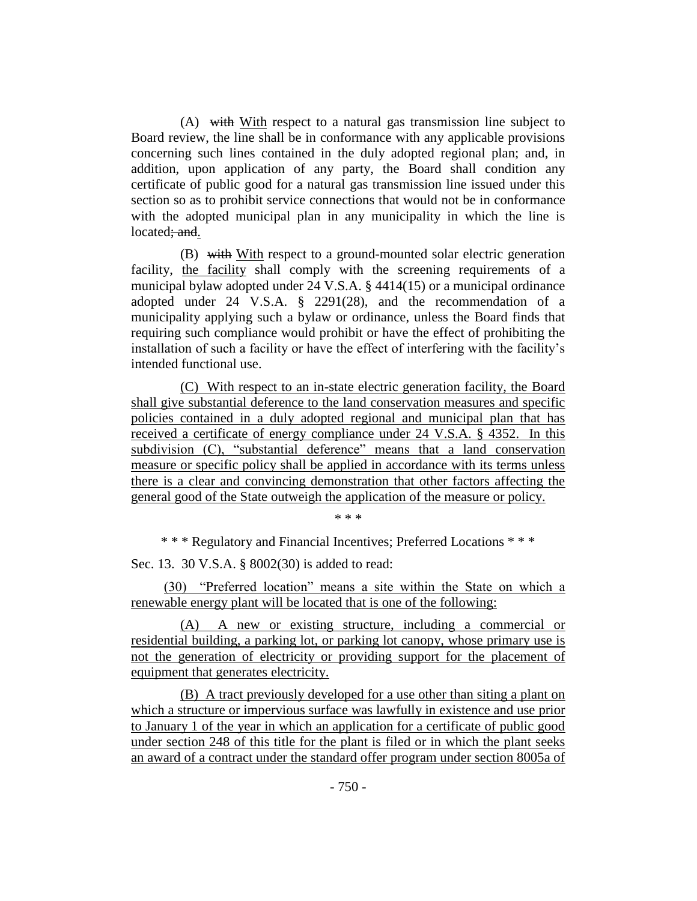(A) with With respect to a natural gas transmission line subject to Board review, the line shall be in conformance with any applicable provisions concerning such lines contained in the duly adopted regional plan; and, in addition, upon application of any party, the Board shall condition any certificate of public good for a natural gas transmission line issued under this section so as to prohibit service connections that would not be in conformance with the adopted municipal plan in any municipality in which the line is located; and.

(B) with With respect to a ground-mounted solar electric generation facility, the facility shall comply with the screening requirements of a municipal bylaw adopted under 24 V.S.A. § 4414(15) or a municipal ordinance adopted under 24 V.S.A. § 2291(28), and the recommendation of a municipality applying such a bylaw or ordinance, unless the Board finds that requiring such compliance would prohibit or have the effect of prohibiting the installation of such a facility or have the effect of interfering with the facility's intended functional use.

(C) With respect to an in-state electric generation facility, the Board shall give substantial deference to the land conservation measures and specific policies contained in a duly adopted regional and municipal plan that has received a certificate of energy compliance under 24 V.S.A. § 4352. In this subdivision (C), "substantial deference" means that a land conservation measure or specific policy shall be applied in accordance with its terms unless there is a clear and convincing demonstration that other factors affecting the general good of the State outweigh the application of the measure or policy.

\* \* \*

\* \* \* Regulatory and Financial Incentives; Preferred Locations \* \* \*

Sec. 13. 30 V.S.A. § 8002(30) is added to read:

(30) "Preferred location" means a site within the State on which a renewable energy plant will be located that is one of the following:

(A) A new or existing structure, including a commercial or residential building, a parking lot, or parking lot canopy, whose primary use is not the generation of electricity or providing support for the placement of equipment that generates electricity.

(B) A tract previously developed for a use other than siting a plant on which a structure or impervious surface was lawfully in existence and use prior to January 1 of the year in which an application for a certificate of public good under section 248 of this title for the plant is filed or in which the plant seeks an award of a contract under the standard offer program under section 8005a of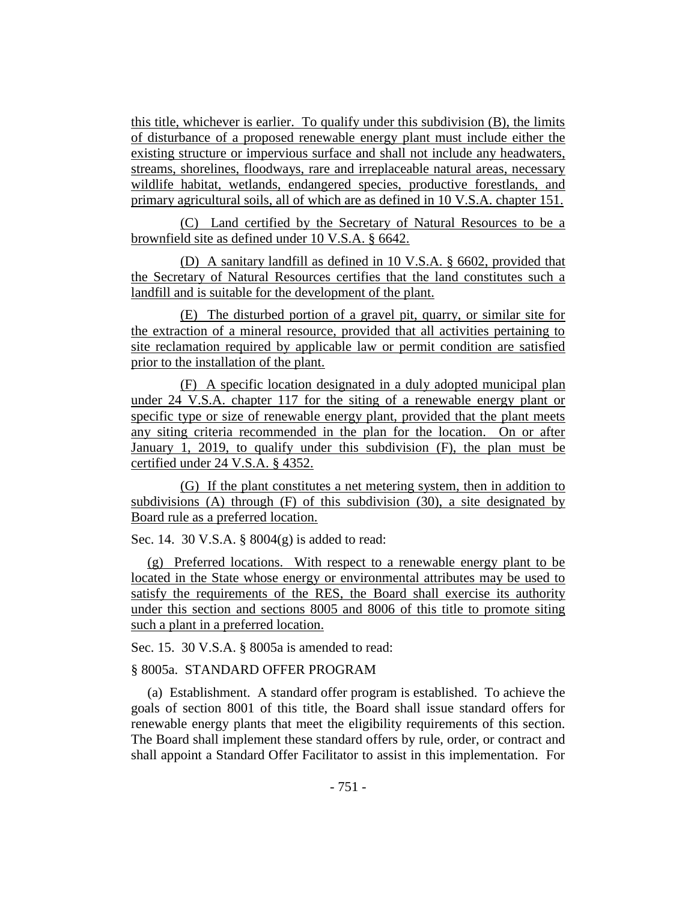this title, whichever is earlier. To qualify under this subdivision (B), the limits of disturbance of a proposed renewable energy plant must include either the existing structure or impervious surface and shall not include any headwaters, streams, shorelines, floodways, rare and irreplaceable natural areas, necessary wildlife habitat, wetlands, endangered species, productive forestlands, and primary agricultural soils, all of which are as defined in 10 V.S.A. chapter 151.

(C) Land certified by the Secretary of Natural Resources to be a brownfield site as defined under 10 V.S.A. § 6642.

(D) A sanitary landfill as defined in 10 V.S.A. § 6602, provided that the Secretary of Natural Resources certifies that the land constitutes such a landfill and is suitable for the development of the plant.

(E) The disturbed portion of a gravel pit, quarry, or similar site for the extraction of a mineral resource, provided that all activities pertaining to site reclamation required by applicable law or permit condition are satisfied prior to the installation of the plant.

(F) A specific location designated in a duly adopted municipal plan under 24 V.S.A. chapter 117 for the siting of a renewable energy plant or specific type or size of renewable energy plant, provided that the plant meets any siting criteria recommended in the plan for the location. On or after January 1, 2019, to qualify under this subdivision (F), the plan must be certified under 24 V.S.A. § 4352.

(G) If the plant constitutes a net metering system, then in addition to subdivisions (A) through (F) of this subdivision (30), a site designated by Board rule as a preferred location.

Sec. 14. 30 V.S.A. § 8004(g) is added to read:

(g) Preferred locations. With respect to a renewable energy plant to be located in the State whose energy or environmental attributes may be used to satisfy the requirements of the RES, the Board shall exercise its authority under this section and sections 8005 and 8006 of this title to promote siting such a plant in a preferred location.

Sec. 15. 30 V.S.A. § 8005a is amended to read:

## § 8005a. STANDARD OFFER PROGRAM

(a) Establishment. A standard offer program is established. To achieve the goals of section 8001 of this title, the Board shall issue standard offers for renewable energy plants that meet the eligibility requirements of this section. The Board shall implement these standard offers by rule, order, or contract and shall appoint a Standard Offer Facilitator to assist in this implementation. For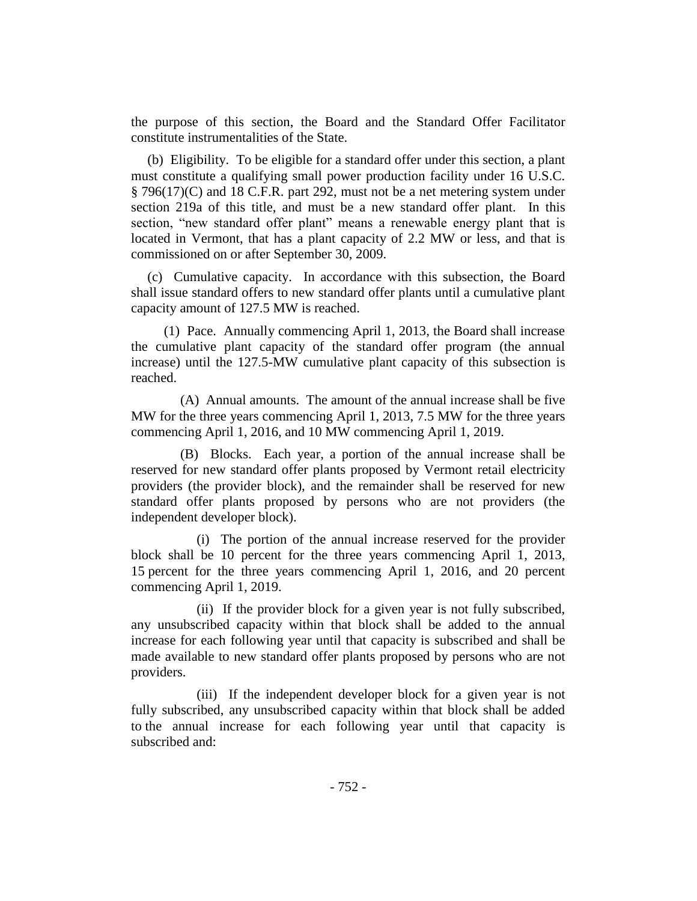the purpose of this section, the Board and the Standard Offer Facilitator constitute instrumentalities of the State.

(b) Eligibility. To be eligible for a standard offer under this section, a plant must constitute a qualifying small power production facility under 16 U.S.C. § 796(17)(C) and 18 C.F.R. part 292, must not be a net metering system under section 219a of this title, and must be a new standard offer plant. In this section, "new standard offer plant" means a renewable energy plant that is located in Vermont, that has a plant capacity of 2.2 MW or less, and that is commissioned on or after September 30, 2009.

(c) Cumulative capacity. In accordance with this subsection, the Board shall issue standard offers to new standard offer plants until a cumulative plant capacity amount of 127.5 MW is reached.

(1) Pace. Annually commencing April 1, 2013, the Board shall increase the cumulative plant capacity of the standard offer program (the annual increase) until the 127.5-MW cumulative plant capacity of this subsection is reached.

(A) Annual amounts. The amount of the annual increase shall be five MW for the three years commencing April 1, 2013, 7.5 MW for the three years commencing April 1, 2016, and 10 MW commencing April 1, 2019.

(B) Blocks. Each year, a portion of the annual increase shall be reserved for new standard offer plants proposed by Vermont retail electricity providers (the provider block), and the remainder shall be reserved for new standard offer plants proposed by persons who are not providers (the independent developer block).

(i) The portion of the annual increase reserved for the provider block shall be 10 percent for the three years commencing April 1, 2013, 15 percent for the three years commencing April 1, 2016, and 20 percent commencing April 1, 2019.

(ii) If the provider block for a given year is not fully subscribed, any unsubscribed capacity within that block shall be added to the annual increase for each following year until that capacity is subscribed and shall be made available to new standard offer plants proposed by persons who are not providers.

(iii) If the independent developer block for a given year is not fully subscribed, any unsubscribed capacity within that block shall be added to the annual increase for each following year until that capacity is subscribed and: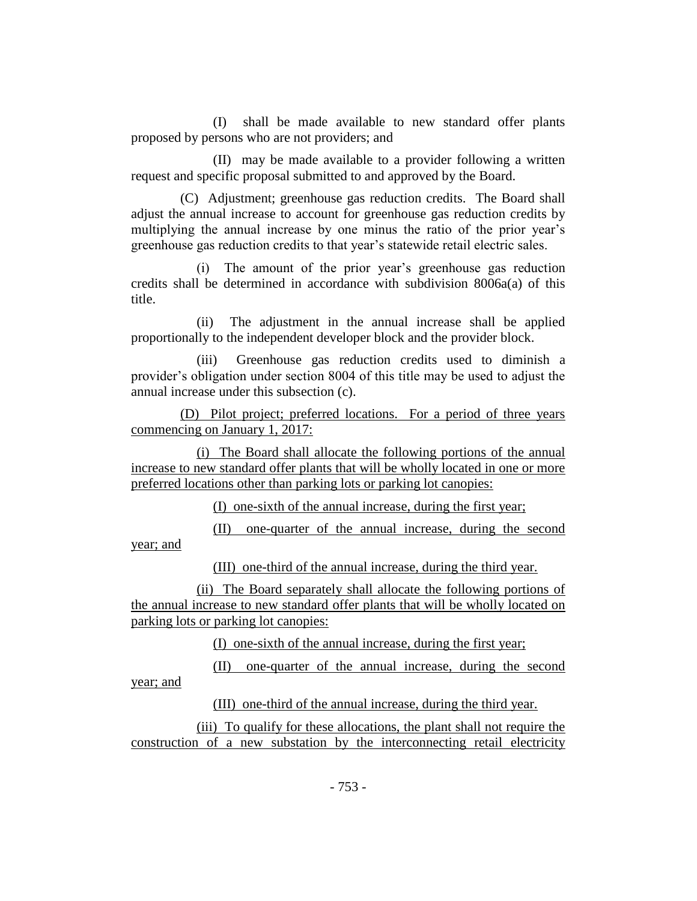(I) shall be made available to new standard offer plants proposed by persons who are not providers; and

(II) may be made available to a provider following a written request and specific proposal submitted to and approved by the Board.

(C) Adjustment; greenhouse gas reduction credits. The Board shall adjust the annual increase to account for greenhouse gas reduction credits by multiplying the annual increase by one minus the ratio of the prior year's greenhouse gas reduction credits to that year's statewide retail electric sales.

(i) The amount of the prior year's greenhouse gas reduction credits shall be determined in accordance with subdivision 8006a(a) of this title.

(ii) The adjustment in the annual increase shall be applied proportionally to the independent developer block and the provider block.

(iii) Greenhouse gas reduction credits used to diminish a provider's obligation under section 8004 of this title may be used to adjust the annual increase under this subsection (c).

(D) Pilot project; preferred locations. For a period of three years commencing on January 1, 2017:

(i) The Board shall allocate the following portions of the annual increase to new standard offer plants that will be wholly located in one or more preferred locations other than parking lots or parking lot canopies:

(I) one-sixth of the annual increase, during the first year;

(II) one-quarter of the annual increase, during the second

(III) one-third of the annual increase, during the third year.

(ii) The Board separately shall allocate the following portions of the annual increase to new standard offer plants that will be wholly located on parking lots or parking lot canopies:

year; and

(I) one-sixth of the annual increase, during the first year;

(II) one-quarter of the annual increase, during the second year; and

(III) one-third of the annual increase, during the third year.

(iii) To qualify for these allocations, the plant shall not require the construction of a new substation by the interconnecting retail electricity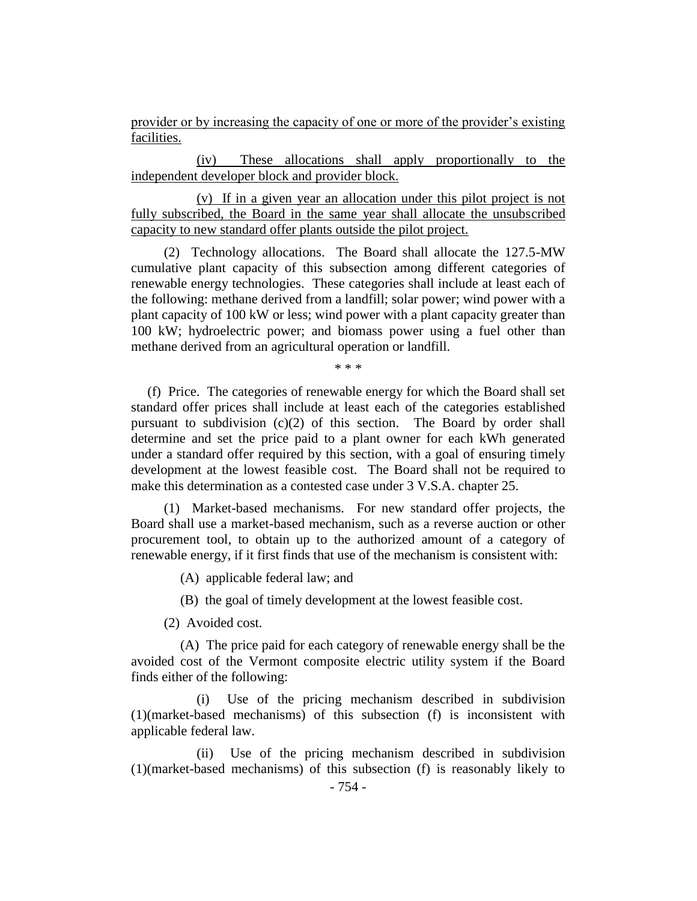provider or by increasing the capacity of one or more of the provider's existing facilities.

(iv) These allocations shall apply proportionally to the independent developer block and provider block.

(v) If in a given year an allocation under this pilot project is not fully subscribed, the Board in the same year shall allocate the unsubscribed capacity to new standard offer plants outside the pilot project.

(2) Technology allocations. The Board shall allocate the 127.5-MW cumulative plant capacity of this subsection among different categories of renewable energy technologies. These categories shall include at least each of the following: methane derived from a landfill; solar power; wind power with a plant capacity of 100 kW or less; wind power with a plant capacity greater than 100 kW; hydroelectric power; and biomass power using a fuel other than methane derived from an agricultural operation or landfill.

\* \* \*

(f) Price. The categories of renewable energy for which the Board shall set standard offer prices shall include at least each of the categories established pursuant to subdivision (c)(2) of this section. The Board by order shall determine and set the price paid to a plant owner for each kWh generated under a standard offer required by this section, with a goal of ensuring timely development at the lowest feasible cost. The Board shall not be required to make this determination as a contested case under 3 V.S.A. chapter 25.

(1) Market-based mechanisms. For new standard offer projects, the Board shall use a market-based mechanism, such as a reverse auction or other procurement tool, to obtain up to the authorized amount of a category of renewable energy, if it first finds that use of the mechanism is consistent with:

(A) applicable federal law; and

(B) the goal of timely development at the lowest feasible cost.

(2) Avoided cost.

(A) The price paid for each category of renewable energy shall be the avoided cost of the Vermont composite electric utility system if the Board finds either of the following:

Use of the pricing mechanism described in subdivision (1)(market-based mechanisms) of this subsection (f) is inconsistent with applicable federal law.

(ii) Use of the pricing mechanism described in subdivision (1)(market-based mechanisms) of this subsection (f) is reasonably likely to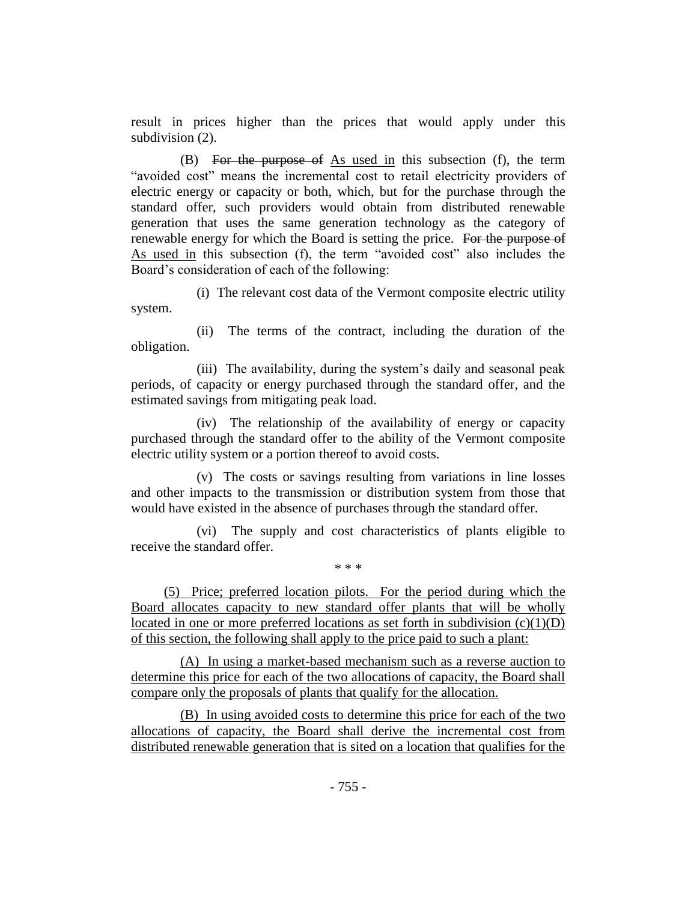result in prices higher than the prices that would apply under this subdivision  $(2)$ .

(B) For the purpose of As used in this subsection (f), the term "avoided cost" means the incremental cost to retail electricity providers of electric energy or capacity or both, which, but for the purchase through the standard offer, such providers would obtain from distributed renewable generation that uses the same generation technology as the category of renewable energy for which the Board is setting the price. For the purpose of As used in this subsection (f), the term "avoided cost" also includes the Board's consideration of each of the following:

(i) The relevant cost data of the Vermont composite electric utility system.

(ii) The terms of the contract, including the duration of the obligation.

(iii) The availability, during the system's daily and seasonal peak periods, of capacity or energy purchased through the standard offer, and the estimated savings from mitigating peak load.

(iv) The relationship of the availability of energy or capacity purchased through the standard offer to the ability of the Vermont composite electric utility system or a portion thereof to avoid costs.

(v) The costs or savings resulting from variations in line losses and other impacts to the transmission or distribution system from those that would have existed in the absence of purchases through the standard offer.

(vi) The supply and cost characteristics of plants eligible to receive the standard offer.

\* \* \*

(5) Price; preferred location pilots. For the period during which the Board allocates capacity to new standard offer plants that will be wholly located in one or more preferred locations as set forth in subdivision  $(c)(1)(D)$ of this section, the following shall apply to the price paid to such a plant:

(A) In using a market-based mechanism such as a reverse auction to determine this price for each of the two allocations of capacity, the Board shall compare only the proposals of plants that qualify for the allocation.

(B) In using avoided costs to determine this price for each of the two allocations of capacity, the Board shall derive the incremental cost from distributed renewable generation that is sited on a location that qualifies for the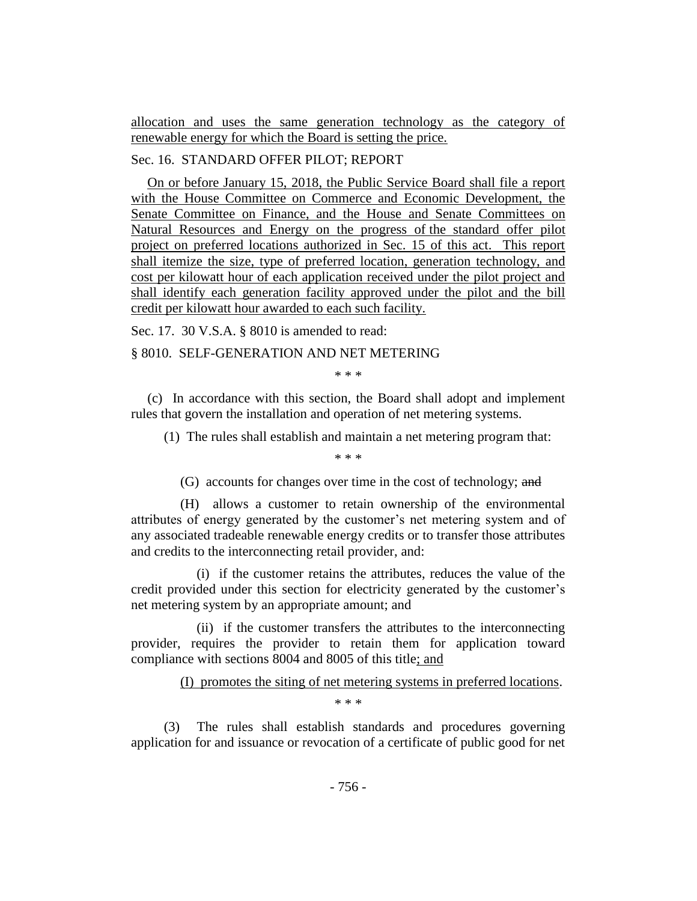allocation and uses the same generation technology as the category of renewable energy for which the Board is setting the price.

## Sec. 16. STANDARD OFFER PILOT; REPORT

On or before January 15, 2018, the Public Service Board shall file a report with the House Committee on Commerce and Economic Development, the Senate Committee on Finance, and the House and Senate Committees on Natural Resources and Energy on the progress of the standard offer pilot project on preferred locations authorized in Sec. 15 of this act. This report shall itemize the size, type of preferred location, generation technology, and cost per kilowatt hour of each application received under the pilot project and shall identify each generation facility approved under the pilot and the bill credit per kilowatt hour awarded to each such facility.

Sec. 17. 30 V.S.A. § 8010 is amended to read:

## § 8010. SELF-GENERATION AND NET METERING

\* \* \*

(c) In accordance with this section, the Board shall adopt and implement rules that govern the installation and operation of net metering systems.

(1) The rules shall establish and maintain a net metering program that:

\* \* \*

(G) accounts for changes over time in the cost of technology; and

(H) allows a customer to retain ownership of the environmental attributes of energy generated by the customer's net metering system and of any associated tradeable renewable energy credits or to transfer those attributes and credits to the interconnecting retail provider, and:

(i) if the customer retains the attributes, reduces the value of the credit provided under this section for electricity generated by the customer's net metering system by an appropriate amount; and

(ii) if the customer transfers the attributes to the interconnecting provider, requires the provider to retain them for application toward compliance with sections 8004 and 8005 of this title; and

(I) promotes the siting of net metering systems in preferred locations.

\* \* \*

(3) The rules shall establish standards and procedures governing application for and issuance or revocation of a certificate of public good for net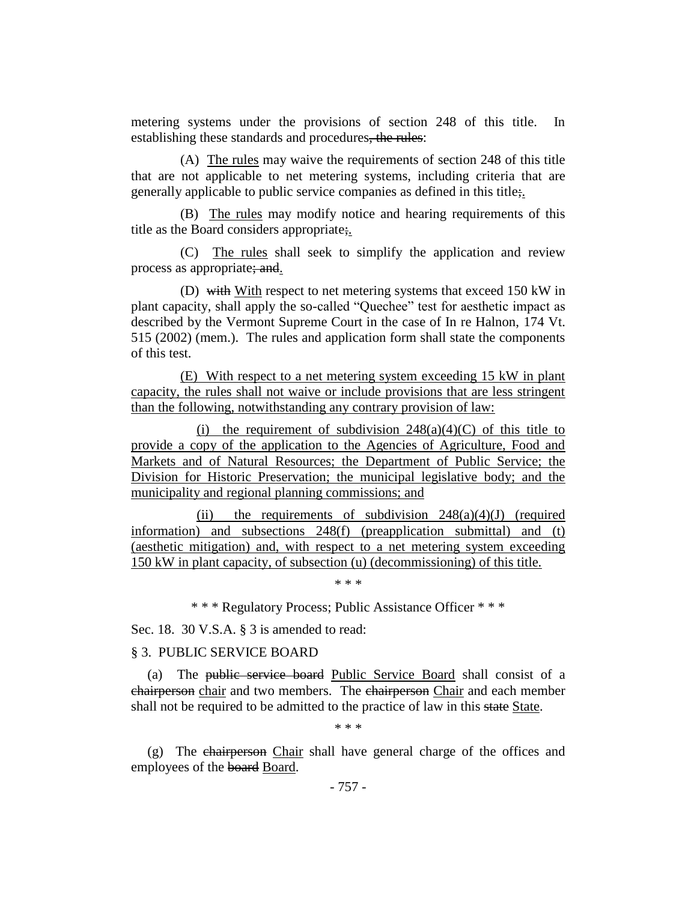metering systems under the provisions of section 248 of this title. In establishing these standards and procedures, the rules:

(A) The rules may waive the requirements of section 248 of this title that are not applicable to net metering systems, including criteria that are generally applicable to public service companies as defined in this title;.

(B) The rules may modify notice and hearing requirements of this title as the Board considers appropriate;.

(C) The rules shall seek to simplify the application and review process as appropriate; and.

(D) with With respect to net metering systems that exceed 150 kW in plant capacity, shall apply the so-called "Quechee" test for aesthetic impact as described by the Vermont Supreme Court in the case of In re Halnon, 174 Vt. 515 (2002) (mem.). The rules and application form shall state the components of this test.

(E) With respect to a net metering system exceeding 15 kW in plant capacity, the rules shall not waive or include provisions that are less stringent than the following, notwithstanding any contrary provision of law:

(i) the requirement of subdivision  $248(a)(4)(C)$  of this title to provide a copy of the application to the Agencies of Agriculture, Food and Markets and of Natural Resources; the Department of Public Service; the Division for Historic Preservation; the municipal legislative body; and the municipality and regional planning commissions; and

(ii) the requirements of subdivision  $248(a)(4)(J)$  (required information) and subsections 248(f) (preapplication submittal) and (t) (aesthetic mitigation) and, with respect to a net metering system exceeding 150 kW in plant capacity, of subsection (u) (decommissioning) of this title.

\* \* \* Regulatory Process; Public Assistance Officer \* \* \*

\* \* \*

Sec. 18. 30 V.S.A. § 3 is amended to read:

## § 3. PUBLIC SERVICE BOARD

(a) The public service board Public Service Board shall consist of a chairperson chair and two members. The chairperson Chair and each member shall not be required to be admitted to the practice of law in this state State.

\* \* \*

(g) The chairperson Chair shall have general charge of the offices and employees of the board Board.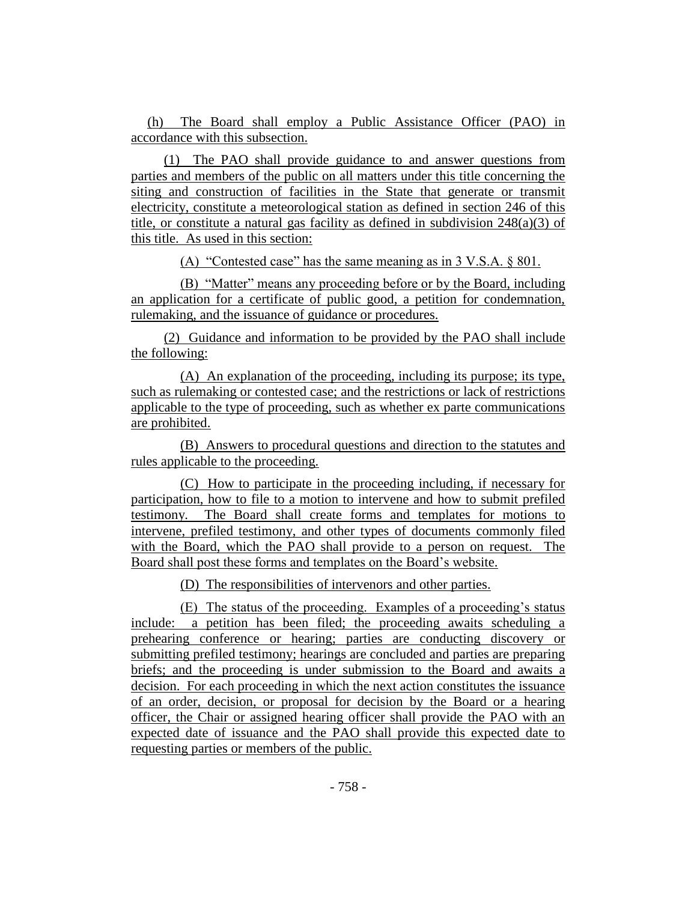(h) The Board shall employ a Public Assistance Officer (PAO) in accordance with this subsection.

(1) The PAO shall provide guidance to and answer questions from parties and members of the public on all matters under this title concerning the siting and construction of facilities in the State that generate or transmit electricity, constitute a meteorological station as defined in section 246 of this title, or constitute a natural gas facility as defined in subdivision 248(a)(3) of this title. As used in this section:

(A) "Contested case" has the same meaning as in 3 V.S.A. § 801.

(B) "Matter" means any proceeding before or by the Board, including an application for a certificate of public good, a petition for condemnation, rulemaking, and the issuance of guidance or procedures.

(2) Guidance and information to be provided by the PAO shall include the following:

(A) An explanation of the proceeding, including its purpose; its type, such as rulemaking or contested case; and the restrictions or lack of restrictions applicable to the type of proceeding, such as whether ex parte communications are prohibited.

(B) Answers to procedural questions and direction to the statutes and rules applicable to the proceeding.

(C) How to participate in the proceeding including, if necessary for participation, how to file to a motion to intervene and how to submit prefiled testimony. The Board shall create forms and templates for motions to intervene, prefiled testimony, and other types of documents commonly filed with the Board, which the PAO shall provide to a person on request. The Board shall post these forms and templates on the Board's website.

(D) The responsibilities of intervenors and other parties.

(E) The status of the proceeding. Examples of a proceeding's status include: a petition has been filed; the proceeding awaits scheduling a prehearing conference or hearing; parties are conducting discovery or submitting prefiled testimony; hearings are concluded and parties are preparing briefs; and the proceeding is under submission to the Board and awaits a decision. For each proceeding in which the next action constitutes the issuance of an order, decision, or proposal for decision by the Board or a hearing officer, the Chair or assigned hearing officer shall provide the PAO with an expected date of issuance and the PAO shall provide this expected date to requesting parties or members of the public.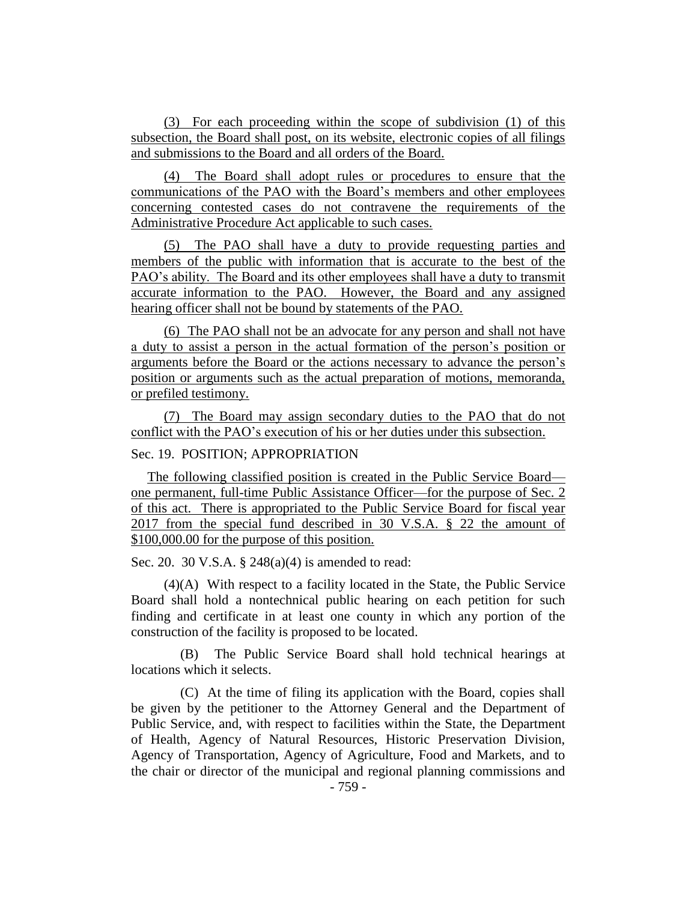(3) For each proceeding within the scope of subdivision (1) of this subsection, the Board shall post, on its website, electronic copies of all filings and submissions to the Board and all orders of the Board.

(4) The Board shall adopt rules or procedures to ensure that the communications of the PAO with the Board's members and other employees concerning contested cases do not contravene the requirements of the Administrative Procedure Act applicable to such cases.

(5) The PAO shall have a duty to provide requesting parties and members of the public with information that is accurate to the best of the PAO's ability. The Board and its other employees shall have a duty to transmit accurate information to the PAO. However, the Board and any assigned hearing officer shall not be bound by statements of the PAO.

(6) The PAO shall not be an advocate for any person and shall not have a duty to assist a person in the actual formation of the person's position or arguments before the Board or the actions necessary to advance the person's position or arguments such as the actual preparation of motions, memoranda, or prefiled testimony.

(7) The Board may assign secondary duties to the PAO that do not conflict with the PAO's execution of his or her duties under this subsection.

## Sec. 19. POSITION; APPROPRIATION

The following classified position is created in the Public Service Board one permanent, full-time Public Assistance Officer—for the purpose of Sec. 2 of this act. There is appropriated to the Public Service Board for fiscal year 2017 from the special fund described in 30 V.S.A. § 22 the amount of \$100,000.00 for the purpose of this position.

Sec. 20. 30 V.S.A. § 248(a)(4) is amended to read:

(4)(A) With respect to a facility located in the State, the Public Service Board shall hold a nontechnical public hearing on each petition for such finding and certificate in at least one county in which any portion of the construction of the facility is proposed to be located.

(B) The Public Service Board shall hold technical hearings at locations which it selects.

(C) At the time of filing its application with the Board, copies shall be given by the petitioner to the Attorney General and the Department of Public Service, and, with respect to facilities within the State, the Department of Health, Agency of Natural Resources, Historic Preservation Division, Agency of Transportation, Agency of Agriculture, Food and Markets, and to the chair or director of the municipal and regional planning commissions and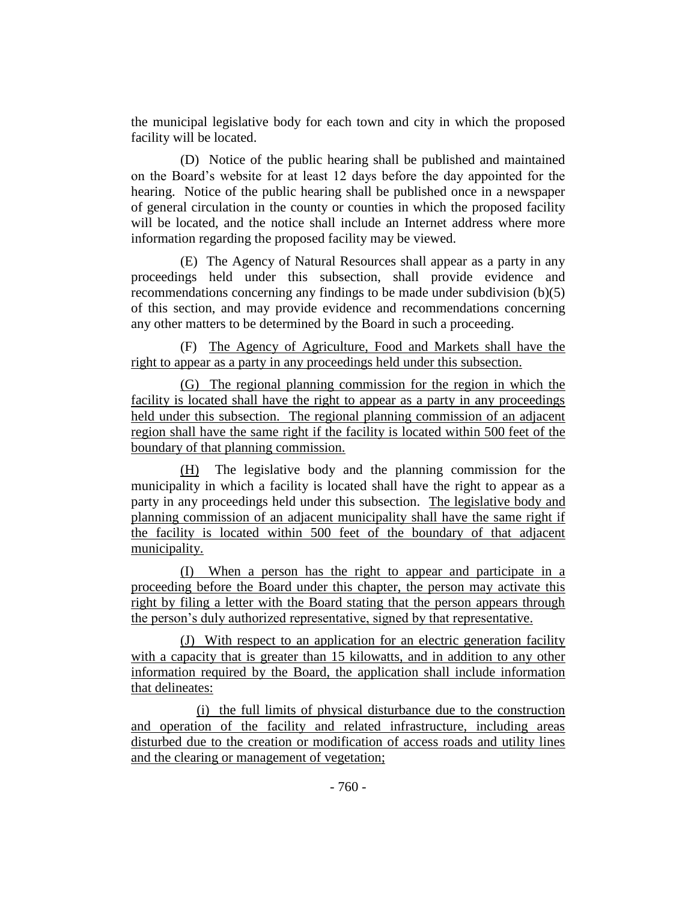the municipal legislative body for each town and city in which the proposed facility will be located.

(D) Notice of the public hearing shall be published and maintained on the Board's website for at least 12 days before the day appointed for the hearing. Notice of the public hearing shall be published once in a newspaper of general circulation in the county or counties in which the proposed facility will be located, and the notice shall include an Internet address where more information regarding the proposed facility may be viewed.

(E) The Agency of Natural Resources shall appear as a party in any proceedings held under this subsection, shall provide evidence and recommendations concerning any findings to be made under subdivision (b)(5) of this section, and may provide evidence and recommendations concerning any other matters to be determined by the Board in such a proceeding.

(F) The Agency of Agriculture, Food and Markets shall have the right to appear as a party in any proceedings held under this subsection.

(G) The regional planning commission for the region in which the facility is located shall have the right to appear as a party in any proceedings held under this subsection. The regional planning commission of an adjacent region shall have the same right if the facility is located within 500 feet of the boundary of that planning commission.

(H) The legislative body and the planning commission for the municipality in which a facility is located shall have the right to appear as a party in any proceedings held under this subsection. The legislative body and planning commission of an adjacent municipality shall have the same right if the facility is located within 500 feet of the boundary of that adjacent municipality.

(I) When a person has the right to appear and participate in a proceeding before the Board under this chapter, the person may activate this right by filing a letter with the Board stating that the person appears through the person's duly authorized representative, signed by that representative.

(J) With respect to an application for an electric generation facility with a capacity that is greater than 15 kilowatts, and in addition to any other information required by the Board, the application shall include information that delineates:

(i) the full limits of physical disturbance due to the construction and operation of the facility and related infrastructure, including areas disturbed due to the creation or modification of access roads and utility lines and the clearing or management of vegetation;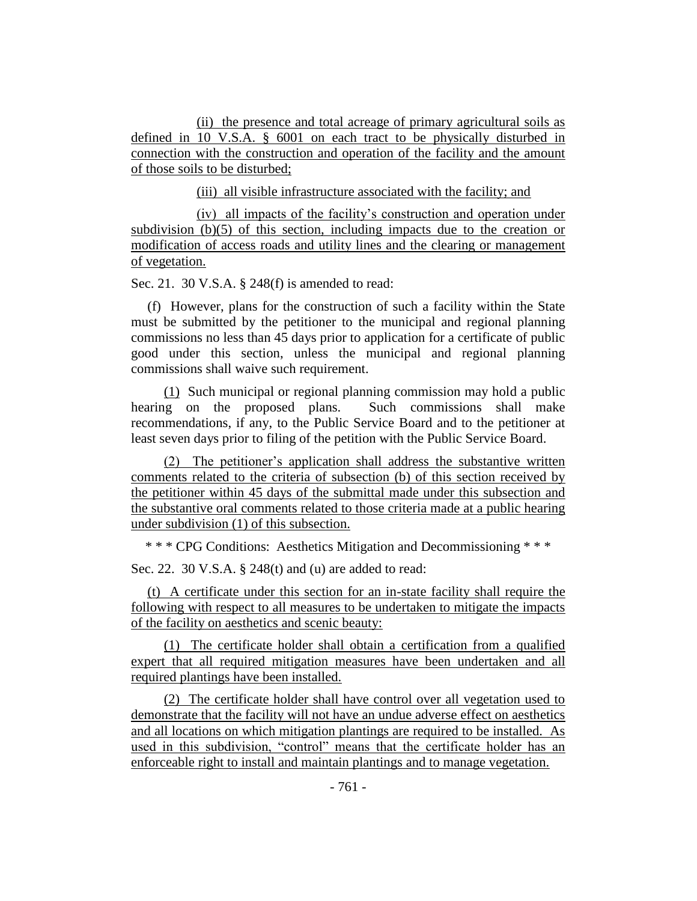(ii) the presence and total acreage of primary agricultural soils as defined in 10 V.S.A. § 6001 on each tract to be physically disturbed in connection with the construction and operation of the facility and the amount of those soils to be disturbed;

(iii) all visible infrastructure associated with the facility; and

(iv) all impacts of the facility's construction and operation under subdivision (b)(5) of this section, including impacts due to the creation or modification of access roads and utility lines and the clearing or management of vegetation.

Sec. 21. 30 V.S.A. § 248(f) is amended to read:

(f) However, plans for the construction of such a facility within the State must be submitted by the petitioner to the municipal and regional planning commissions no less than 45 days prior to application for a certificate of public good under this section, unless the municipal and regional planning commissions shall waive such requirement.

(1) Such municipal or regional planning commission may hold a public hearing on the proposed plans. Such commissions shall make recommendations, if any, to the Public Service Board and to the petitioner at least seven days prior to filing of the petition with the Public Service Board.

(2) The petitioner's application shall address the substantive written comments related to the criteria of subsection (b) of this section received by the petitioner within 45 days of the submittal made under this subsection and the substantive oral comments related to those criteria made at a public hearing under subdivision (1) of this subsection.

\* \* \* CPG Conditions: Aesthetics Mitigation and Decommissioning \* \* \*

Sec. 22. 30 V.S.A. § 248(t) and (u) are added to read:

(t) A certificate under this section for an in-state facility shall require the following with respect to all measures to be undertaken to mitigate the impacts of the facility on aesthetics and scenic beauty:

(1) The certificate holder shall obtain a certification from a qualified expert that all required mitigation measures have been undertaken and all required plantings have been installed.

(2) The certificate holder shall have control over all vegetation used to demonstrate that the facility will not have an undue adverse effect on aesthetics and all locations on which mitigation plantings are required to be installed. As used in this subdivision, "control" means that the certificate holder has an enforceable right to install and maintain plantings and to manage vegetation.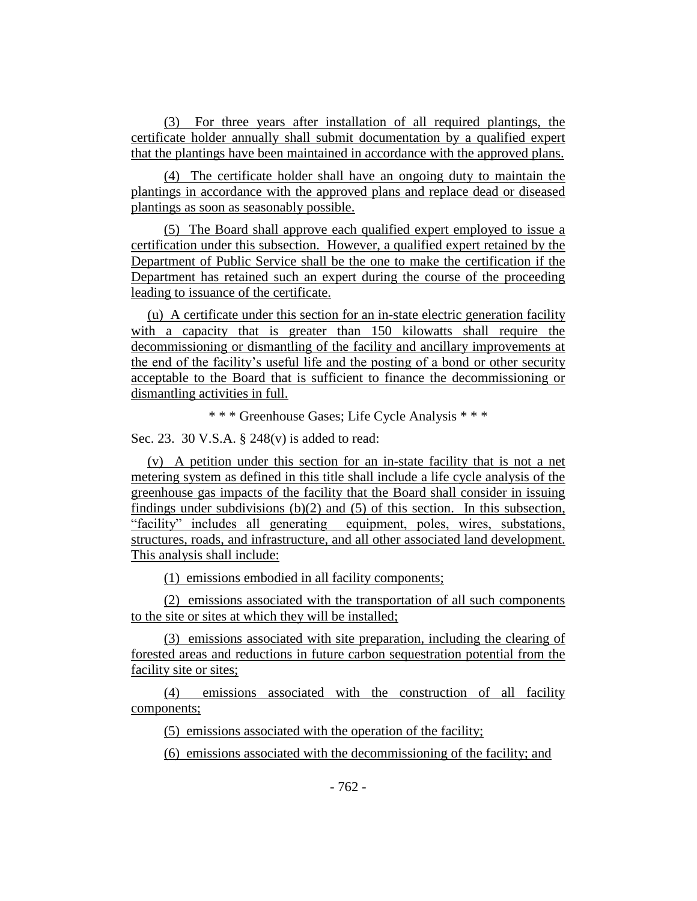(3) For three years after installation of all required plantings, the certificate holder annually shall submit documentation by a qualified expert that the plantings have been maintained in accordance with the approved plans.

(4) The certificate holder shall have an ongoing duty to maintain the plantings in accordance with the approved plans and replace dead or diseased plantings as soon as seasonably possible.

(5) The Board shall approve each qualified expert employed to issue a certification under this subsection. However, a qualified expert retained by the Department of Public Service shall be the one to make the certification if the Department has retained such an expert during the course of the proceeding leading to issuance of the certificate.

(u) A certificate under this section for an in-state electric generation facility with a capacity that is greater than 150 kilowatts shall require the decommissioning or dismantling of the facility and ancillary improvements at the end of the facility's useful life and the posting of a bond or other security acceptable to the Board that is sufficient to finance the decommissioning or dismantling activities in full.

\* \* \* Greenhouse Gases; Life Cycle Analysis \* \* \*

Sec. 23. 30 V.S.A. § 248(v) is added to read:

(v) A petition under this section for an in-state facility that is not a net metering system as defined in this title shall include a life cycle analysis of the greenhouse gas impacts of the facility that the Board shall consider in issuing findings under subdivisions  $(b)(2)$  and  $(5)$  of this section. In this subsection, "facility" includes all generating equipment, poles, wires, substations, structures, roads, and infrastructure, and all other associated land development. This analysis shall include:

(1) emissions embodied in all facility components;

(2) emissions associated with the transportation of all such components to the site or sites at which they will be installed;

(3) emissions associated with site preparation, including the clearing of forested areas and reductions in future carbon sequestration potential from the facility site or sites;

(4) emissions associated with the construction of all facility components;

(5) emissions associated with the operation of the facility;

(6) emissions associated with the decommissioning of the facility; and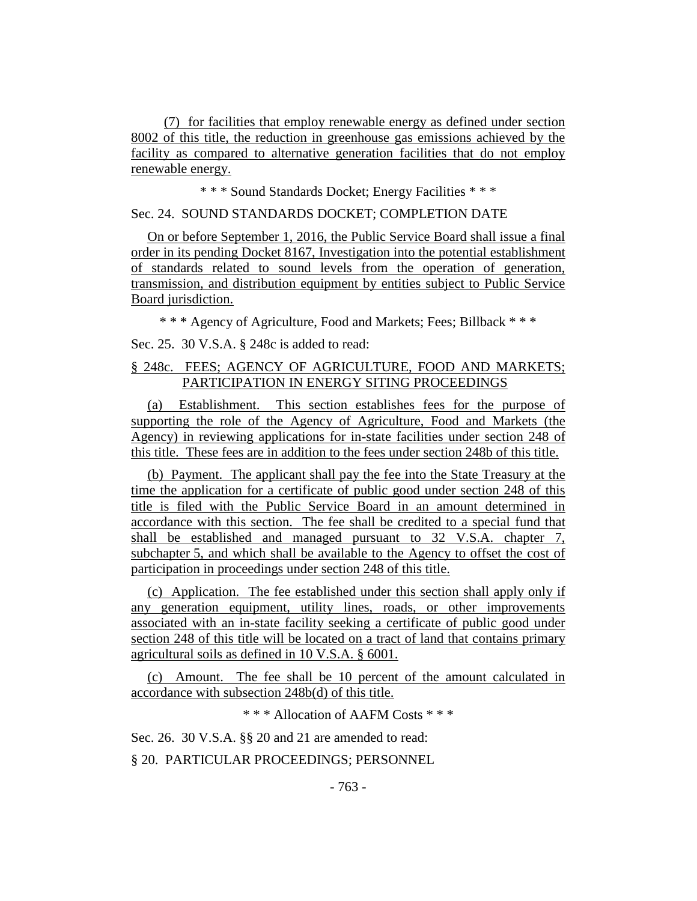(7) for facilities that employ renewable energy as defined under section 8002 of this title, the reduction in greenhouse gas emissions achieved by the facility as compared to alternative generation facilities that do not employ renewable energy.

\* \* \* Sound Standards Docket; Energy Facilities \* \* \*

# Sec. 24. SOUND STANDARDS DOCKET; COMPLETION DATE

On or before September 1, 2016, the Public Service Board shall issue a final order in its pending Docket 8167, Investigation into the potential establishment of standards related to sound levels from the operation of generation, transmission, and distribution equipment by entities subject to Public Service Board jurisdiction.

\* \* \* Agency of Agriculture, Food and Markets; Fees; Billback \* \* \*

Sec. 25. 30 V.S.A. § 248c is added to read:

# § 248c. FEES; AGENCY OF AGRICULTURE, FOOD AND MARKETS; PARTICIPATION IN ENERGY SITING PROCEEDINGS

(a) Establishment. This section establishes fees for the purpose of supporting the role of the Agency of Agriculture, Food and Markets (the Agency) in reviewing applications for in-state facilities under section 248 of this title. These fees are in addition to the fees under section 248b of this title.

(b) Payment. The applicant shall pay the fee into the State Treasury at the time the application for a certificate of public good under section 248 of this title is filed with the Public Service Board in an amount determined in accordance with this section. The fee shall be credited to a special fund that shall be established and managed pursuant to 32 V.S.A. chapter 7, subchapter 5, and which shall be available to the Agency to offset the cost of participation in proceedings under section 248 of this title.

(c) Application. The fee established under this section shall apply only if any generation equipment, utility lines, roads, or other improvements associated with an in-state facility seeking a certificate of public good under section 248 of this title will be located on a tract of land that contains primary agricultural soils as defined in 10 V.S.A. § 6001.

(c) Amount. The fee shall be 10 percent of the amount calculated in accordance with subsection 248b(d) of this title.

\* \* \* Allocation of AAFM Costs \* \* \*

Sec. 26. 30 V.S.A. §§ 20 and 21 are amended to read:

§ 20. PARTICULAR PROCEEDINGS; PERSONNEL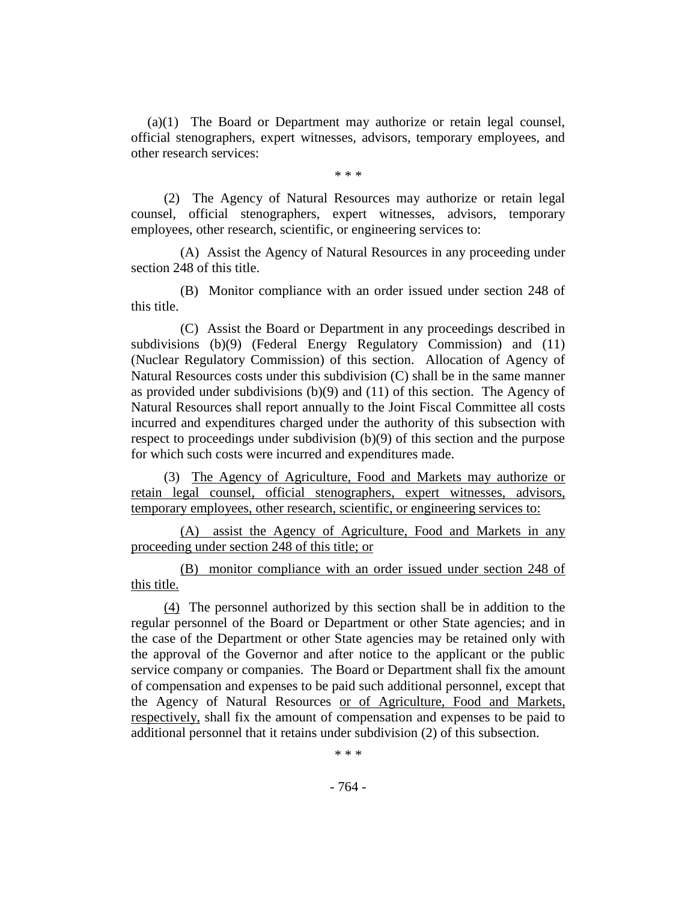(a)(1) The Board or Department may authorize or retain legal counsel, official stenographers, expert witnesses, advisors, temporary employees, and other research services:

\* \* \*

(2) The Agency of Natural Resources may authorize or retain legal counsel, official stenographers, expert witnesses, advisors, temporary employees, other research, scientific, or engineering services to:

(A) Assist the Agency of Natural Resources in any proceeding under section 248 of this title.

(B) Monitor compliance with an order issued under section 248 of this title.

(C) Assist the Board or Department in any proceedings described in subdivisions (b)(9) (Federal Energy Regulatory Commission) and (11) (Nuclear Regulatory Commission) of this section. Allocation of Agency of Natural Resources costs under this subdivision (C) shall be in the same manner as provided under subdivisions  $(b)(9)$  and  $(11)$  of this section. The Agency of Natural Resources shall report annually to the Joint Fiscal Committee all costs incurred and expenditures charged under the authority of this subsection with respect to proceedings under subdivision (b)(9) of this section and the purpose for which such costs were incurred and expenditures made.

(3) The Agency of Agriculture, Food and Markets may authorize or retain legal counsel, official stenographers, expert witnesses, advisors, temporary employees, other research, scientific, or engineering services to:

(A) assist the Agency of Agriculture, Food and Markets in any proceeding under section 248 of this title; or

(B) monitor compliance with an order issued under section 248 of this title.

(4) The personnel authorized by this section shall be in addition to the regular personnel of the Board or Department or other State agencies; and in the case of the Department or other State agencies may be retained only with the approval of the Governor and after notice to the applicant or the public service company or companies. The Board or Department shall fix the amount of compensation and expenses to be paid such additional personnel, except that the Agency of Natural Resources or of Agriculture, Food and Markets, respectively, shall fix the amount of compensation and expenses to be paid to additional personnel that it retains under subdivision (2) of this subsection.

\* \* \*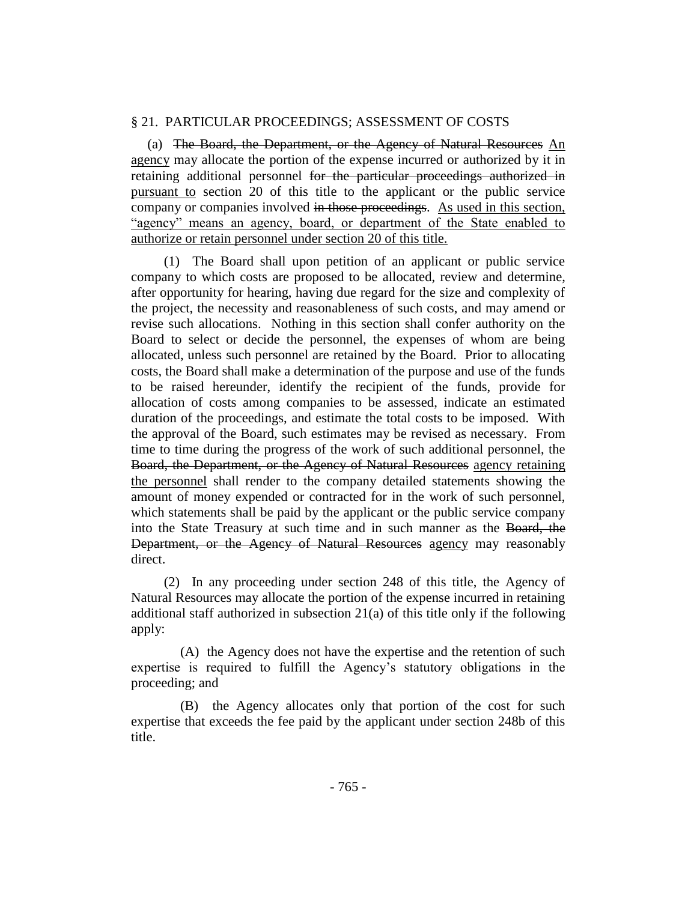# § 21. PARTICULAR PROCEEDINGS; ASSESSMENT OF COSTS

(a) The Board, the Department, or the Agency of Natural Resources An agency may allocate the portion of the expense incurred or authorized by it in retaining additional personnel for the particular proceedings authorized in pursuant to section 20 of this title to the applicant or the public service company or companies involved in those proceedings. As used in this section, "agency" means an agency, board, or department of the State enabled to authorize or retain personnel under section 20 of this title.

(1) The Board shall upon petition of an applicant or public service company to which costs are proposed to be allocated, review and determine, after opportunity for hearing, having due regard for the size and complexity of the project, the necessity and reasonableness of such costs, and may amend or revise such allocations. Nothing in this section shall confer authority on the Board to select or decide the personnel, the expenses of whom are being allocated, unless such personnel are retained by the Board. Prior to allocating costs, the Board shall make a determination of the purpose and use of the funds to be raised hereunder, identify the recipient of the funds, provide for allocation of costs among companies to be assessed, indicate an estimated duration of the proceedings, and estimate the total costs to be imposed. With the approval of the Board, such estimates may be revised as necessary. From time to time during the progress of the work of such additional personnel, the Board, the Department, or the Agency of Natural Resources agency retaining the personnel shall render to the company detailed statements showing the amount of money expended or contracted for in the work of such personnel, which statements shall be paid by the applicant or the public service company into the State Treasury at such time and in such manner as the Board, the Department, or the Agency of Natural Resources agency may reasonably direct.

(2) In any proceeding under section 248 of this title, the Agency of Natural Resources may allocate the portion of the expense incurred in retaining additional staff authorized in subsection 21(a) of this title only if the following apply:

(A) the Agency does not have the expertise and the retention of such expertise is required to fulfill the Agency's statutory obligations in the proceeding; and

(B) the Agency allocates only that portion of the cost for such expertise that exceeds the fee paid by the applicant under section 248b of this title.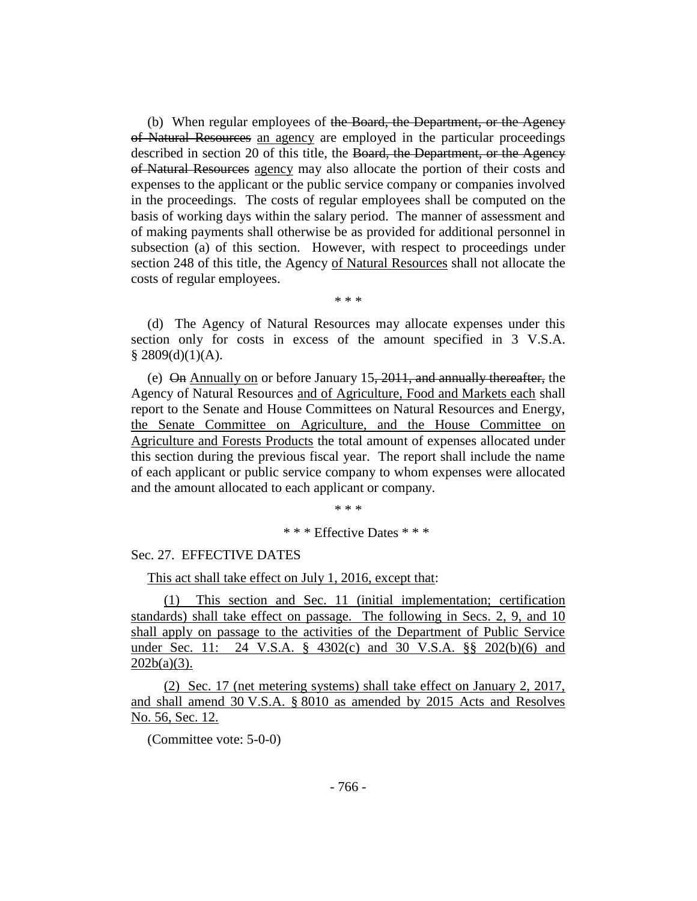(b) When regular employees of the Board, the Department, or the Agency of Natural Resources an agency are employed in the particular proceedings described in section 20 of this title, the Board, the Department, or the Agency of Natural Resources agency may also allocate the portion of their costs and expenses to the applicant or the public service company or companies involved in the proceedings. The costs of regular employees shall be computed on the basis of working days within the salary period. The manner of assessment and of making payments shall otherwise be as provided for additional personnel in subsection (a) of this section. However, with respect to proceedings under section 248 of this title, the Agency of Natural Resources shall not allocate the costs of regular employees.

\* \* \*

(d) The Agency of Natural Resources may allocate expenses under this section only for costs in excess of the amount specified in 3 V.S.A.  $§$  2809(d)(1)(A).

(e)  $\Theta$  Annually on or before January 15, 2011, and annually thereafter, the Agency of Natural Resources and of Agriculture, Food and Markets each shall report to the Senate and House Committees on Natural Resources and Energy, the Senate Committee on Agriculture, and the House Committee on Agriculture and Forests Products the total amount of expenses allocated under this section during the previous fiscal year. The report shall include the name of each applicant or public service company to whom expenses were allocated and the amount allocated to each applicant or company.

\* \* \*

\* \* \* Effective Dates \* \* \*

### Sec. 27. EFFECTIVE DATES

This act shall take effect on July 1, 2016, except that:

(1) This section and Sec. 11 (initial implementation; certification standards) shall take effect on passage. The following in Secs. 2, 9, and 10 shall apply on passage to the activities of the Department of Public Service under Sec. 11: 24 V.S.A. § 4302(c) and 30 V.S.A. §§ 202(b)(6) and  $202b(a)(3)$ .

(2) Sec. 17 (net metering systems) shall take effect on January 2, 2017, and shall amend 30 V.S.A. § 8010 as amended by 2015 Acts and Resolves No. 56, Sec. 12.

(Committee vote: 5-0-0)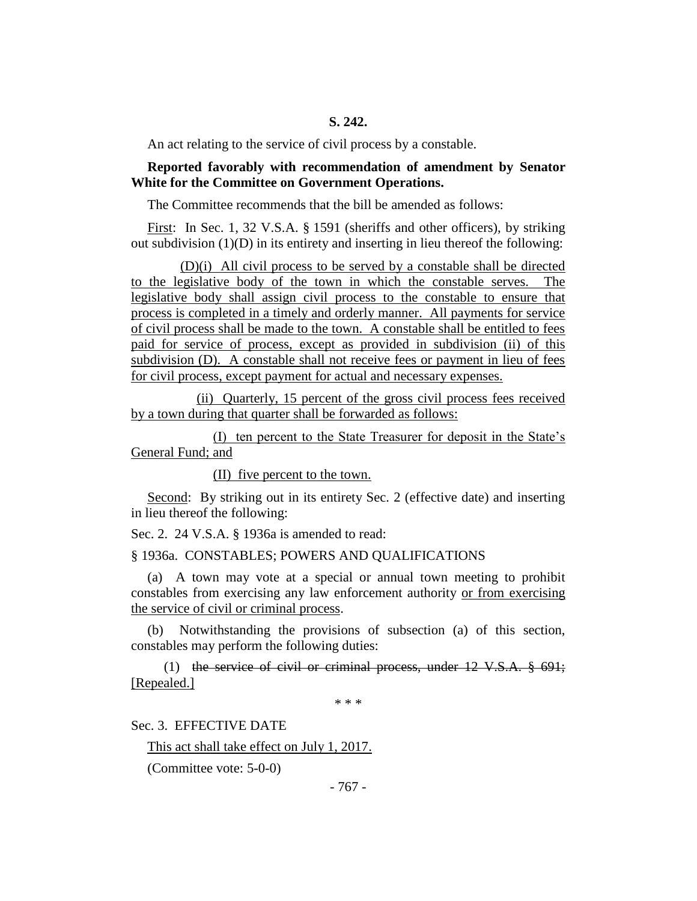An act relating to the service of civil process by a constable.

# **Reported favorably with recommendation of amendment by Senator White for the Committee on Government Operations.**

The Committee recommends that the bill be amended as follows:

First: In Sec. 1, 32 V.S.A. § 1591 (sheriffs and other officers), by striking out subdivision  $(1)(D)$  in its entirety and inserting in lieu thereof the following:

(D)(i) All civil process to be served by a constable shall be directed to the legislative body of the town in which the constable serves. The legislative body shall assign civil process to the constable to ensure that process is completed in a timely and orderly manner. All payments for service of civil process shall be made to the town. A constable shall be entitled to fees paid for service of process, except as provided in subdivision (ii) of this subdivision (D). A constable shall not receive fees or payment in lieu of fees for civil process, except payment for actual and necessary expenses.

(ii) Quarterly, 15 percent of the gross civil process fees received by a town during that quarter shall be forwarded as follows:

(I) ten percent to the State Treasurer for deposit in the State's General Fund; and

(II) five percent to the town.

Second: By striking out in its entirety Sec. 2 (effective date) and inserting in lieu thereof the following:

Sec. 2. 24 V.S.A. § 1936a is amended to read:

### § 1936a. CONSTABLES; POWERS AND QUALIFICATIONS

(a) A town may vote at a special or annual town meeting to prohibit constables from exercising any law enforcement authority or from exercising the service of civil or criminal process.

(b) Notwithstanding the provisions of subsection (a) of this section, constables may perform the following duties:

(1) the service of civil or criminal process, under 12 V.S.A. § 691; [Repealed.]

\* \* \*

#### Sec. 3. EFFECTIVE DATE

This act shall take effect on July 1, 2017.

(Committee vote: 5-0-0)

- 767 -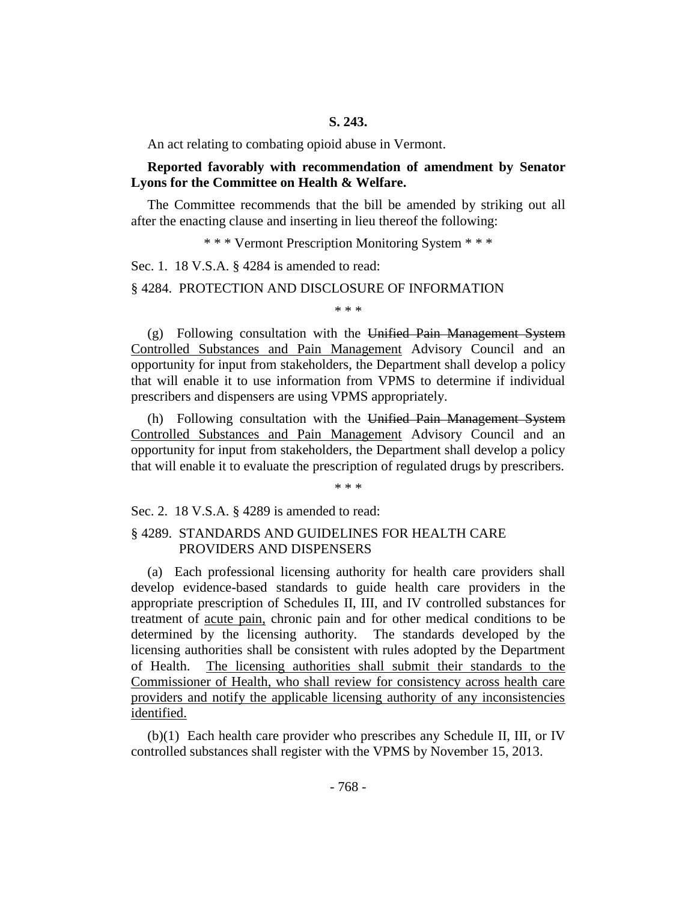An act relating to combating opioid abuse in Vermont.

# **Reported favorably with recommendation of amendment by Senator Lyons for the Committee on Health & Welfare.**

The Committee recommends that the bill be amended by striking out all after the enacting clause and inserting in lieu thereof the following:

\* \* \* Vermont Prescription Monitoring System \* \* \*

Sec. 1. 18 V.S.A. § 4284 is amended to read:

§ 4284. PROTECTION AND DISCLOSURE OF INFORMATION

\* \* \*

(g) Following consultation with the Unified Pain Management System Controlled Substances and Pain Management Advisory Council and an opportunity for input from stakeholders, the Department shall develop a policy that will enable it to use information from VPMS to determine if individual prescribers and dispensers are using VPMS appropriately.

(h) Following consultation with the Unified Pain Management System Controlled Substances and Pain Management Advisory Council and an opportunity for input from stakeholders, the Department shall develop a policy that will enable it to evaluate the prescription of regulated drugs by prescribers.

\* \* \*

Sec. 2. 18 V.S.A. § 4289 is amended to read:

# § 4289. STANDARDS AND GUIDELINES FOR HEALTH CARE PROVIDERS AND DISPENSERS

(a) Each professional licensing authority for health care providers shall develop evidence-based standards to guide health care providers in the appropriate prescription of Schedules II, III, and IV controlled substances for treatment of acute pain, chronic pain and for other medical conditions to be determined by the licensing authority. The standards developed by the licensing authorities shall be consistent with rules adopted by the Department of Health. The licensing authorities shall submit their standards to the Commissioner of Health, who shall review for consistency across health care providers and notify the applicable licensing authority of any inconsistencies identified.

(b)(1) Each health care provider who prescribes any Schedule II, III, or IV controlled substances shall register with the VPMS by November 15, 2013.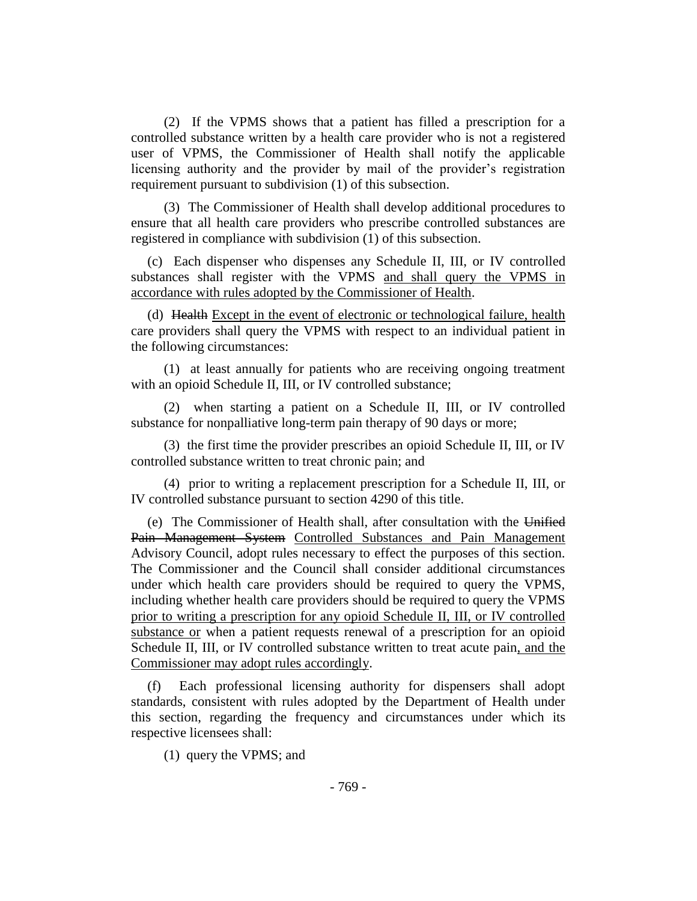(2) If the VPMS shows that a patient has filled a prescription for a controlled substance written by a health care provider who is not a registered user of VPMS, the Commissioner of Health shall notify the applicable licensing authority and the provider by mail of the provider's registration requirement pursuant to subdivision (1) of this subsection.

(3) The Commissioner of Health shall develop additional procedures to ensure that all health care providers who prescribe controlled substances are registered in compliance with subdivision (1) of this subsection.

(c) Each dispenser who dispenses any Schedule II, III, or IV controlled substances shall register with the VPMS and shall query the VPMS in accordance with rules adopted by the Commissioner of Health.

(d) Health Except in the event of electronic or technological failure, health care providers shall query the VPMS with respect to an individual patient in the following circumstances:

(1) at least annually for patients who are receiving ongoing treatment with an opioid Schedule II, III, or IV controlled substance;

(2) when starting a patient on a Schedule II, III, or IV controlled substance for nonpalliative long-term pain therapy of 90 days or more;

(3) the first time the provider prescribes an opioid Schedule II, III, or IV controlled substance written to treat chronic pain; and

(4) prior to writing a replacement prescription for a Schedule II, III, or IV controlled substance pursuant to section 4290 of this title.

(e) The Commissioner of Health shall, after consultation with the Unified Pain Management System Controlled Substances and Pain Management Advisory Council, adopt rules necessary to effect the purposes of this section. The Commissioner and the Council shall consider additional circumstances under which health care providers should be required to query the VPMS, including whether health care providers should be required to query the VPMS prior to writing a prescription for any opioid Schedule II, III, or IV controlled substance or when a patient requests renewal of a prescription for an opioid Schedule II, III, or IV controlled substance written to treat acute pain, and the Commissioner may adopt rules accordingly.

(f) Each professional licensing authority for dispensers shall adopt standards, consistent with rules adopted by the Department of Health under this section, regarding the frequency and circumstances under which its respective licensees shall:

(1) query the VPMS; and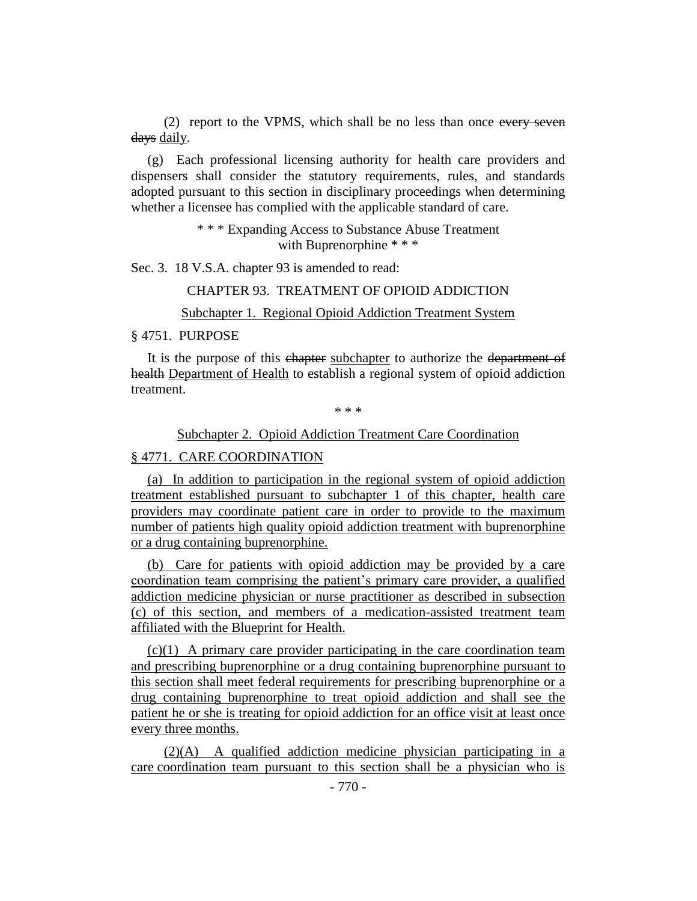(2) report to the VPMS, which shall be no less than once every seven days daily.

(g) Each professional licensing authority for health care providers and dispensers shall consider the statutory requirements, rules, and standards adopted pursuant to this section in disciplinary proceedings when determining whether a licensee has complied with the applicable standard of care.

> \* \* \* Expanding Access to Substance Abuse Treatment with Buprenorphine \* \* \*

Sec. 3. 18 V.S.A. chapter 93 is amended to read:

CHAPTER 93. TREATMENT OF OPIOID ADDICTION

Subchapter 1. Regional Opioid Addiction Treatment System

§ 4751. PURPOSE

It is the purpose of this chapter subchapter to authorize the department of health Department of Health to establish a regional system of opioid addiction treatment.

\* \* \*

## Subchapter 2. Opioid Addiction Treatment Care Coordination

## § 4771. CARE COORDINATION

(a) In addition to participation in the regional system of opioid addiction treatment established pursuant to subchapter 1 of this chapter, health care providers may coordinate patient care in order to provide to the maximum number of patients high quality opioid addiction treatment with buprenorphine or a drug containing buprenorphine.

(b) Care for patients with opioid addiction may be provided by a care coordination team comprising the patient's primary care provider, a qualified addiction medicine physician or nurse practitioner as described in subsection (c) of this section, and members of a medication-assisted treatment team affiliated with the Blueprint for Health.

(c)(1) A primary care provider participating in the care coordination team and prescribing buprenorphine or a drug containing buprenorphine pursuant to this section shall meet federal requirements for prescribing buprenorphine or a drug containing buprenorphine to treat opioid addiction and shall see the patient he or she is treating for opioid addiction for an office visit at least once every three months.

(2)(A) A qualified addiction medicine physician participating in a care coordination team pursuant to this section shall be a physician who is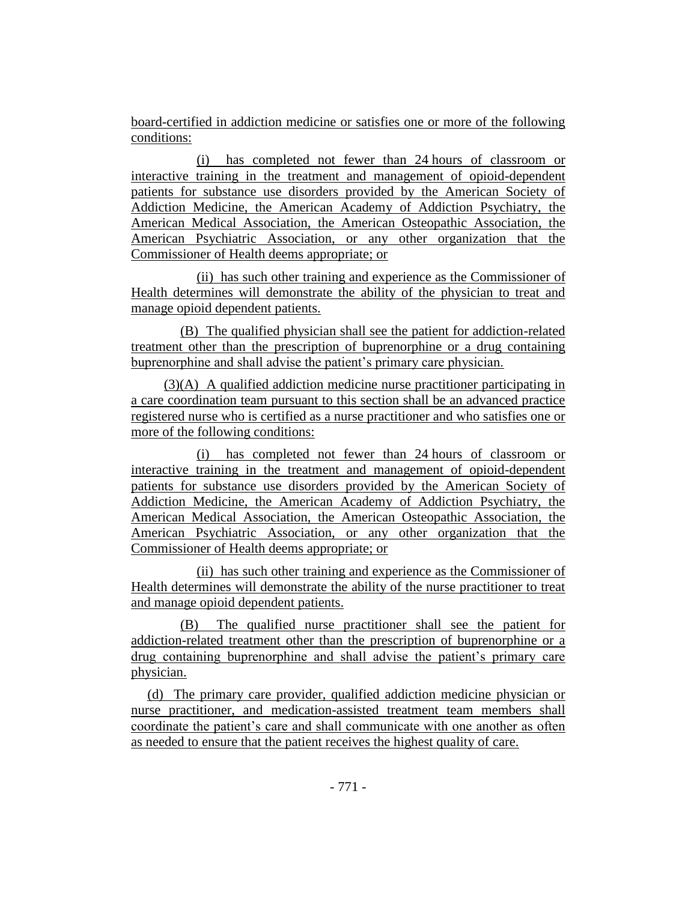board-certified in addiction medicine or satisfies one or more of the following conditions:

(i) has completed not fewer than 24 hours of classroom or interactive training in the treatment and management of opioid-dependent patients for substance use disorders provided by the American Society of Addiction Medicine, the American Academy of Addiction Psychiatry, the American Medical Association, the American Osteopathic Association, the American Psychiatric Association, or any other organization that the Commissioner of Health deems appropriate; or

(ii) has such other training and experience as the Commissioner of Health determines will demonstrate the ability of the physician to treat and manage opioid dependent patients.

(B) The qualified physician shall see the patient for addiction-related treatment other than the prescription of buprenorphine or a drug containing buprenorphine and shall advise the patient's primary care physician.

(3)(A) A qualified addiction medicine nurse practitioner participating in a care coordination team pursuant to this section shall be an advanced practice registered nurse who is certified as a nurse practitioner and who satisfies one or more of the following conditions:

(i) has completed not fewer than 24 hours of classroom or interactive training in the treatment and management of opioid-dependent patients for substance use disorders provided by the American Society of Addiction Medicine, the American Academy of Addiction Psychiatry, the American Medical Association, the American Osteopathic Association, the American Psychiatric Association, or any other organization that the Commissioner of Health deems appropriate; or

(ii) has such other training and experience as the Commissioner of Health determines will demonstrate the ability of the nurse practitioner to treat and manage opioid dependent patients.

(B) The qualified nurse practitioner shall see the patient for addiction-related treatment other than the prescription of buprenorphine or a drug containing buprenorphine and shall advise the patient's primary care physician.

(d) The primary care provider, qualified addiction medicine physician or nurse practitioner, and medication-assisted treatment team members shall coordinate the patient's care and shall communicate with one another as often as needed to ensure that the patient receives the highest quality of care.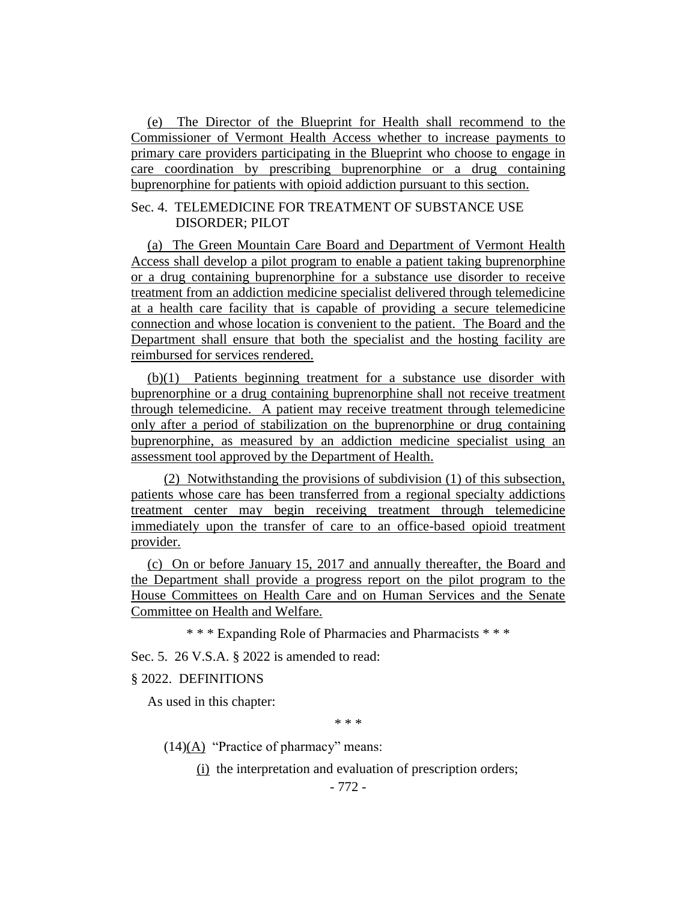(e) The Director of the Blueprint for Health shall recommend to the Commissioner of Vermont Health Access whether to increase payments to primary care providers participating in the Blueprint who choose to engage in care coordination by prescribing buprenorphine or a drug containing buprenorphine for patients with opioid addiction pursuant to this section.

## Sec. 4. TELEMEDICINE FOR TREATMENT OF SUBSTANCE USE DISORDER; PILOT

(a)The Green Mountain Care Board and Department of Vermont Health Access shall develop a pilot program to enable a patient taking buprenorphine or a drug containing buprenorphine for a substance use disorder to receive treatment from an addiction medicine specialist delivered through telemedicine at a health care facility that is capable of providing a secure telemedicine connection and whose location is convenient to the patient. The Board and the Department shall ensure that both the specialist and the hosting facility are reimbursed for services rendered.

(b)(1) Patients beginning treatment for a substance use disorder with buprenorphine or a drug containing buprenorphine shall not receive treatment through telemedicine. A patient may receive treatment through telemedicine only after a period of stabilization on the buprenorphine or drug containing buprenorphine, as measured by an addiction medicine specialist using an assessment tool approved by the Department of Health.

(2) Notwithstanding the provisions of subdivision (1) of this subsection, patients whose care has been transferred from a regional specialty addictions treatment center may begin receiving treatment through telemedicine immediately upon the transfer of care to an office-based opioid treatment provider.

(c) On or before January 15, 2017 and annually thereafter, the Board and the Department shall provide a progress report on the pilot program to the House Committees on Health Care and on Human Services and the Senate Committee on Health and Welfare.

\* \* \* Expanding Role of Pharmacies and Pharmacists \* \* \*

Sec. 5. 26 V.S.A. § 2022 is amended to read:

§ 2022. DEFINITIONS

As used in this chapter:

\* \* \*

(14)(A) "Practice of pharmacy" means:

 $(i)$  the interpretation and evaluation of prescription orders;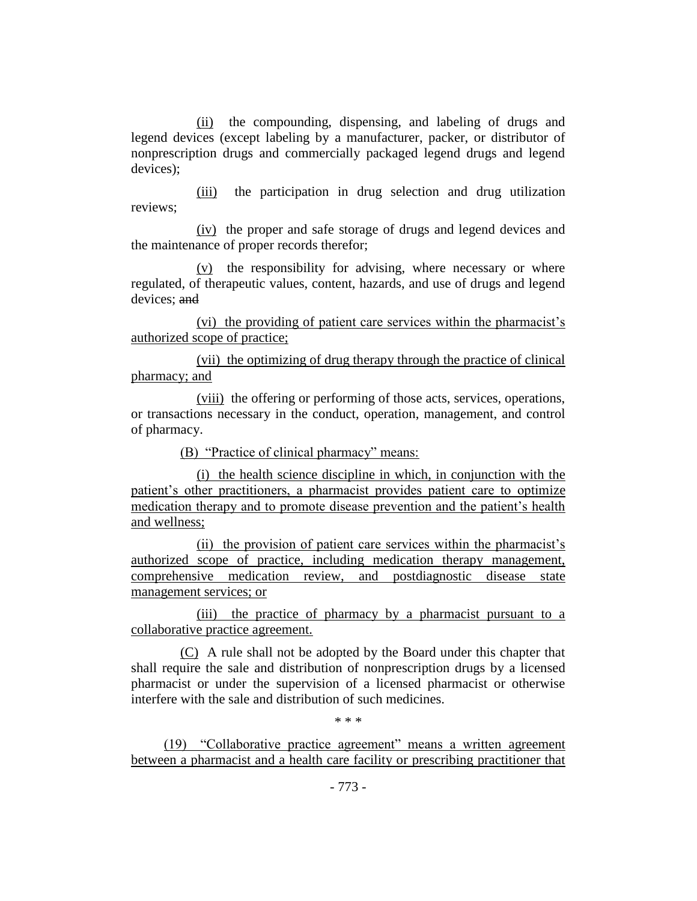(ii) the compounding, dispensing, and labeling of drugs and legend devices (except labeling by a manufacturer, packer, or distributor of nonprescription drugs and commercially packaged legend drugs and legend devices);

(iii) the participation in drug selection and drug utilization reviews;

(iv) the proper and safe storage of drugs and legend devices and the maintenance of proper records therefor;

(v) the responsibility for advising, where necessary or where regulated, of therapeutic values, content, hazards, and use of drugs and legend devices; and

(vi) the providing of patient care services within the pharmacist's authorized scope of practice;

(vii) the optimizing of drug therapy through the practice of clinical pharmacy; and

(viii) the offering or performing of those acts, services, operations, or transactions necessary in the conduct, operation, management, and control of pharmacy.

(B) "Practice of clinical pharmacy" means:

(i) the health science discipline in which, in conjunction with the patient's other practitioners, a pharmacist provides patient care to optimize medication therapy and to promote disease prevention and the patient's health and wellness;

(ii) the provision of patient care services within the pharmacist's authorized scope of practice, including medication therapy management, comprehensive medication review, and postdiagnostic disease state management services; or

(iii) the practice of pharmacy by a pharmacist pursuant to a collaborative practice agreement.

(C) A rule shall not be adopted by the Board under this chapter that shall require the sale and distribution of nonprescription drugs by a licensed pharmacist or under the supervision of a licensed pharmacist or otherwise interfere with the sale and distribution of such medicines.

\* \* \*

(19) "Collaborative practice agreement" means a written agreement between a pharmacist and a health care facility or prescribing practitioner that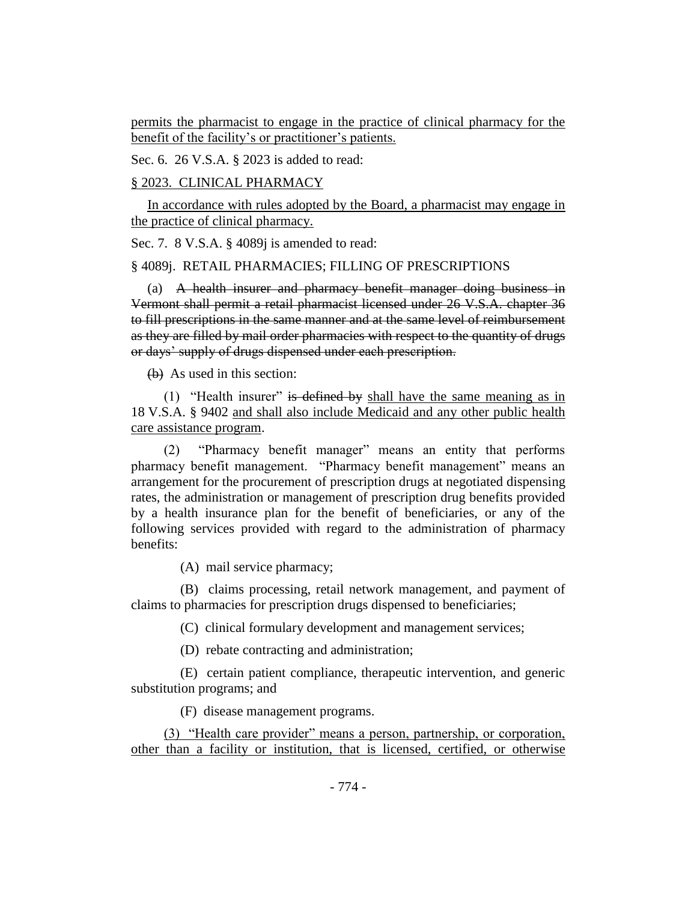permits the pharmacist to engage in the practice of clinical pharmacy for the benefit of the facility's or practitioner's patients.

Sec. 6. 26 V.S.A. § 2023 is added to read:

§ 2023. CLINICAL PHARMACY

In accordance with rules adopted by the Board, a pharmacist may engage in the practice of clinical pharmacy.

Sec. 7. 8 V.S.A. § 4089j is amended to read:

§ 4089j. RETAIL PHARMACIES; FILLING OF PRESCRIPTIONS

(a) A health insurer and pharmacy benefit manager doing business in Vermont shall permit a retail pharmacist licensed under 26 V.S.A. chapter 36 to fill prescriptions in the same manner and at the same level of reimbursement as they are filled by mail order pharmacies with respect to the quantity of drugs or days' supply of drugs dispensed under each prescription.

(b) As used in this section:

(1) "Health insurer" is defined by shall have the same meaning as in 18 V.S.A. § 9402 and shall also include Medicaid and any other public health care assistance program.

(2) "Pharmacy benefit manager" means an entity that performs pharmacy benefit management. "Pharmacy benefit management" means an arrangement for the procurement of prescription drugs at negotiated dispensing rates, the administration or management of prescription drug benefits provided by a health insurance plan for the benefit of beneficiaries, or any of the following services provided with regard to the administration of pharmacy benefits:

(A) mail service pharmacy;

(B) claims processing, retail network management, and payment of claims to pharmacies for prescription drugs dispensed to beneficiaries;

(C) clinical formulary development and management services;

(D) rebate contracting and administration;

(E) certain patient compliance, therapeutic intervention, and generic substitution programs; and

(F) disease management programs.

(3) "Health care provider" means a person, partnership, or corporation, other than a facility or institution, that is licensed, certified, or otherwise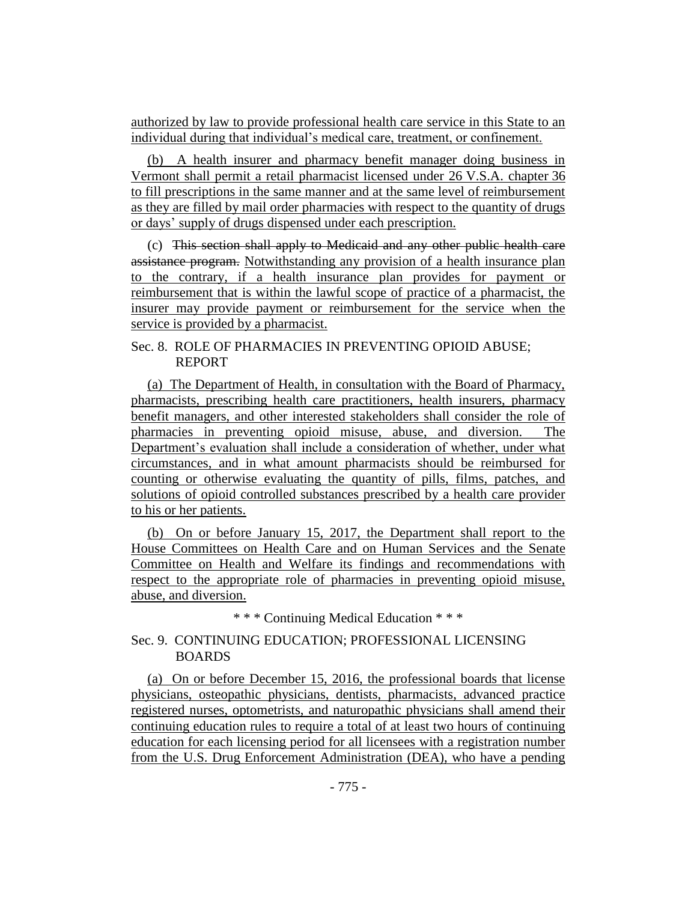authorized by law to provide professional health care service in this State to an individual during that individual's medical care, treatment, or confinement.

(b) A health insurer and pharmacy benefit manager doing business in Vermont shall permit a retail pharmacist licensed under 26 V.S.A. chapter 36 to fill prescriptions in the same manner and at the same level of reimbursement as they are filled by mail order pharmacies with respect to the quantity of drugs or days' supply of drugs dispensed under each prescription.

(c) This section shall apply to Medicaid and any other public health care assistance program. Notwithstanding any provision of a health insurance plan to the contrary, if a health insurance plan provides for payment or reimbursement that is within the lawful scope of practice of a pharmacist, the insurer may provide payment or reimbursement for the service when the service is provided by a pharmacist.

# Sec. 8. ROLE OF PHARMACIES IN PREVENTING OPIOID ABUSE; REPORT

(a) The Department of Health, in consultation with the Board of Pharmacy, pharmacists, prescribing health care practitioners, health insurers, pharmacy benefit managers, and other interested stakeholders shall consider the role of pharmacies in preventing opioid misuse, abuse, and diversion. The Department's evaluation shall include a consideration of whether, under what circumstances, and in what amount pharmacists should be reimbursed for counting or otherwise evaluating the quantity of pills, films, patches, and solutions of opioid controlled substances prescribed by a health care provider to his or her patients.

(b) On or before January 15, 2017, the Department shall report to the House Committees on Health Care and on Human Services and the Senate Committee on Health and Welfare its findings and recommendations with respect to the appropriate role of pharmacies in preventing opioid misuse, abuse, and diversion.

\* \* \* Continuing Medical Education \* \* \*

# Sec. 9. CONTINUING EDUCATION; PROFESSIONAL LICENSING BOARDS

(a)On or before December 15, 2016, the professional boards that license physicians, osteopathic physicians, dentists, pharmacists, advanced practice registered nurses, optometrists, and naturopathic physicians shall amend their continuing education rules to require a total of at least two hours of continuing education for each licensing period for all licensees with a registration number from the U.S. Drug Enforcement Administration (DEA), who have a pending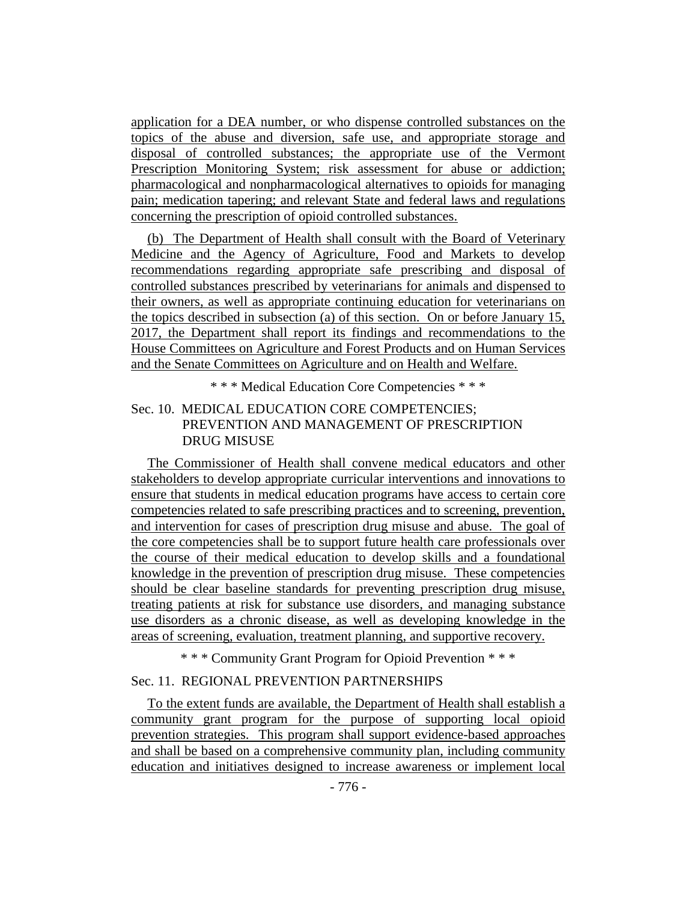application for a DEA number, or who dispense controlled substances on the topics of the abuse and diversion, safe use, and appropriate storage and disposal of controlled substances; the appropriate use of the Vermont Prescription Monitoring System; risk assessment for abuse or addiction; pharmacological and nonpharmacological alternatives to opioids for managing pain; medication tapering; and relevant State and federal laws and regulations concerning the prescription of opioid controlled substances.

(b) The Department of Health shall consult with the Board of Veterinary Medicine and the Agency of Agriculture, Food and Markets to develop recommendations regarding appropriate safe prescribing and disposal of controlled substances prescribed by veterinarians for animals and dispensed to their owners, as well as appropriate continuing education for veterinarians on the topics described in subsection (a) of this section. On or before January 15, 2017, the Department shall report its findings and recommendations to the House Committees on Agriculture and Forest Products and on Human Services and the Senate Committees on Agriculture and on Health and Welfare.

#### \* \* \* Medical Education Core Competencies \* \* \*

## Sec. 10. MEDICAL EDUCATION CORE COMPETENCIES; PREVENTION AND MANAGEMENT OF PRESCRIPTION DRUG MISUSE

The Commissioner of Health shall convene medical educators and other stakeholders to develop appropriate curricular interventions and innovations to ensure that students in medical education programs have access to certain core competencies related to safe prescribing practices and to screening, prevention, and intervention for cases of prescription drug misuse and abuse. The goal of the core competencies shall be to support future health care professionals over the course of their medical education to develop skills and a foundational knowledge in the prevention of prescription drug misuse. These competencies should be clear baseline standards for preventing prescription drug misuse, treating patients at risk for substance use disorders, and managing substance use disorders as a chronic disease, as well as developing knowledge in the areas of screening, evaluation, treatment planning, and supportive recovery.

\* \* \* Community Grant Program for Opioid Prevention \* \* \*

#### Sec. 11. REGIONAL PREVENTION PARTNERSHIPS

To the extent funds are available, the Department of Health shall establish a community grant program for the purpose of supporting local opioid prevention strategies. This program shall support evidence-based approaches and shall be based on a comprehensive community plan, including community education and initiatives designed to increase awareness or implement local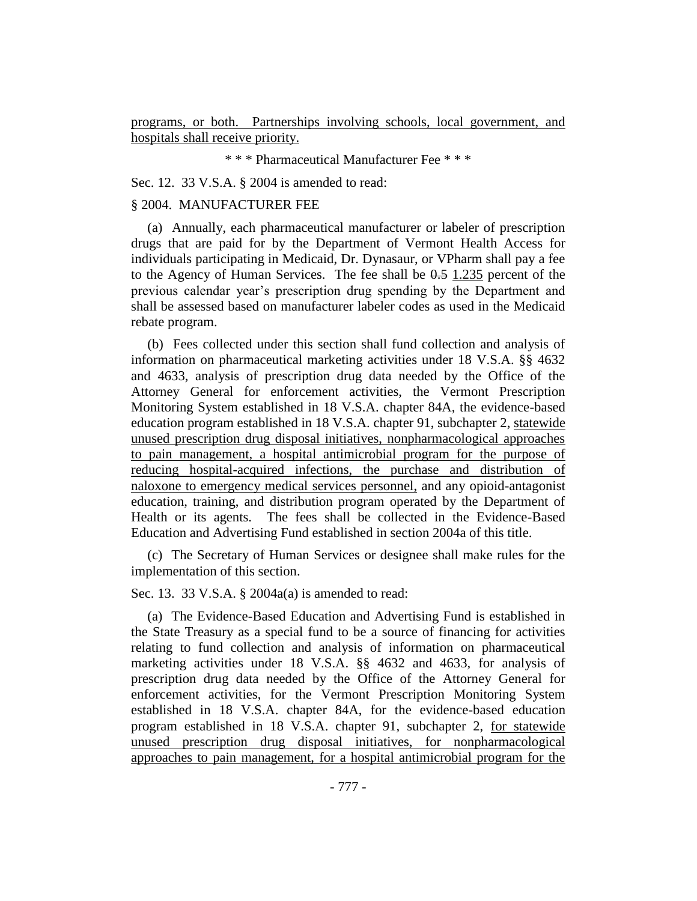programs, or both. Partnerships involving schools, local government, and hospitals shall receive priority.

\* \* \* Pharmaceutical Manufacturer Fee \* \* \*

Sec. 12. 33 V.S.A. § 2004 is amended to read:

#### § 2004. MANUFACTURER FEE

(a) Annually, each pharmaceutical manufacturer or labeler of prescription drugs that are paid for by the Department of Vermont Health Access for individuals participating in Medicaid, Dr. Dynasaur, or VPharm shall pay a fee to the Agency of Human Services. The fee shall be 0.5 1.235 percent of the previous calendar year's prescription drug spending by the Department and shall be assessed based on manufacturer labeler codes as used in the Medicaid rebate program.

(b) Fees collected under this section shall fund collection and analysis of information on pharmaceutical marketing activities under 18 V.S.A. §§ 4632 and 4633, analysis of prescription drug data needed by the Office of the Attorney General for enforcement activities, the Vermont Prescription Monitoring System established in 18 V.S.A. chapter 84A, the evidence-based education program established in 18 V.S.A. chapter 91, subchapter 2, statewide unused prescription drug disposal initiatives, nonpharmacological approaches to pain management, a hospital antimicrobial program for the purpose of reducing hospital-acquired infections, the purchase and distribution of naloxone to emergency medical services personnel, and any opioid-antagonist education, training, and distribution program operated by the Department of Health or its agents. The fees shall be collected in the Evidence-Based Education and Advertising Fund established in section 2004a of this title.

(c) The Secretary of Human Services or designee shall make rules for the implementation of this section.

Sec. 13. 33 V.S.A. § 2004a(a) is amended to read:

(a) The Evidence-Based Education and Advertising Fund is established in the State Treasury as a special fund to be a source of financing for activities relating to fund collection and analysis of information on pharmaceutical marketing activities under 18 V.S.A. §§ 4632 and 4633, for analysis of prescription drug data needed by the Office of the Attorney General for enforcement activities, for the Vermont Prescription Monitoring System established in 18 V.S.A. chapter 84A, for the evidence-based education program established in 18 V.S.A. chapter 91, subchapter 2, for statewide unused prescription drug disposal initiatives, for nonpharmacological approaches to pain management, for a hospital antimicrobial program for the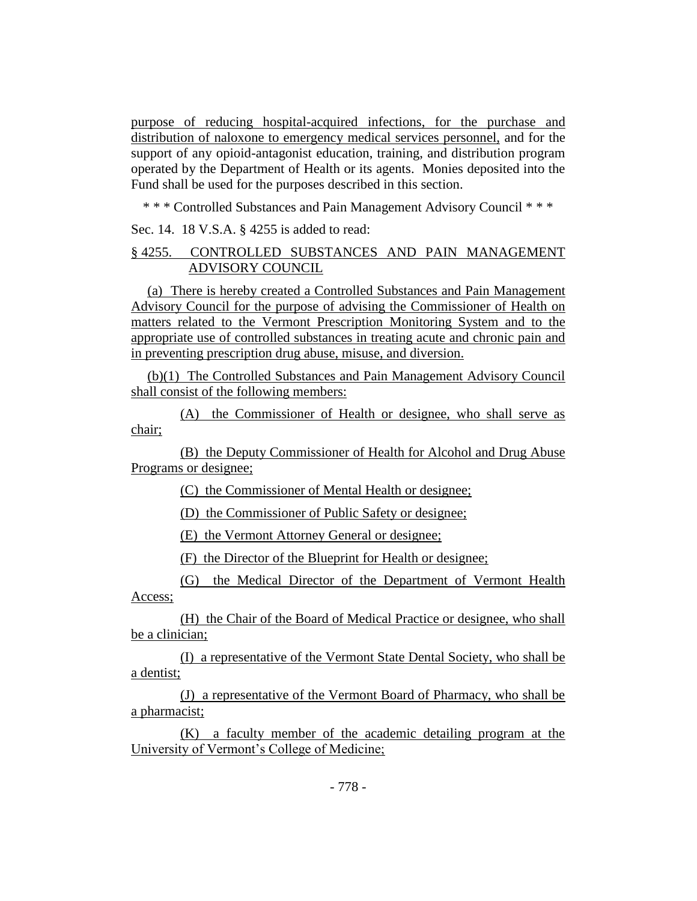purpose of reducing hospital-acquired infections, for the purchase and distribution of naloxone to emergency medical services personnel, and for the support of any opioid-antagonist education, training, and distribution program operated by the Department of Health or its agents. Monies deposited into the Fund shall be used for the purposes described in this section.

\* \* \* Controlled Substances and Pain Management Advisory Council \* \* \*

Sec. 14. 18 V.S.A. § 4255 is added to read:

## § 4255. CONTROLLED SUBSTANCES AND PAIN MANAGEMENT ADVISORY COUNCIL

(a) There is hereby created a Controlled Substances and Pain Management Advisory Council for the purpose of advising the Commissioner of Health on matters related to the Vermont Prescription Monitoring System and to the appropriate use of controlled substances in treating acute and chronic pain and in preventing prescription drug abuse, misuse, and diversion.

(b)(1) The Controlled Substances and Pain Management Advisory Council shall consist of the following members:

(A) the Commissioner of Health or designee, who shall serve as chair;

(B) the Deputy Commissioner of Health for Alcohol and Drug Abuse Programs or designee;

(C) the Commissioner of Mental Health or designee;

(D) the Commissioner of Public Safety or designee;

(E) the Vermont Attorney General or designee;

(F) the Director of the Blueprint for Health or designee;

(G) the Medical Director of the Department of Vermont Health Access;

(H) the Chair of the Board of Medical Practice or designee, who shall be a clinician;

(I) a representative of the Vermont State Dental Society, who shall be a dentist;

(J) a representative of the Vermont Board of Pharmacy, who shall be a pharmacist;

(K) a faculty member of the academic detailing program at the University of Vermont's College of Medicine;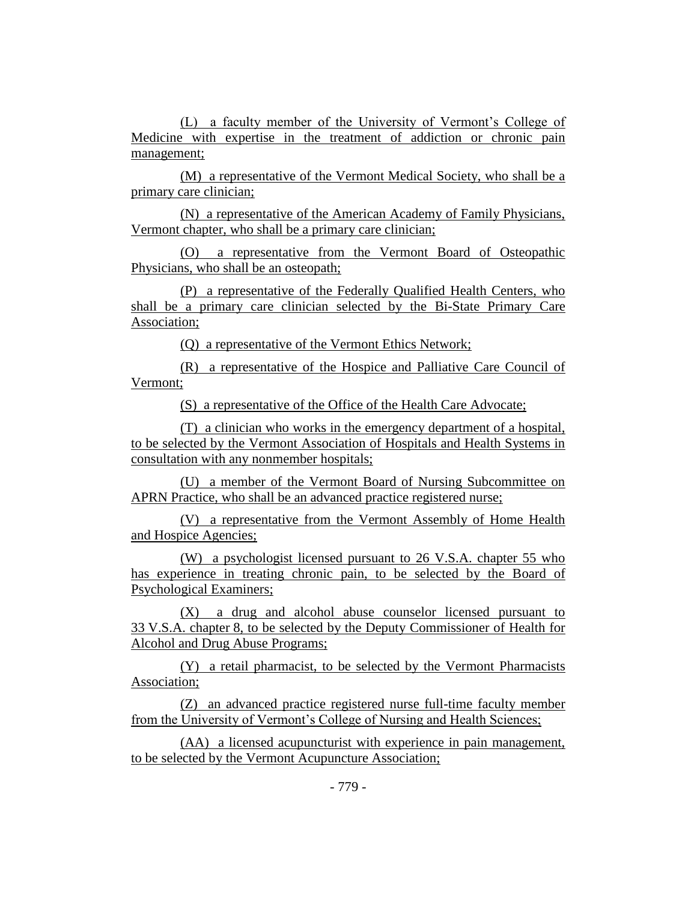(L) a faculty member of the University of Vermont's College of Medicine with expertise in the treatment of addiction or chronic pain management;

(M) a representative of the Vermont Medical Society, who shall be a primary care clinician;

(N) a representative of the American Academy of Family Physicians, Vermont chapter, who shall be a primary care clinician;

(O) a representative from the Vermont Board of Osteopathic Physicians, who shall be an osteopath;

(P) a representative of the Federally Qualified Health Centers, who shall be a primary care clinician selected by the Bi-State Primary Care Association;

(Q) a representative of the Vermont Ethics Network;

(R) a representative of the Hospice and Palliative Care Council of Vermont;

(S) a representative of the Office of the Health Care Advocate;

(T) a clinician who works in the emergency department of a hospital, to be selected by the Vermont Association of Hospitals and Health Systems in consultation with any nonmember hospitals;

(U) a member of the Vermont Board of Nursing Subcommittee on APRN Practice, who shall be an advanced practice registered nurse;

(V) a representative from the Vermont Assembly of Home Health and Hospice Agencies;

(W) a psychologist licensed pursuant to 26 V.S.A. chapter 55 who has experience in treating chronic pain, to be selected by the Board of Psychological Examiners;

(X) a drug and alcohol abuse counselor licensed pursuant to 33 V.S.A. chapter 8, to be selected by the Deputy Commissioner of Health for Alcohol and Drug Abuse Programs;

(Y) a retail pharmacist, to be selected by the Vermont Pharmacists Association;

(Z) an advanced practice registered nurse full-time faculty member from the University of Vermont's College of Nursing and Health Sciences;

(AA) a licensed acupuncturist with experience in pain management, to be selected by the Vermont Acupuncture Association;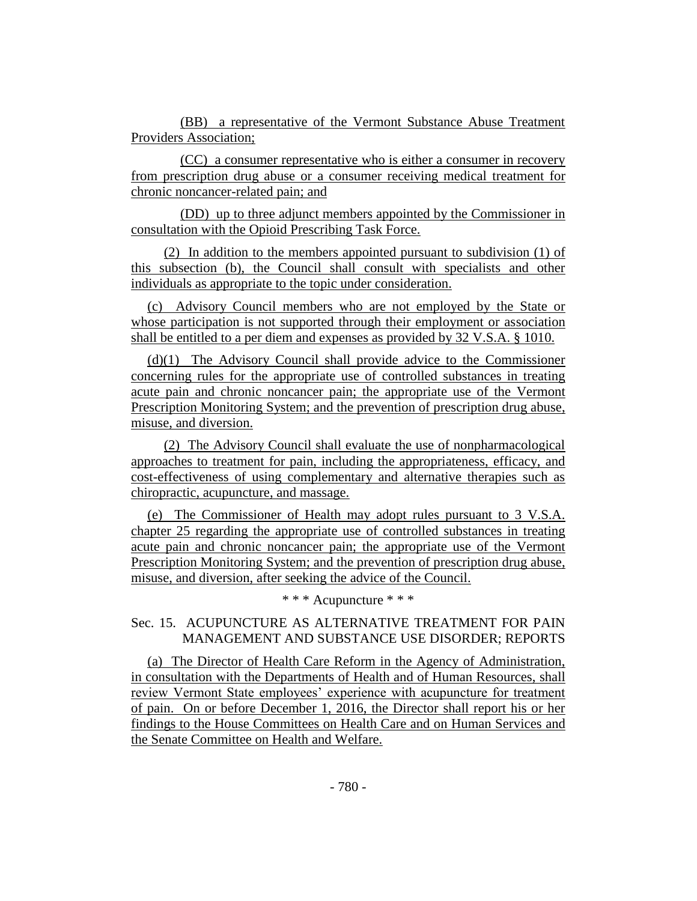(BB) a representative of the Vermont Substance Abuse Treatment Providers Association;

(CC) a consumer representative who is either a consumer in recovery from prescription drug abuse or a consumer receiving medical treatment for chronic noncancer-related pain; and

(DD) up to three adjunct members appointed by the Commissioner in consultation with the Opioid Prescribing Task Force.

(2) In addition to the members appointed pursuant to subdivision (1) of this subsection (b), the Council shall consult with specialists and other individuals as appropriate to the topic under consideration.

(c) Advisory Council members who are not employed by the State or whose participation is not supported through their employment or association shall be entitled to a per diem and expenses as provided by 32 V.S.A. § 1010.

(d)(1) The Advisory Council shall provide advice to the Commissioner concerning rules for the appropriate use of controlled substances in treating acute pain and chronic noncancer pain; the appropriate use of the Vermont Prescription Monitoring System; and the prevention of prescription drug abuse, misuse, and diversion.

(2) The Advisory Council shall evaluate the use of nonpharmacological approaches to treatment for pain, including the appropriateness, efficacy, and cost-effectiveness of using complementary and alternative therapies such as chiropractic, acupuncture, and massage.

(e) The Commissioner of Health may adopt rules pursuant to 3 V.S.A. chapter 25 regarding the appropriate use of controlled substances in treating acute pain and chronic noncancer pain; the appropriate use of the Vermont Prescription Monitoring System; and the prevention of prescription drug abuse, misuse, and diversion, after seeking the advice of the Council.

\* \* \* Acupuncture \* \* \*

## Sec. 15.ACUPUNCTURE AS ALTERNATIVE TREATMENT FOR PAIN MANAGEMENT AND SUBSTANCE USE DISORDER; REPORTS

(a) The Director of Health Care Reform in the Agency of Administration, in consultation with the Departments of Health and of Human Resources, shall review Vermont State employees' experience with acupuncture for treatment of pain. On or before December 1, 2016, the Director shall report his or her findings to the House Committees on Health Care and on Human Services and the Senate Committee on Health and Welfare.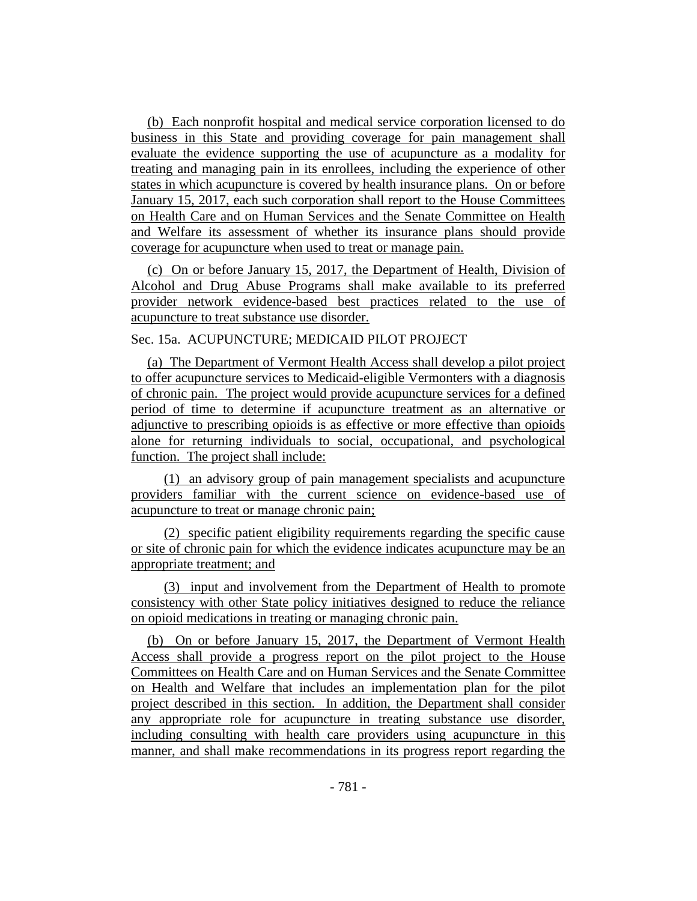(b) Each nonprofit hospital and medical service corporation licensed to do business in this State and providing coverage for pain management shall evaluate the evidence supporting the use of acupuncture as a modality for treating and managing pain in its enrollees, including the experience of other states in which acupuncture is covered by health insurance plans. On or before January 15, 2017, each such corporation shall report to the House Committees on Health Care and on Human Services and the Senate Committee on Health and Welfare its assessment of whether its insurance plans should provide coverage for acupuncture when used to treat or manage pain.

(c) On or before January 15, 2017, the Department of Health, Division of Alcohol and Drug Abuse Programs shall make available to its preferred provider network evidence-based best practices related to the use of acupuncture to treat substance use disorder.

### Sec. 15a. ACUPUNCTURE; MEDICAID PILOT PROJECT

(a) The Department of Vermont Health Access shall develop a pilot project to offer acupuncture services to Medicaid-eligible Vermonters with a diagnosis of chronic pain. The project would provide acupuncture services for a defined period of time to determine if acupuncture treatment as an alternative or adjunctive to prescribing opioids is as effective or more effective than opioids alone for returning individuals to social, occupational, and psychological function. The project shall include:

(1) an advisory group of pain management specialists and acupuncture providers familiar with the current science on evidence-based use of acupuncture to treat or manage chronic pain;

(2) specific patient eligibility requirements regarding the specific cause or site of chronic pain for which the evidence indicates acupuncture may be an appropriate treatment; and

(3) input and involvement from the Department of Health to promote consistency with other State policy initiatives designed to reduce the reliance on opioid medications in treating or managing chronic pain.

(b) On or before January 15, 2017, the Department of Vermont Health Access shall provide a progress report on the pilot project to the House Committees on Health Care and on Human Services and the Senate Committee on Health and Welfare that includes an implementation plan for the pilot project described in this section. In addition, the Department shall consider any appropriate role for acupuncture in treating substance use disorder, including consulting with health care providers using acupuncture in this manner, and shall make recommendations in its progress report regarding the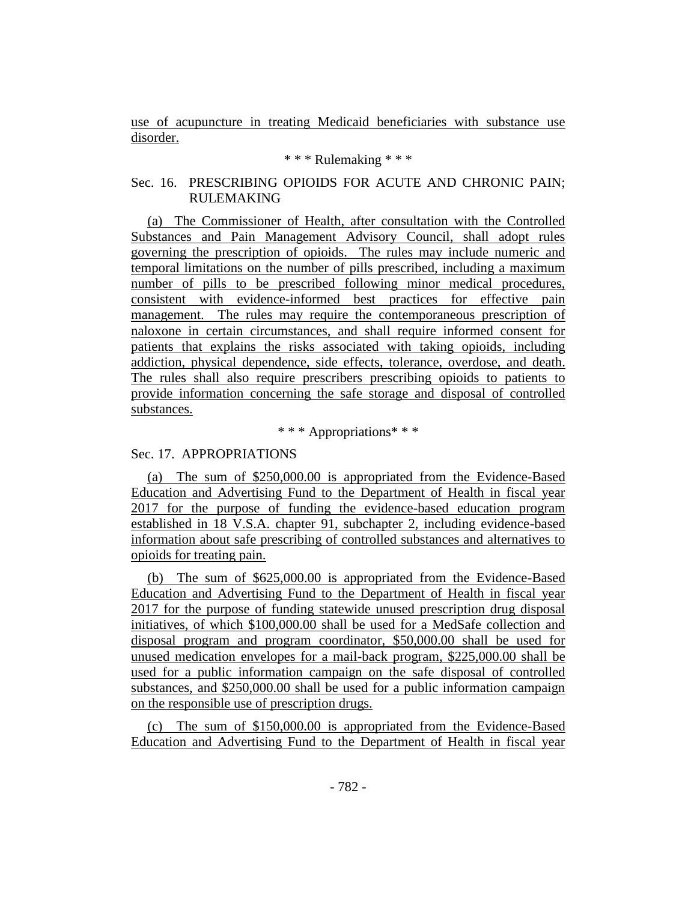use of acupuncture in treating Medicaid beneficiaries with substance use disorder.

## \* \* \* Rulemaking \* \* \*

# Sec. 16. PRESCRIBING OPIOIDS FOR ACUTE AND CHRONIC PAIN; RULEMAKING

(a) The Commissioner of Health, after consultation with the Controlled Substances and Pain Management Advisory Council, shall adopt rules governing the prescription of opioids. The rules may include numeric and temporal limitations on the number of pills prescribed, including a maximum number of pills to be prescribed following minor medical procedures, consistent with evidence-informed best practices for effective pain management. The rules may require the contemporaneous prescription of naloxone in certain circumstances, and shall require informed consent for patients that explains the risks associated with taking opioids, including addiction, physical dependence, side effects, tolerance, overdose, and death. The rules shall also require prescribers prescribing opioids to patients to provide information concerning the safe storage and disposal of controlled substances.

#### \* \* \* Appropriations\* \* \*

## Sec. 17. APPROPRIATIONS

(a) The sum of \$250,000.00 is appropriated from the Evidence-Based Education and Advertising Fund to the Department of Health in fiscal year 2017 for the purpose of funding the evidence-based education program established in 18 V.S.A. chapter 91, subchapter 2, including evidence-based information about safe prescribing of controlled substances and alternatives to opioids for treating pain.

(b) The sum of \$625,000.00 is appropriated from the Evidence-Based Education and Advertising Fund to the Department of Health in fiscal year 2017 for the purpose of funding statewide unused prescription drug disposal initiatives, of which \$100,000.00 shall be used for a MedSafe collection and disposal program and program coordinator, \$50,000.00 shall be used for unused medication envelopes for a mail-back program, \$225,000.00 shall be used for a public information campaign on the safe disposal of controlled substances, and \$250,000.00 shall be used for a public information campaign on the responsible use of prescription drugs.

(c) The sum of \$150,000.00 is appropriated from the Evidence-Based Education and Advertising Fund to the Department of Health in fiscal year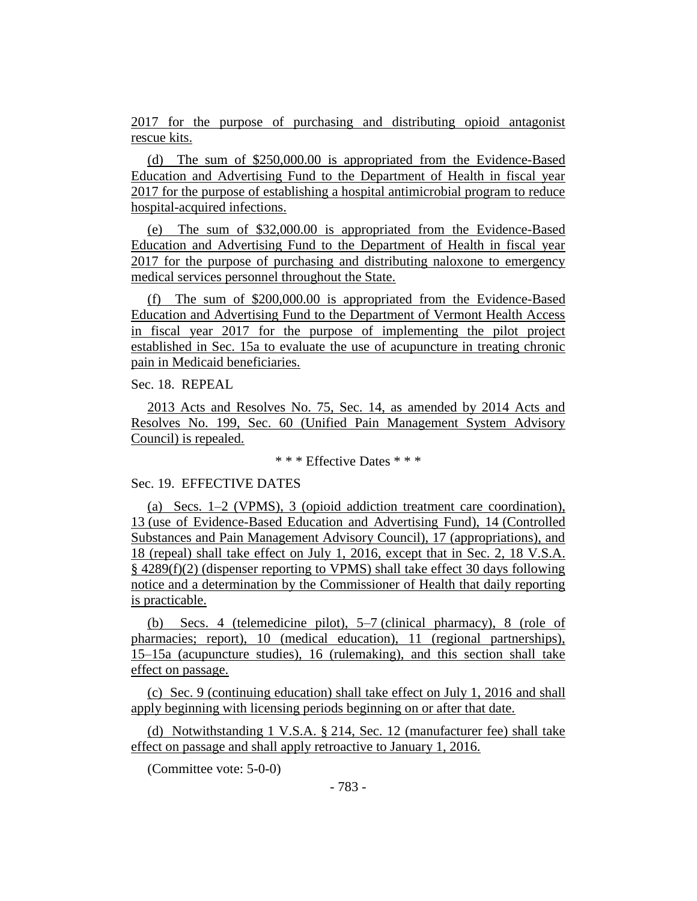2017 for the purpose of purchasing and distributing opioid antagonist rescue kits.

(d) The sum of \$250,000.00 is appropriated from the Evidence-Based Education and Advertising Fund to the Department of Health in fiscal year 2017 for the purpose of establishing a hospital antimicrobial program to reduce hospital-acquired infections.

(e) The sum of \$32,000.00 is appropriated from the Evidence-Based Education and Advertising Fund to the Department of Health in fiscal year 2017 for the purpose of purchasing and distributing naloxone to emergency medical services personnel throughout the State.

(f) The sum of \$200,000.00 is appropriated from the Evidence-Based Education and Advertising Fund to the Department of Vermont Health Access in fiscal year 2017 for the purpose of implementing the pilot project established in Sec. 15a to evaluate the use of acupuncture in treating chronic pain in Medicaid beneficiaries.

Sec. 18. REPEAL

2013 Acts and Resolves No. 75, Sec. 14, as amended by 2014 Acts and Resolves No. 199, Sec. 60 (Unified Pain Management System Advisory Council) is repealed.

\* \* \* Effective Dates \* \* \*

#### Sec. 19. EFFECTIVE DATES

(a) Secs. 1–2 (VPMS), 3 (opioid addiction treatment care coordination), 13 (use of Evidence-Based Education and Advertising Fund), 14 (Controlled Substances and Pain Management Advisory Council), 17 (appropriations), and 18 (repeal) shall take effect on July 1, 2016, except that in Sec. 2, 18 V.S.A. § 4289(f)(2) (dispenser reporting to VPMS) shall take effect 30 days following notice and a determination by the Commissioner of Health that daily reporting is practicable.

(b) Secs. 4 (telemedicine pilot), 5–7 (clinical pharmacy), 8 (role of pharmacies; report), 10 (medical education), 11 (regional partnerships), 15–15a (acupuncture studies), 16 (rulemaking), and this section shall take effect on passage.

(c) Sec. 9 (continuing education) shall take effect on July 1, 2016 and shall apply beginning with licensing periods beginning on or after that date.

(d) Notwithstanding 1 V.S.A. § 214, Sec. 12 (manufacturer fee) shall take effect on passage and shall apply retroactive to January 1, 2016.

(Committee vote: 5-0-0)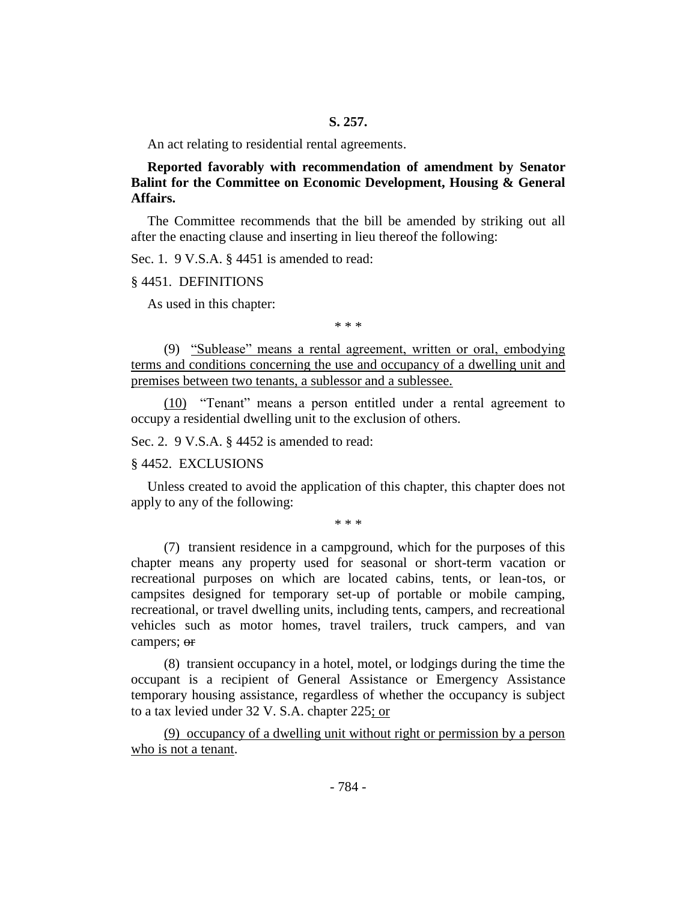An act relating to residential rental agreements.

**Reported favorably with recommendation of amendment by Senator Balint for the Committee on Economic Development, Housing & General Affairs.**

The Committee recommends that the bill be amended by striking out all after the enacting clause and inserting in lieu thereof the following:

Sec. 1. 9 V.S.A. § 4451 is amended to read:

§ 4451. DEFINITIONS

As used in this chapter:

\* \* \*

(9) "Sublease" means a rental agreement, written or oral, embodying terms and conditions concerning the use and occupancy of a dwelling unit and premises between two tenants, a sublessor and a sublessee.

(10) "Tenant" means a person entitled under a rental agreement to occupy a residential dwelling unit to the exclusion of others.

Sec. 2. 9 V.S.A. § 4452 is amended to read:

#### § 4452. EXCLUSIONS

Unless created to avoid the application of this chapter, this chapter does not apply to any of the following:

\* \* \*

(7) transient residence in a campground, which for the purposes of this chapter means any property used for seasonal or short-term vacation or recreational purposes on which are located cabins, tents, or lean-tos, or campsites designed for temporary set-up of portable or mobile camping, recreational, or travel dwelling units, including tents, campers, and recreational vehicles such as motor homes, travel trailers, truck campers, and van campers; or

(8) transient occupancy in a hotel, motel, or lodgings during the time the occupant is a recipient of General Assistance or Emergency Assistance temporary housing assistance, regardless of whether the occupancy is subject to a tax levied under 32 V. S.A. chapter 225; or

(9) occupancy of a dwelling unit without right or permission by a person who is not a tenant.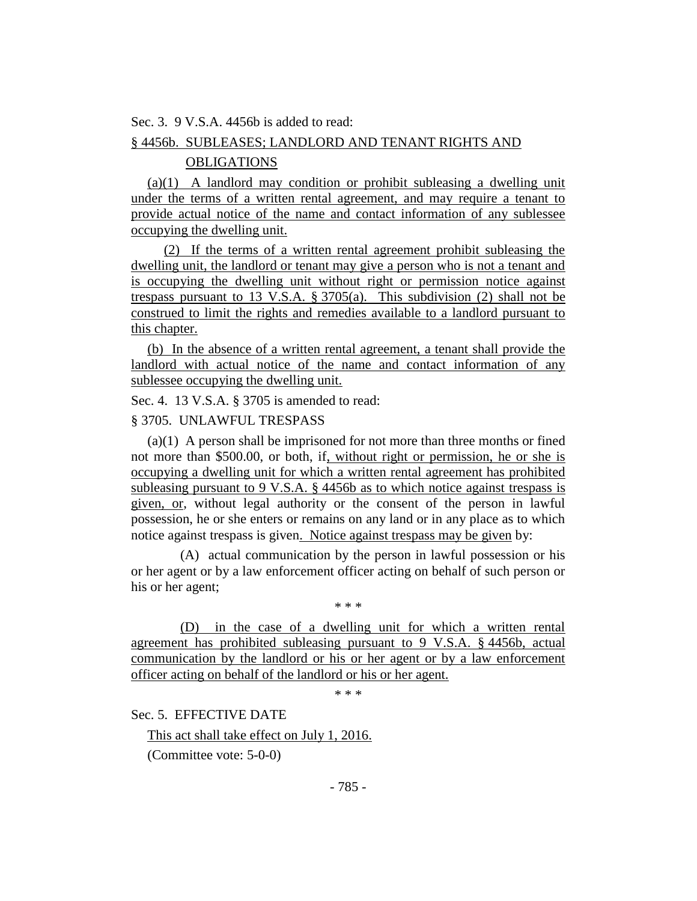Sec. 3. 9 V.S.A. 4456b is added to read:

#### § 4456b. SUBLEASES; LANDLORD AND TENANT RIGHTS AND

#### OBLIGATIONS

 $(a)(1)$  A landlord may condition or prohibit subleasing a dwelling unit under the terms of a written rental agreement, and may require a tenant to provide actual notice of the name and contact information of any sublessee occupying the dwelling unit.

(2) If the terms of a written rental agreement prohibit subleasing the dwelling unit, the landlord or tenant may give a person who is not a tenant and is occupying the dwelling unit without right or permission notice against trespass pursuant to 13 V.S.A. § 3705(a). This subdivision (2) shall not be construed to limit the rights and remedies available to a landlord pursuant to this chapter.

(b) In the absence of a written rental agreement, a tenant shall provide the landlord with actual notice of the name and contact information of any sublessee occupying the dwelling unit.

Sec. 4. 13 V.S.A. § 3705 is amended to read:

## § 3705. UNLAWFUL TRESPASS

(a)(1) A person shall be imprisoned for not more than three months or fined not more than \$500.00, or both, if, without right or permission, he or she is occupying a dwelling unit for which a written rental agreement has prohibited subleasing pursuant to 9 V.S.A. § 4456b as to which notice against trespass is given, or, without legal authority or the consent of the person in lawful possession, he or she enters or remains on any land or in any place as to which notice against trespass is given. Notice against trespass may be given by:

(A) actual communication by the person in lawful possession or his or her agent or by a law enforcement officer acting on behalf of such person or his or her agent;

\* \* \*

(D) in the case of a dwelling unit for which a written rental agreement has prohibited subleasing pursuant to 9 V.S.A. § 4456b, actual communication by the landlord or his or her agent or by a law enforcement officer acting on behalf of the landlord or his or her agent.

\* \* \*

Sec. 5. EFFECTIVE DATE

This act shall take effect on July 1, 2016.

(Committee vote: 5-0-0)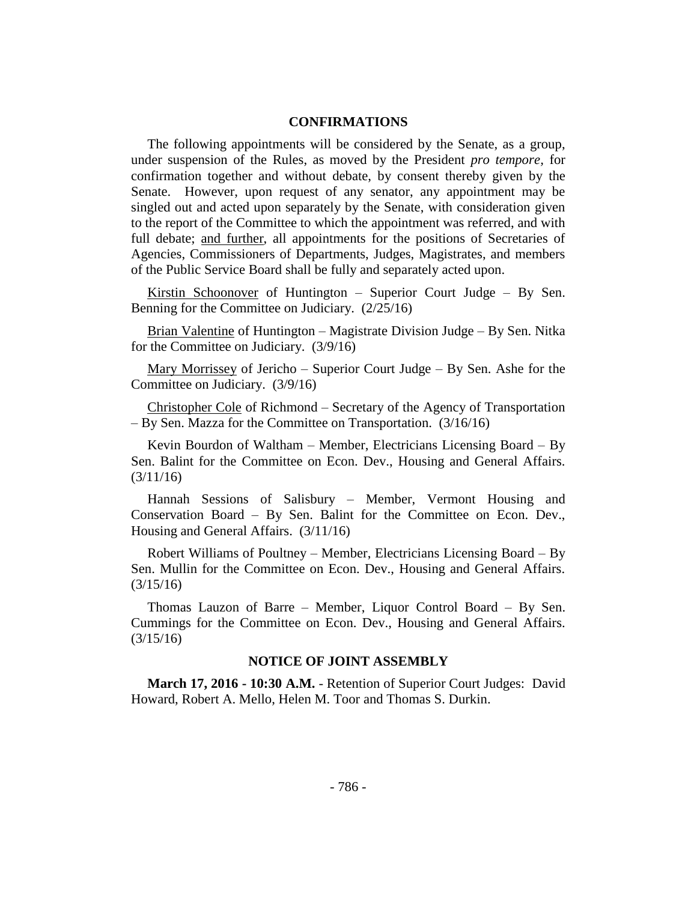#### **CONFIRMATIONS**

The following appointments will be considered by the Senate, as a group, under suspension of the Rules, as moved by the President *pro tempore,* for confirmation together and without debate, by consent thereby given by the Senate. However, upon request of any senator, any appointment may be singled out and acted upon separately by the Senate, with consideration given to the report of the Committee to which the appointment was referred, and with full debate; and further, all appointments for the positions of Secretaries of Agencies, Commissioners of Departments, Judges, Magistrates, and members of the Public Service Board shall be fully and separately acted upon.

Kirstin Schoonover of Huntington – Superior Court Judge – By Sen. Benning for the Committee on Judiciary. (2/25/16)

Brian Valentine of Huntington – Magistrate Division Judge – By Sen. Nitka for the Committee on Judiciary. (3/9/16)

Mary Morrissey of Jericho – Superior Court Judge – By Sen. Ashe for the Committee on Judiciary. (3/9/16)

Christopher Cole of Richmond – Secretary of the Agency of Transportation – By Sen. Mazza for the Committee on Transportation. (3/16/16)

Kevin Bourdon of Waltham – Member, Electricians Licensing Board – By Sen. Balint for the Committee on Econ. Dev., Housing and General Affairs. (3/11/16)

Hannah Sessions of Salisbury – Member, Vermont Housing and Conservation Board – By Sen. Balint for the Committee on Econ. Dev., Housing and General Affairs. (3/11/16)

Robert Williams of Poultney – Member, Electricians Licensing Board – By Sen. Mullin for the Committee on Econ. Dev., Housing and General Affairs. (3/15/16)

Thomas Lauzon of Barre – Member, Liquor Control Board – By Sen. Cummings for the Committee on Econ. Dev., Housing and General Affairs.  $(3/15/16)$ 

#### **NOTICE OF JOINT ASSEMBLY**

**March 17, 2016 - 10:30 A.M.** - Retention of Superior Court Judges: David Howard, Robert A. Mello, Helen M. Toor and Thomas S. Durkin.